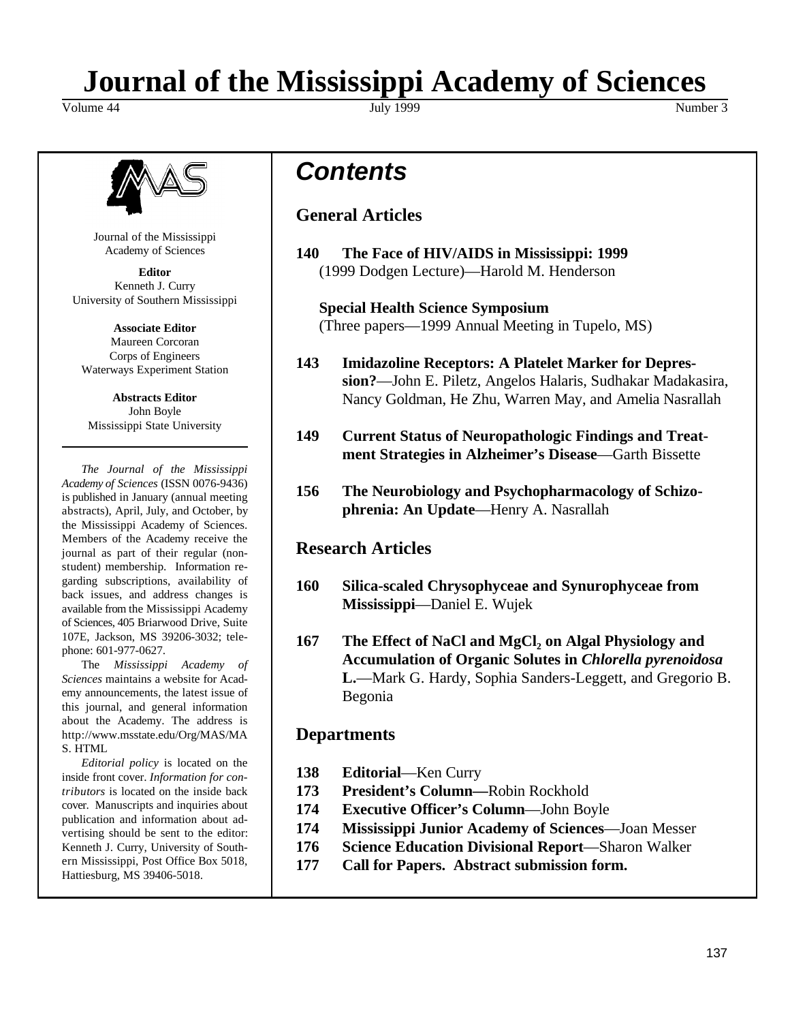# **Journal of the Mississippi Academy of Sciences**

Volume 44 Number 3 Number 3 Number 3 Number 3 Number 3 Number 3 Number 3 Number 3 Number 3 Number 3 Number 3 Number 3 Number 3 Number 3 Number 3 Number 3 Number 3 Number 3 Number 3 Number 3 Number 3 Number 3 Number 3 Numbe



Journal of the Mississippi Academy of Sciences

**Editor** Kenneth J. Curry University of Southern Mississippi

**Associate Editor** Maureen Corcoran Corps of Engineers Waterways Experiment Station

**Abstracts Editor** John Boyle Mississippi State University

*The Journal of the Mississippi Academy of Sciences* (ISSN 0076-9436) is published in January (annual meeting abstracts), April, July, and October, by the Mississippi Academy of Sciences. Members of the Academy receive the journal as part of their regular (nonstudent) membership. Information regarding subscriptions, availability of back issues, and address changes is available from the Mississippi Academy of Sciences, 405 Briarwood Drive, Suite 107E, Jackson, MS 39206-3032; telephone: 601-977-0627.

The *Mississippi Academy of Sciences* maintains a website for Academy announcements, the latest issue of this journal, and general information about the Academy. The address is http://www.msstate.edu/Org/MAS/MA S. HTML

*Editorial policy* is located on the inside front cover. *Information for contributors* is located on the inside back cover. Manuscripts and inquiries about publication and information about advertising should be sent to the editor: Kenneth J. Curry, University of Southern Mississippi, Post Office Box 5018, Hattiesburg, MS 39406-5018.

*Contents*

### **General Articles**

**140 The Face of HIV/AIDS in Mississippi: 1999** (1999 Dodgen Lecture)—Harold M. Henderson

**Special Health Science Symposium** (Three papers—1999 Annual Meeting in Tupelo, MS)

- **143 Imidazoline Receptors: A Platelet Marker for Depression?**—John E. Piletz, Angelos Halaris, Sudhakar Madakasira, Nancy Goldman, He Zhu, Warren May, and Amelia Nasrallah
- **149 Current Status of Neuropathologic Findings and Treatment Strategies in Alzheimer's Disease**—Garth Bissette
- **156 The Neurobiology and Psychopharmacology of Schizophrenia: An Update**—Henry A. Nasrallah

### **Research Articles**

- **160 Silica-scaled Chrysophyceae and Synurophyceae from Mississippi**—Daniel E. Wujek
- **167 The Effect of NaCl and MgCl<sup>2</sup> on Algal Physiology and Accumulation of Organic Solutes in** *Chlorella pyrenoidosa* **L.**—Mark G. Hardy, Sophia Sanders-Leggett, and Gregorio B. Begonia

### **Departments**

- **138 Editorial**—Ken Curry
- **173 President's Column—**Robin Rockhold
- **174 Executive Officer's Column**—John Boyle
- **174 Mississippi Junior Academy of Sciences**—Joan Messer
- **176 Science Education Divisional Report**—Sharon Walker
- **177 Call for Papers. Abstract submission form.**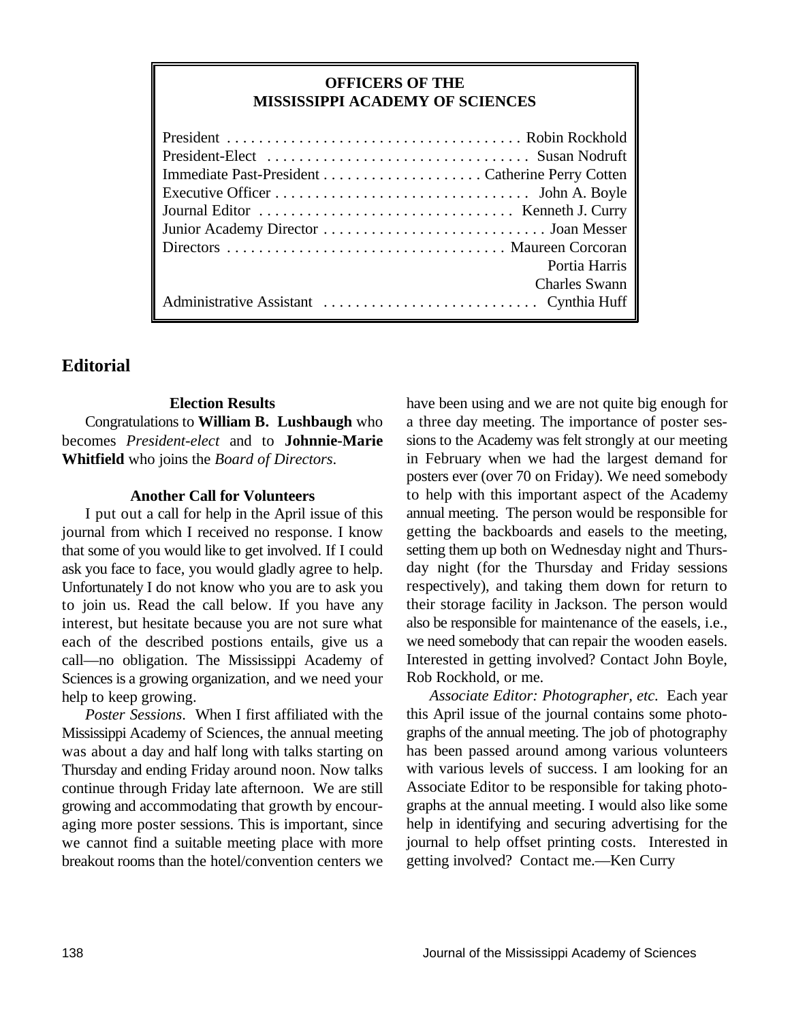### **OFFICERS OF THE MISSISSIPPI ACADEMY OF SCIENCES**

| Portia Harris        |
|----------------------|
| <b>Charles Swann</b> |
|                      |

### **Editorial**

**Election Results**

Congratulations to **William B. Lushbaugh** who becomes *President-elect* and to **Johnnie-Marie Whitfield** who joins the *Board of Directors*.

### **Another Call for Volunteers**

I put out a call for help in the April issue of this journal from which I received no response. I know that some of you would like to get involved. If I could ask you face to face, you would gladly agree to help. Unfortunately I do not know who you are to ask you to join us. Read the call below. If you have any interest, but hesitate because you are not sure what each of the described postions entails, give us a call—no obligation. The Mississippi Academy of Sciences is a growing organization, and we need your help to keep growing.

*Poster Sessions*. When I first affiliated with the Mississippi Academy of Sciences, the annual meeting was about a day and half long with talks starting on Thursday and ending Friday around noon. Now talks continue through Friday late afternoon. We are still growing and accommodating that growth by encouraging more poster sessions. This is important, since we cannot find a suitable meeting place with more breakout rooms than the hotel/convention centers we

have been using and we are not quite big enough for a three day meeting. The importance of poster sessions to the Academy was felt strongly at our meeting in February when we had the largest demand for posters ever (over 70 on Friday). We need somebody to help with this important aspect of the Academy annual meeting. The person would be responsible for getting the backboards and easels to the meeting, setting them up both on Wednesday night and Thursday night (for the Thursday and Friday sessions respectively), and taking them down for return to their storage facility in Jackson. The person would also be responsible for maintenance of the easels, i.e., we need somebody that can repair the wooden easels. Interested in getting involved? Contact John Boyle, Rob Rockhold, or me.

*Associate Editor: Photographer, etc.* Each year this April issue of the journal contains some photographs of the annual meeting. The job of photography has been passed around among various volunteers with various levels of success. I am looking for an Associate Editor to be responsible for taking photographs at the annual meeting. I would also like some help in identifying and securing advertising for the journal to help offset printing costs. Interested in getting involved? Contact me.—Ken Curry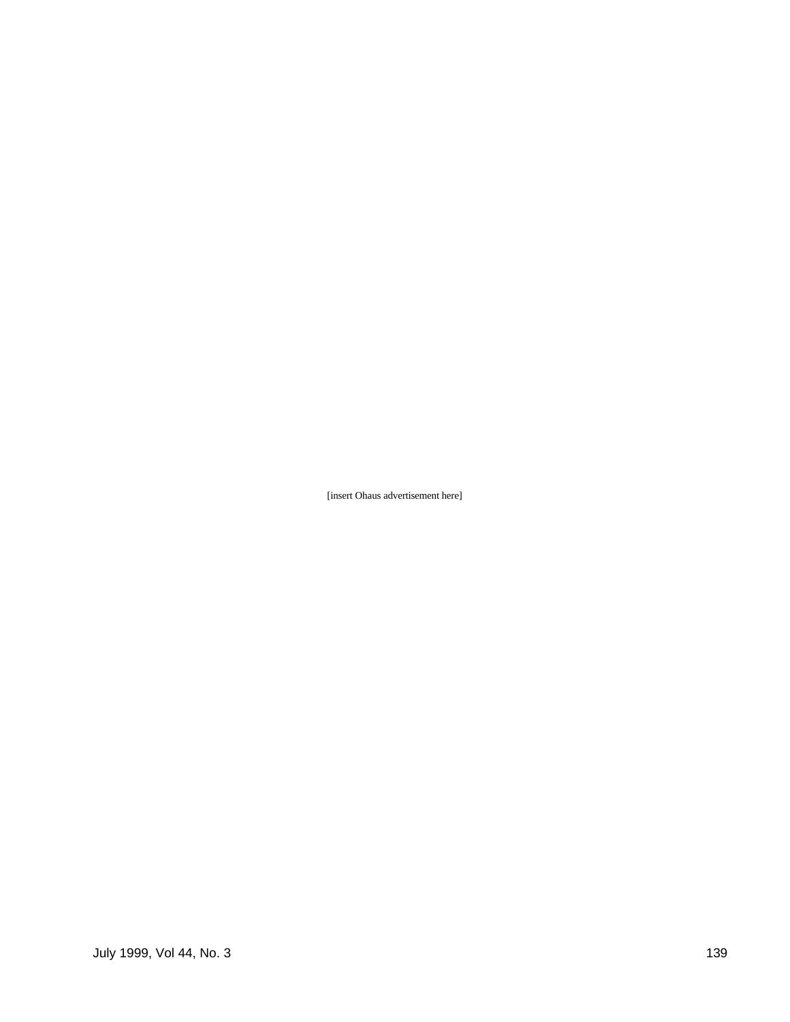[insert Ohaus advertisement here]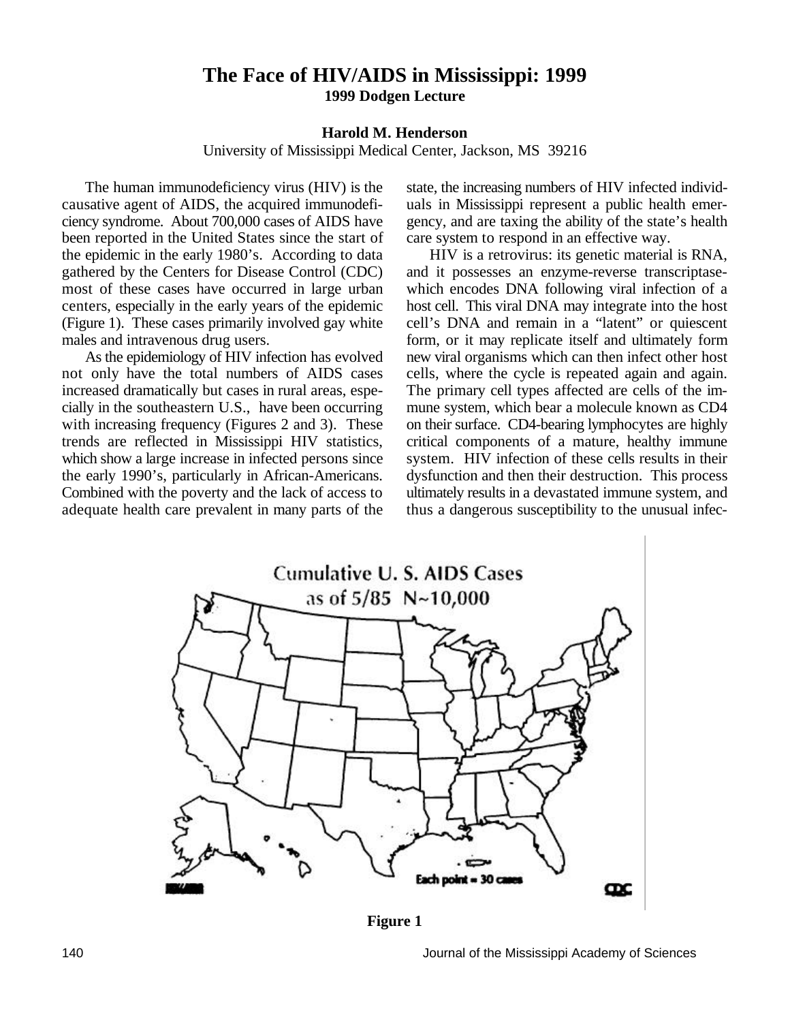### **The Face of HIV/AIDS in Mississippi: 1999 1999 Dodgen Lecture**

### **Harold M. Henderson**

University of Mississippi Medical Center, Jackson, MS 39216

causative agent of AIDS, the acquired immunodefi- uals in Mississippi represent a public health emerciency syndrome. About 700,000 cases of AIDS have gency, and are taxing the ability of the state's health been reported in the United States since the start of care system to respond in an effective way. the epidemic in the early 1980's. According to data HIV is a retrovirus: its genetic material is RNA, gathered by the Centers for Disease Control (CDC) and it possesses an enzyme-reverse transcriptase-

As the epidemiology of HIV infection has evolved

The human immunodeficiency virus (HIV) is the state, the increasing numbers of HIV infected individ-

most of these cases have occurred in large urban which encodes DNA following viral infection of a centers, especially in the early years of the epidemic host cell. This viral DNA may integrate into the host (Figure 1). These cases primarily involved gay white cell's DNA and remain in a "latent" or quiescent males and intravenous drug users. form, or it may replicate itself and ultimately form<br>As the epidemiology of HIV infection has evolved new viral organisms which can then infect other host not only have the total numbers of AIDS cases cells, where the cycle is repeated again and again. increased dramatically but cases in rural areas, espe- The primary cell types affected are cells of the imcially in the southeastern U.S., have been occurring mune system, which bear a molecule known as CD4 with increasing frequency (Figures 2 and 3). These on their surface. CD4-bearing lymphocytes are highly trends are reflected in Mississippi HIV statistics, critical components of a mature, healthy immune which show a large increase in infected persons since system. HIV infection of these cells results in their the early 1990's, particularly in African-Americans. dysfunction and then their destruction. This process Combined with the poverty and the lack of access to ultimately results in a devastated immune system, and adequate health care prevalent in many parts of the thus a dangerous susceptibility to the unusual infec-



**Figure 1**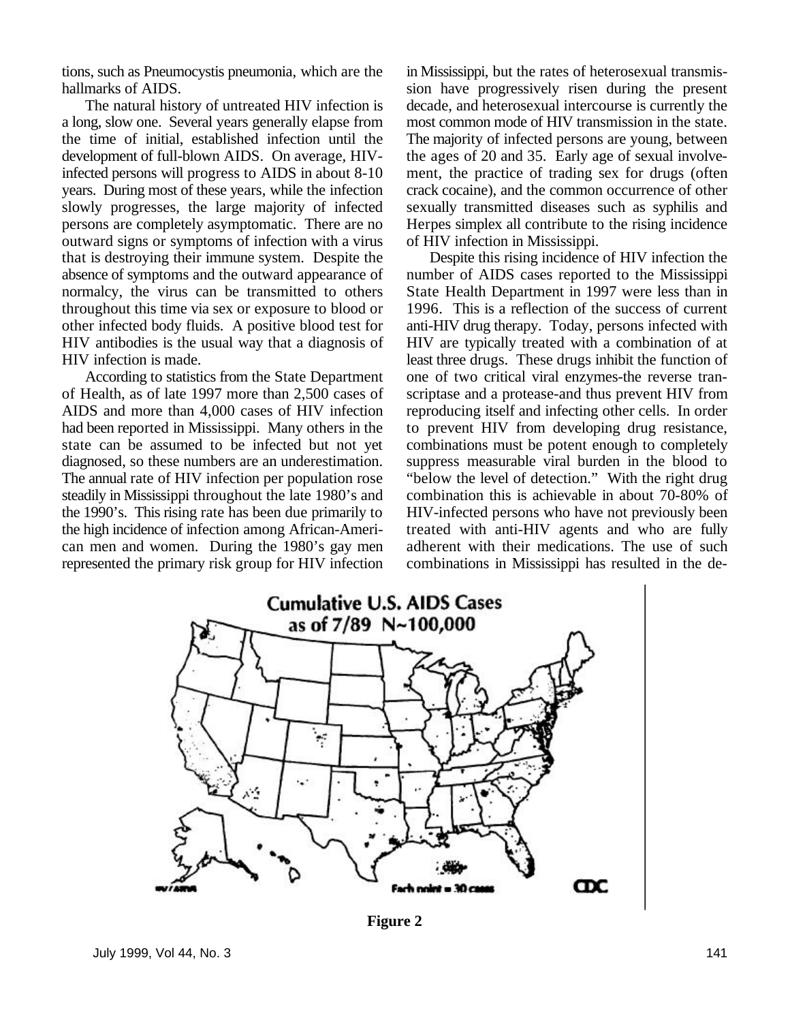tions, such as Pneumocystis pneumonia, which are the in Mississippi, but the rates of heterosexual transmishallmarks of AIDS. Sion have progressively risen during the present

a long, slow one. Several years generally elapse from most common mode of HIV transmission in the state.<br>the time of initial, established infection until the The majority of infected persons are young, between development of full-blown AIDS. On average, HIV- the ages of 20 and 35. Early age of sexual involveinfected persons will progress to AIDS in about 8-10 ment, the practice of trading sex for drugs (often years. During most of these years, while the infection crack cocaine), and the common occurrence of other slowly progresses, the large majority of infected sexually transmitted diseases such as syphilis and persons are completely asymptomatic. There are no Herpes simplex all contribute to the rising incidence outward signs or symptoms of infection with a virus of HIV infection in Mississippi. that is destroying their immune system. Despite the Despite this rising incidence of HIV infection the absence of symptoms and the outward appearance of number of AIDS cases reported to the Mississippi normalcy, the virus can be transmitted to others State Health Department in 1997 were less than in throughout this time via sex or exposure to blood or 1996. This is a reflection of the success of current other infected body fluids. A positive blood test for anti-HIV drug therapy. Today, persons infected with HIV antibodies is the usual way that a diagnosis of HIV are typically treated with a combination of at HIV infection is made. least three drugs. These drugs inhibit the function of

AIDS and more than 4,000 cases of HIV infection reproducing itself and infecting other cells. In order had been reported in Mississippi. Many others in the to prevent HIV from developing drug resistance, represented the primary risk group for HIV infection combinations in Mississippi has resulted in the de-

The natural history of untreated HIV infection is decade, and heterosexual intercourse is currently the The majority of infected persons are young, between

anti-HIV drug therapy. Today, persons infected with According to statistics from the State Department one of two critical viral enzymes-the reverse tranof Health, as of late 1997 more than 2,500 cases of scriptase and a protease-and thus prevent HIV from state can be assumed to be infected but not yet combinations must be potent enough to completely diagnosed, so these numbers are an underestimation. suppress measurable viral burden in the blood to The annual rate of HIV infection per population rose "below the level of detection." With the right drug steadily in Mississippi throughout the late 1980's and combination this is achievable in about 70-80% of the 1990's. This rising rate has been due primarily to HIV-infected persons who have not previously been the high incidence of infection among African-Ameri- treated with anti-HIV agents and who are fully can men and women. During the 1980's gay men adherent with their medications. The use of such



**Figure 2**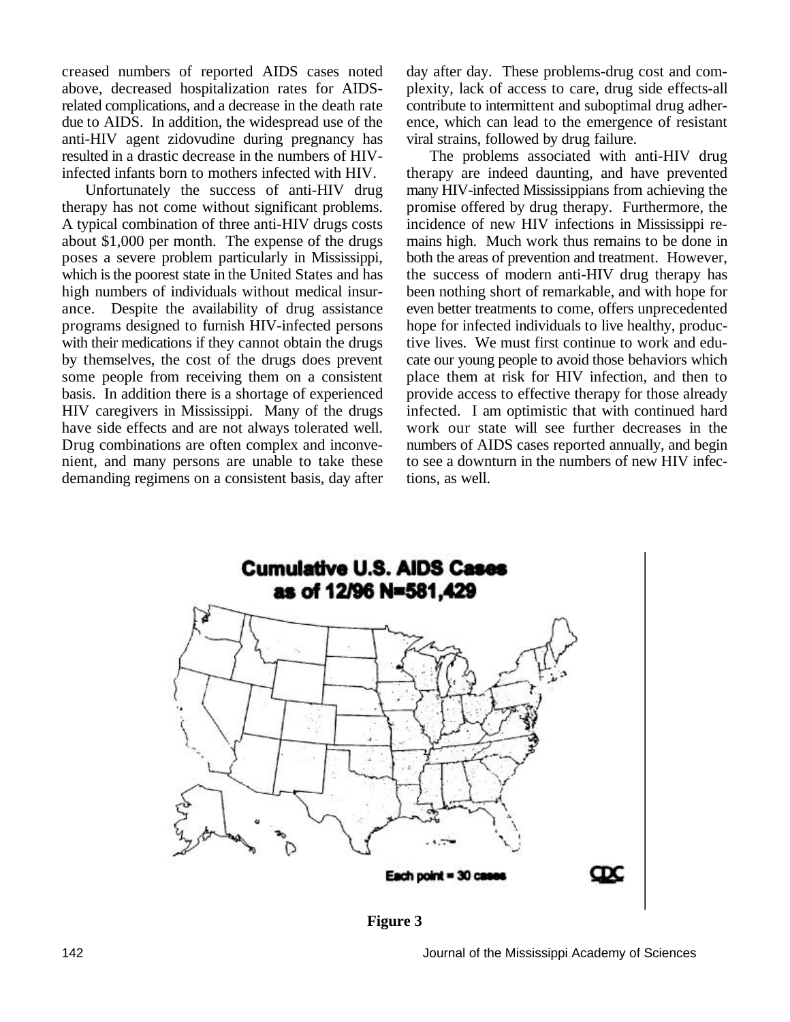creased numbers of reported AIDS cases noted day after day. These problems-drug cost and comabove, decreased hospitalization rates for AIDS- plexity, lack of access to care, drug side effects-all related complications, and a decrease in the death rate contribute to intermittent and suboptimal drug adherdue to AIDS. In addition, the widespread use of the ence, which can lead to the emergence of resistant anti-HIV agent zidovudine during pregnancy has viral strains, followed by drug failure. resulted in a drastic decrease in the numbers of HIV- The problems associated with anti-HIV drug infected infants born to mothers infected with HIV. therapy are indeed daunting, and have prevented

therapy has not come without significant problems. promise offered by drug therapy. Furthermore, the A typical combination of three anti-HIV drugs costs incidence of new HIV infections in Mississippi reabout \$1,000 per month. The expense of the drugs mains high. Much work thus remains to be done in poses a severe problem particularly in Mississippi, both the areas of prevention and treatment. However, which is the poorest state in the United States and has the success of modern anti-HIV drug therapy has high numbers of individuals without medical insur-<br>been nothing short of remarkable, and with hope for ance. Despite the availability of drug assistance even better treatments to come, offers unprecedented programs designed to furnish HIV-infected persons hope for infected individuals to live healthy, producwith their medications if they cannot obtain the drugs tive lives. We must first continue to work and eduby themselves, the cost of the drugs does prevent cate our young people to avoid those behaviors which some people from receiving them on a consistent place them at risk for HIV infection, and then to basis. In addition there is a shortage of experienced provide access to effective therapy for those already HIV caregivers in Mississippi. Many of the drugs infected. I am optimistic that with continued hard have side effects and are not always tolerated well. work our state will see further decreases in the Drug combinations are often complex and inconve-<br>numbers of AIDS cases reported annually, and begin<br>nient, and many persons are unable to take these<br>to see a downturn in the numbers of new HIV infecnient, and many persons are unable to take these demanding regimens on a consistent basis, day after tions, as well.

Unfortunately the success of anti-HIV drug many HIV-infected Mississippians from achieving the



**Figure 3**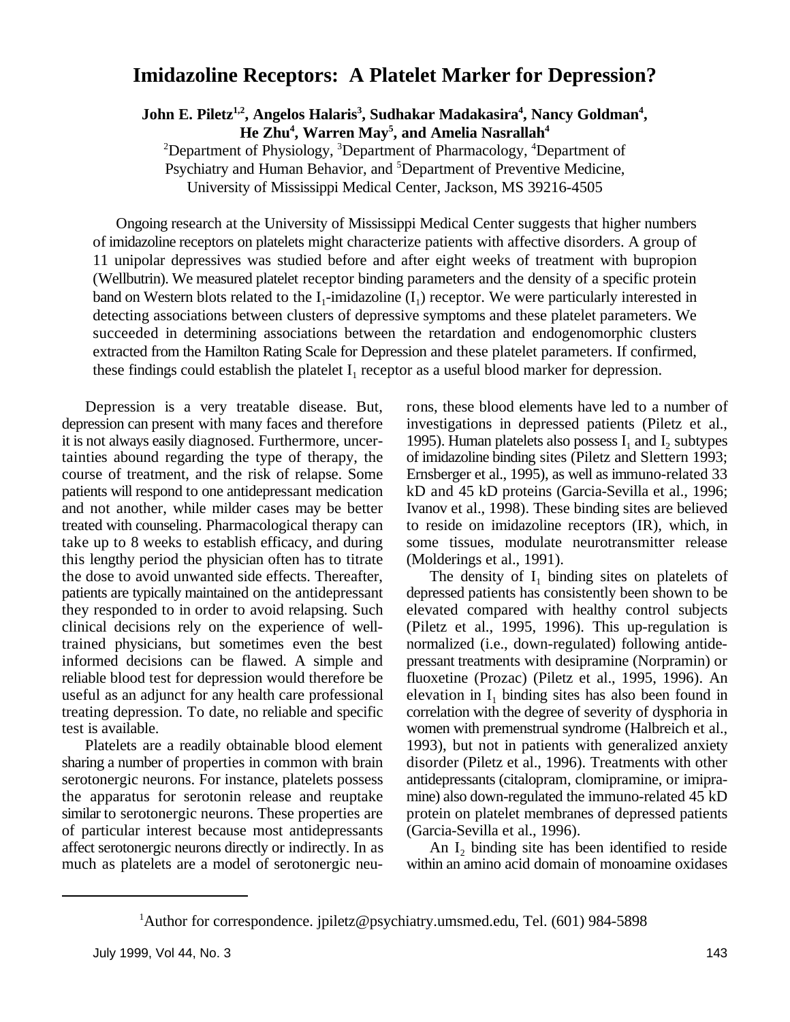### **Imidazoline Receptors: A Platelet Marker for Depression?**

**John E. Piletz , Angelos Halaris , Sudhakar Madakasira , Nancy Goldman , 1,2 3 4 4 He**  $\mathbb{Z}$ hu<sup>4</sup>, Warren  $\text{May}^5$ , and Amelia Nasrallah<sup>4</sup>

<sup>2</sup>Department of Physiology, <sup>3</sup>Department of Pharmacology, <sup>4</sup>Department of Psychiatry and Human Behavior, and <sup>5</sup>Department of Preventive Medicine, University of Mississippi Medical Center, Jackson, MS 39216-4505

Ongoing research at the University of Mississippi Medical Center suggests that higher numbers of imidazoline receptors on platelets might characterize patients with affective disorders. A group of 11 unipolar depressives was studied before and after eight weeks of treatment with bupropion (Wellbutrin). We measured platelet receptor binding parameters and the density of a specific protein band on Western blots related to the  $I_1$ -imidazoline  $(I_1)$  receptor. We were particularly interested in detecting associations between clusters of depressive symptoms and these platelet parameters. We succeeded in determining associations between the retardation and endogenomorphic clusters extracted from the Hamilton Rating Scale for Depression and these platelet parameters. If confirmed, these findings could establish the platelet  $I_1$  receptor as a useful blood marker for depression.

depression can present with many faces and therefore investigations in depressed patients (Piletz et al., it is not always easily diagnosed. Furthermore, uncertainties abound regarding the type of therapy, the of imidazoline binding sites (Piletz and Slettern 1993; course of treatment, and the risk of relapse. Some Ernsberger et al., 1995), as well as immuno-related 33 patients will respond to one antidepressant medication kD and 45 kD proteins (Garcia-Sevilla et al., 1996; and not another, while milder cases may be better Ivanov et al., 1998). These binding sites are believed treated with counseling. Pharmacological therapy can to reside on imidazoline receptors (IR), which, in take up to 8 weeks to establish efficacy, and during some tissues, modulate neurotransmitter release this lengthy period the physician often has to titrate (Molderings et al., 1991). the dose to avoid unwanted side effects. The reafter, patients are typically maintained on the antidepressant depressed patients has consistently been shown to be they responded to in order to avoid relapsing. Such elevated compared with healthy control subjects clinical decisions rely on the experience of well- (Piletz et al., 1995, 1996). This up-regulation is trained physicians, but sometimes even the best normalized (i.e., down-regulated) following antideinformed decisions can be flawed. A simple and pressant treatments with desipramine (Norpramin) or reliable blood test for depression would therefore be fluoxetine (Prozac) (Piletz et al., 1995, 1996). An useful as an adjunct for any health care professional treating depression. To date, no reliable and specific correlation with the degree of severity of dysphoria in test is available. women with premenstrual syndrome (Halbreich et al.,

sharing a number of properties in common with brain disorder (Piletz et al., 1996). Treatments with other serotonergic neurons. For instance, platelets possess antidepressants (citalopram, clomipramine, or imiprathe apparatus for serotonin release and reuptake mine) also down-regulated the immuno-related 45 kD similar to serotonergic neurons. These properties are protein on platelet membranes of depressed patients of particular interest because most antidepressants (Garcia-Sevilla et al., 1996). affect serotonergic neurons directly or indirectly. In as much as platelets are a model of serotonergic neu-<br>within an amino acid domain of monoamine oxidases

Depression is a very treatable disease. But, rons, these blood elements have led to a number of 1995). Human platelets also possess  $I_1$  and  $I_2$  subtypes

Platelets are a readily obtainable blood element 1993), but not in patients with generalized anxiety The density of  $I_1$  binding sites on platelets of elevation in  $I_1$  binding sites has also been found in

An I<sub>2</sub> binding site has been identified to reside

<sup>&</sup>lt;sup>1</sup>Author for correspondence. jpiletz@psychiatry.umsmed.edu, Tel. (601) 984-5898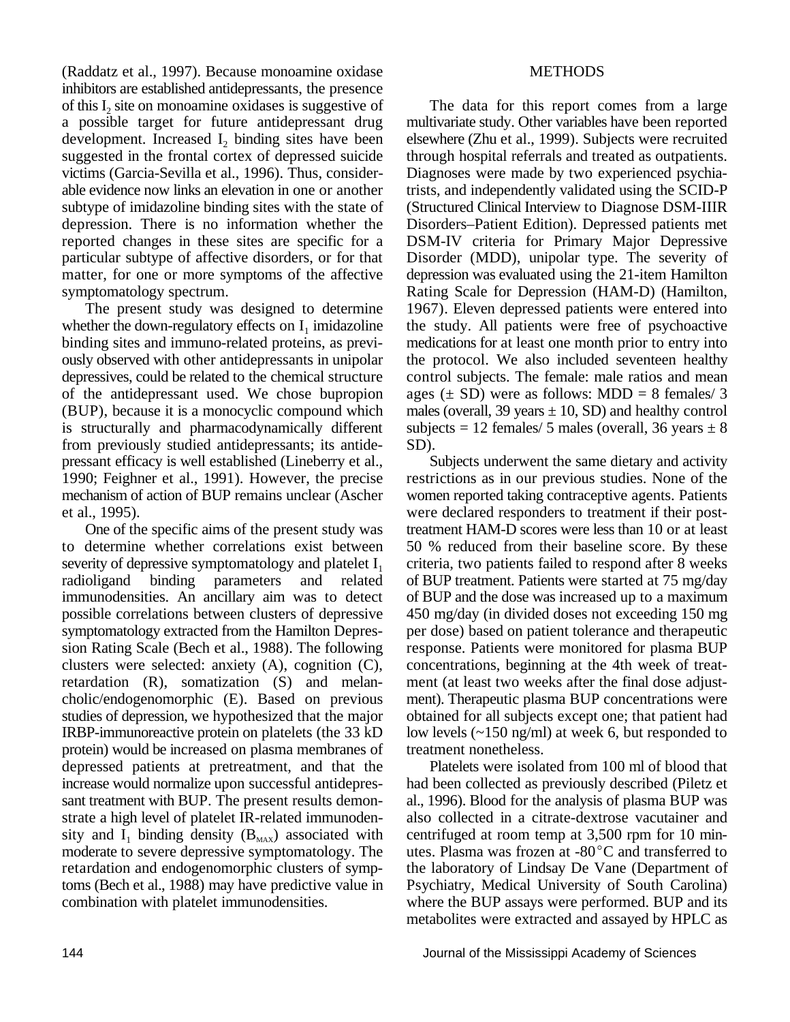(Raddatz et al., 1997). Because monoamine oxidase METHODS inhibitors are established antidepressants, the presence of this  $I_2$  site on monoamine oxidases is suggestive of a possible target for future antidepressant drug multivariate study. Other variables have been reported development. Increased  $I_2$  binding sites have been elsewhere (Zhu et al., 1999). Subjects were recruited suggested in the frontal cortex of depressed suicide through hospital referrals and treated as outpatients. suggested in the frontal cortex of depressed suicide victims (Garcia-Sevilla et al., 1996). Thus, consider- Diagnoses were made by two experienced psychiaable evidence now links an elevation in one or another trists, and independently validated using the SCID-P subtype of imidazoline binding sites with the state of (Structured Clinical Interview to Diagnose DSM-IIIR depression. There is no information whether the Disorders–Patient Edition). Depressed patients met reported changes in these sites are specific for a DSM-IV criteria for Primary Major Depressive particular subtype of affective disorders, or for that Disorder (MDD), unipolar type. The severity of matter, for one or more symptoms of the affective depression was evaluated using the 21-item Hamilton symptomatology spectrum. Rating Scale for Depression (HAM-D) (Hamilton,

whether the down-regulatory effects on  $I_1$  imidazoline binding sites and immuno-related proteins, as previ- medications for at least one month prior to entry into ously observed with other antidepressants in unipolar the protocol. We also included seventeen healthy depressives, could be related to the chemical structure control subjects. The female: male ratios and mean of the antidepressant used. We chose bupropion ages  $(\pm SD)$  were as follows: MDD = 8 females/ 3 (BUP), because it is a monocyclic compound which males (overall, 39 years  $\pm$  10, SD) and healthy control is structurally and pharmacodynamically different subjects = 12 females/ 5 males (overall, 36 years  $\pm$  8 from previously studied antidepressants; its antide- SD). pressant efficacy is well established (Lineberry et al., Subjects underwent the same dietary and activity 1990; Feighner et al., 1991). However, the precise restrictions as in our previous studies. None of the mechanism of action of BUP remains unclear (Ascher women reported taking contraceptive agents. Patients et al., 1995). were declared responders to treatment if their post-

to determine whether correlations exist between 50 % reduced from their baseline score. By these severity of depressive symptomatology and platelet  $I_1$  criteria, two patients failed to respond after 8 weeks radioligand binding parameters and related of BUP treatment. Patients were started at 75 mg/day immunodensities. An ancillary aim was to detect of BUP and the dose was increased up to a maximum possible correlations between clusters of depressive 450 mg/day (in divided doses not exceeding 150 mg symptomatology extracted from the Hamilton Depres- per dose) based on patient tolerance and therapeutic sion Rating Scale (Bech et al., 1988). The following response. Patients were monitored for plasma BUP clusters were selected: anxiety (A), cognition (C), concentrations, beginning at the 4th week of treatretardation (R), somatization (S) and melan- ment (at least two weeks after the final dose adjustcholic/endogenomorphic (E). Based on previous ment). Therapeutic plasma BUP concentrations were studies of depression, we hypothesized that the major obtained for all subjects except one; that patient had IRBP-immunoreactive protein on platelets (the 33 kD low levels  $\left(\sim 150 \text{ ng/ml}\right)$  at week 6, but responded to protein) would be increased on plasma membranes of treatment nonetheless. depressed patients at pretreatment, and that the Platelets were isolated from 100 ml of blood that increase would normalize upon successful antidepres- had been collected as previously described (Piletz et sant treatment with BUP. The present results demon- al., 1996). Blood for the analysis of plasma BUP was strate a high level of platelet IR-related immunoden- also collected in a citrate-dextrose vacutainer and sity and  $I_1$  binding density ( $B_{MAX}$ ) associated with centrifuged at room temp at 3,500 rpm for 10 min-<br>moderate to severe depressive symptomatology. The utes. Plasma was frozen at -80°C and transferred to retardation and endogenomorphic clusters of symp- the laboratory of Lindsay De Vane (Department of toms (Bech et al., 1988) may have predictive value in Psychiatry, Medical University of South Carolina) combination with platelet immunodensities. where the BUP assays were performed. BUP and its

The data for this report comes from a large The present study was designed to determine 1967). Eleven depressed patients were entered into the study. All patients were free of psychoactive

One of the specific aims of the present study was treatment HAM-D scores were less than 10 or at least binding parameters and related of BUP treatment. Patients were started at 75 mg/day

utes. Plasma was frozen at  $-80^{\circ}$ C and transferred to metabolites were extracted and assayed by HPLC as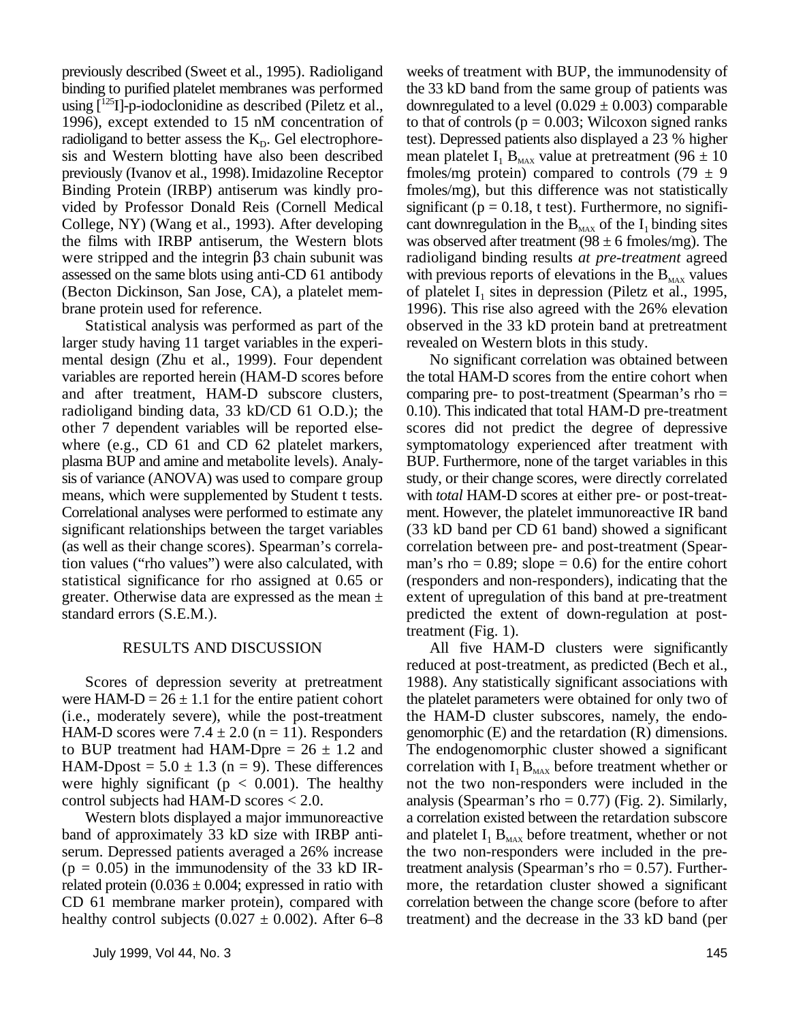using  $[^{125}I]$ -p-iodoclonidine as described (Piletz et al., downregulated to a level (0.029  $\pm$  0.003) comparable sis and Western blotting have also been described mean platelet  $I_1 B_{MAX}$  value at pretreatment (96  $\pm$  10 previously (Ivanov et al., 1998). Imidazoline Receptor fmoles/mg protein) compared to controls (79  $\pm$  9 Binding Protein (IRBP) antiserum was kindly pro- fmoles/mg), but this difference was not statistically vided by Professor Donald Reis (Cornell Medical significant  $(p = 0.18, t \text{ test})$ ). Furthermore, no signifi-College, NY) (Wang et al., 1993). After developing cant downregulation in the  $B_{MAX}$  of the  $I_1$  binding sites the films with IRBP antiserum, the Western blots was observed after treatment  $(98 \pm 6 \text{ fmoles/mg})$ . The were stripped and the integrin \$3 chain subunit was radioligand binding results *at pre-treatment* agreed assessed on the same blots using anti-CD 61 antibody with previous reports of elevations in the  $B_{MAX}$  values (Becton Dickinson, San Jose, CA), a platelet mem- of platelet  $I_1$  sites in depression (Piletz et al., 1995,

larger study having 11 target variables in the experi- revealed on Western blots in this study. mental design (Zhu et al., 1999). Four dependent No significant correlation was obtained between variables are reported herein (HAM-D scores before the total HAM-D scores from the entire cohort when and after treatment, HAM-D subscore clusters, comparing pre- to post-treatment (Spearman's rho = radioligand binding data, 33 kD/CD 61 O.D.); the 0.10. This indicated that total HAM-D pre-treatment other 7 dependent variables will be reported else- scores did not predict the degree of depressive where (e.g., CD 61 and CD 62 platelet markers, symptomatology experienced after treatment with plasma BUP and amine and metabolite levels). Analy- BUP. Furthermore, none of the target variables in this sis of variance (ANOVA) was used to compare group study, or their change scores, were directly correlated means, which were supplemented by Student t tests. with *total* HAM-D scores at either pre- or post-treat-Correlational analyses were performed to estimate any ment. However, the platelet immunoreactive IR band significant relationships between the target variables (33 kD band per CD 61 band) showed a significant (as well as their change scores). Spearman's correla- correlation between pre- and post-treatment (Speartion values ("rho values") were also calculated, with man's rho =  $0.89$ ; slope =  $0.6$ ) for the entire cohort statistical significance for rho assigned at 0.65 or (responders and non-responders), indicating that the greater. Otherwise data are expressed as the mean  $\pm$  extent of upregulation of this band at pre-treatment standard errors (S.E.M.). predicted the extent of down-regulation at post-

were HAM-D =  $26 \pm 1.1$  for the entire patient cohort the platelet parameters were obtained for only two of (i.e., moderately severe), while the post-treatment the HAM-D cluster subscores, namely, the endo-HAM-D scores were 7.4  $\pm$  2.0 (n = 11). Responders genomorphic (E) and the retardation (R) dimensions. to BUP treatment had HAM-Dpre  $= 26 \pm 1.2$  and The endogenomorphic cluster showed a significant HAM-Dpost =  $5.0 \pm 1.3$  (n = 9). These differences correlation with  $I_1 B_{\text{max}}$  before treatment whether or were highly significant ( $p < 0.001$ ). The healthy not the two non-responders were included in the control subjects had HAM-D scores  $< 2.0$ . analysis (Spearman's rho = 0.77) (Fig. 2). Similarly,

band of approximately 33 kD size with IRBP anti- and platelet  $I_1 B_{MAX}$  before treatment, whether or not serum. Depressed patients averaged a 26% increase the two non-responders were included in the pre- $(p = 0.05)$  in the immunodensity of the 33 kD IR- treatment analysis (Spearman's rho = 0.57). Furtherrelated protein  $(0.036 \pm 0.004)$ ; expressed in ratio with more, the retardation cluster showed a significant

previously described (Sweet et al., 1995). Radioligand weeks of treatment with BUP, the immunodensity of binding to purified platelet membranes was performed the 33 kD band from the same group of patients was 1996), except extended to 15 nM concentration of to that of controls ( $p = 0.003$ ; Wilcoxon signed ranks radioligand to better assess the  $K_p$ . Gel electrophore- test). Depressed patients also displayed a 23 % higher brane protein used for reference. 1996). This rise also agreed with the 26% elevation Statistical analysis was performed as part of the observed in the 33 kD protein band at pretreatment

treatment (Fig. 1).

RESULTS AND DISCUSSION All five HAM-D clusters were significantly Scores of depression severity at pretreatment 1988). Any statistically significant associations with Western blots displayed a major immunoreactive a correlation existed between the retardation subscore CD 61 membrane marker protein), compared with correlation between the change score (before to after healthy control subjects  $(0.027 \pm 0.002)$ . After 6–8 treatment) and the decrease in the 33 kD band (per reduced at post-treatment, as predicted (Bech et al.,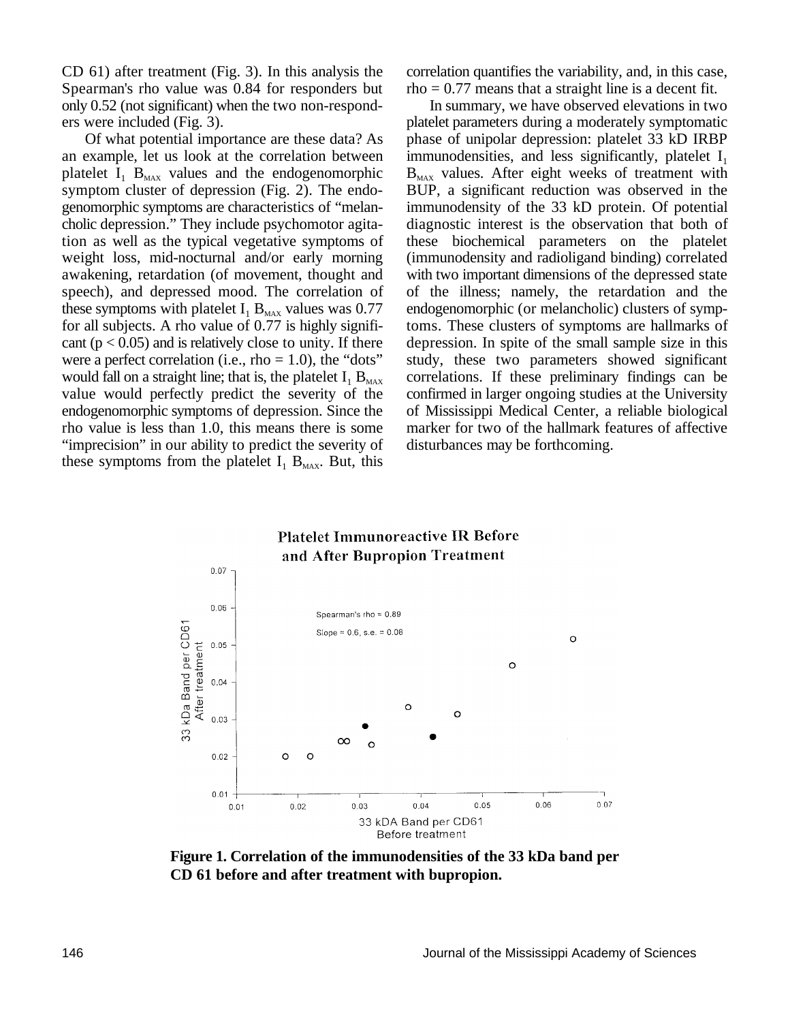CD 61) after treatment (Fig. 3). In this analysis the correlation quantifies the variability, and, in this case, Spearman's rho value was 0.84 for responders but rho  $= 0.77$  means that a straight line is a decent fit. only 0.52 (not significant) when the two non-respond- In summary, we have observed elevations in two

an example, let us look at the correlation between immunodensities, and less significantly, platelet  $I_1$ platelet  $I_1$   $B_{\text{max}}$  values and the endogenomorphic  $B_{\text{max}}$  values. After eight weeks of treatment with for all subjects. A rho value of  $0.77$  is highly signifivalue would perfectly predict the severity of the "imprecision" in our ability to predict the severity of disturbances may be forthcoming. these symptoms from the platelet  $I_1$  B<sub>MAX</sub>. But, this

ers were included (Fig. 3). platelet parameters during a moderately symptomatic Of what potential importance are these data? As phase of unipolar depression: platelet 33 kD IRBP symptom cluster of depression (Fig. 2). The endo- BUP, a significant reduction was observed in the genomorphic symptoms are characteristics of "melan- immunodensity of the 33 kD protein. Of potential cholic depression." They include psychomotor agita- diagnostic interest is the observation that both of tion as well as the typical vegetative symptoms of these biochemical parameters on the platelet weight loss, mid-nocturnal and/or early morning (immunodensity and radioligand binding) correlated awakening, retardation (of movement, thought and with two important dimensions of the depressed state speech), and depressed mood. The correlation of of the illness; namely, the retardation and the these symptoms with platelet  $I_1 B_{MAX}$  values was 0.77 endogenomorphic (or melancholic) clusters of symptom are hallmarks of  $0.77$  is highly signifi-<br>for all subjects. A rho value of 0.77 is highly significant  $(p < 0.05)$  and is relatively close to unity. If there depression. In spite of the small sample size in this were a perfect correlation (i.e., rho  $= 1.0$ ), the "dots" study, these two parameters showed significant would fall on a straight line; that is, the platelet  $I_1 B_{MAX}$  correlations. If these preliminary findings can be value would perfectly predict the severity of the confirmed in larger ongoing studies at the University endogenomorphic symptoms of depression. Since the of Mississippi Medical Center, a reliable biological rho value is less than 1.0, this means there is some marker for two of the hallmark features of affective



**Figure 1. Correlation of the immunodensities of the 33 kDa band per CD 61 before and after treatment with bupropion.**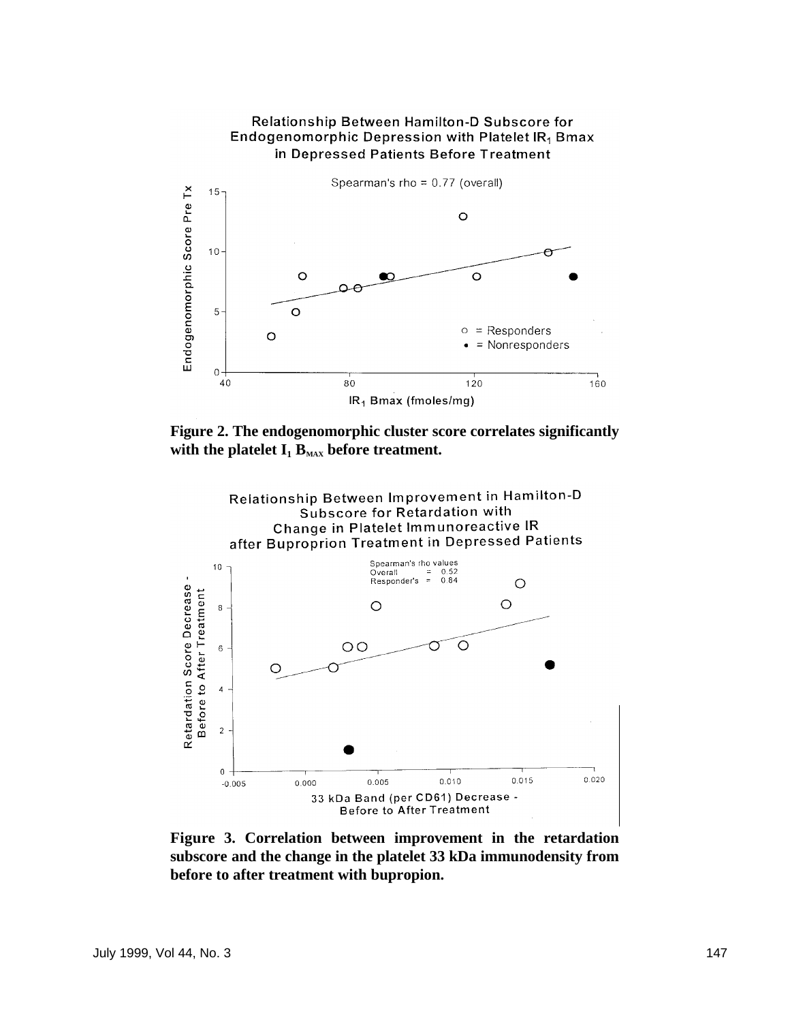

**Figure 2. The endogenomorphic cluster score correlates significantly** with the platelet  $I_1$   $B_{MAX}$  before treatment.



**Figure 3. Correlation between improvement in the retardation subscore and the change in the platelet 33 kDa immunodensity from before to after treatment with bupropion.**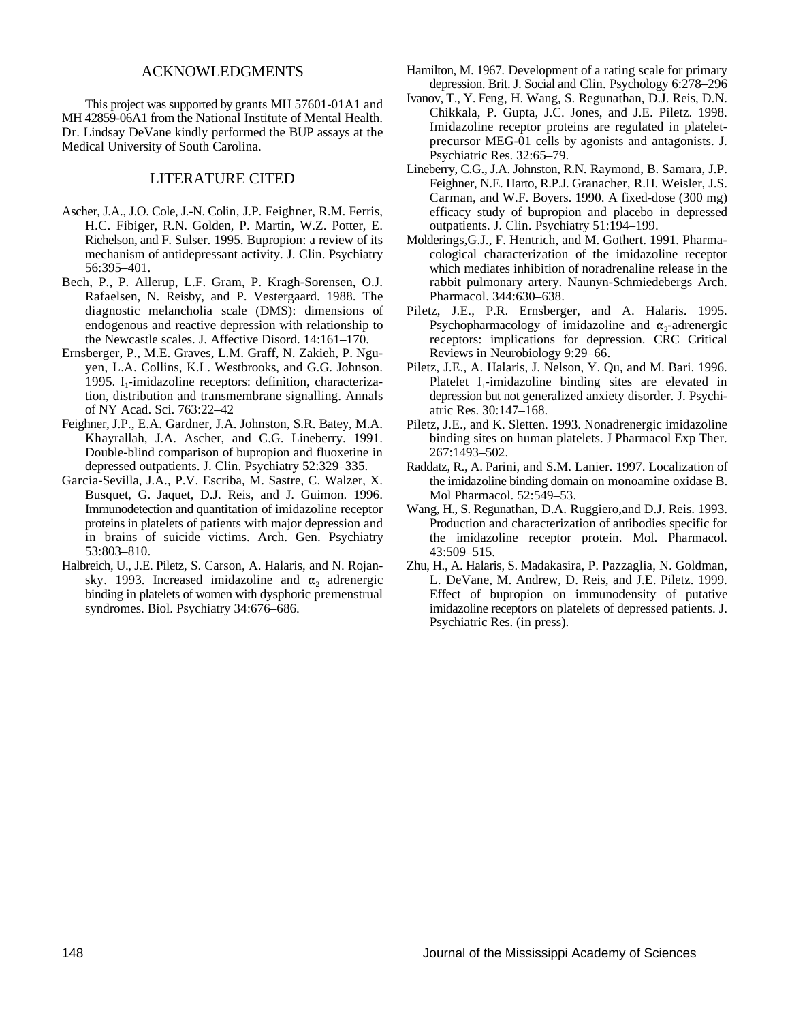### ACKNOWLEDGMENTS

This project was supported by grants MH 57601-01A1 and MH 42859-06A1 from the National Institute of Mental Health. Dr. Lindsay DeVane kindly performed the BUP assays at the Medical University of South Carolina.

### LITERATURE CITED

- Ascher, J.A., J.O. Cole, J.-N. Colin, J.P. Feighner, R.M. Ferris, H.C. Fibiger, R.N. Golden, P. Martin, W.Z. Potter, E. Richelson, and F. Sulser. 1995. Bupropion: a review of its mechanism of antidepressant activity. J. Clin. Psychiatry 56:395–401.
- Bech, P., P. Allerup, L.F. Gram, P. Kragh-Sorensen, O.J. Rafaelsen, N. Reisby, and P. Vestergaard. 1988. The diagnostic melancholia scale (DMS): dimensions of endogenous and reactive depression with relationship to the Newcastle scales. J. Affective Disord. 14:161–170.
- Ernsberger, P., M.E. Graves, L.M. Graff, N. Zakieh, P. Nguyen, L.A. Collins, K.L. Westbrooks, and G.G. Johnson. 1995. I<sub>1</sub>-imidazoline receptors: definition, characterization, distribution and transmembrane signalling. Annals of NY Acad. Sci. 763:22–42
- Feighner, J.P., E.A. Gardner, J.A. Johnston, S.R. Batey, M.A. Khayrallah, J.A. Ascher, and C.G. Lineberry. 1991. Double-blind comparison of bupropion and fluoxetine in depressed outpatients. J. Clin. Psychiatry 52:329–335.
- Garcia-Sevilla, J.A., P.V. Escriba, M. Sastre, C. Walzer, X. Busquet, G. Jaquet, D.J. Reis, and J. Guimon. 1996. Immunodetection and quantitation of imidazoline receptor proteins in platelets of patients with major depression and in brains of suicide victims. Arch. Gen. Psychiatry 53:803–810.
- Halbreich, U., J.E. Piletz, S. Carson, A. Halaris, and N. Rojansky. 1993. Increased imidazoline and  $\alpha_2$  adrenergic binding in platelets of women with dysphoric premenstrual syndromes. Biol. Psychiatry 34:676–686.
- Hamilton, M. 1967. Development of a rating scale for primary depression. Brit. J. Social and Clin. Psychology 6:278–296
- Ivanov, T., Y. Feng, H. Wang, S. Regunathan, D.J. Reis, D.N. Chikkala, P. Gupta, J.C. Jones, and J.E. Piletz. 1998. Imidazoline receptor proteins are regulated in plateletprecursor MEG-01 cells by agonists and antagonists. J. Psychiatric Res. 32:65–79.
- Lineberry, C.G., J.A. Johnston, R.N. Raymond, B. Samara, J.P. Feighner, N.E. Harto, R.P.J. Granacher, R.H. Weisler, J.S. Carman, and W.F. Boyers. 1990. A fixed-dose (300 mg) efficacy study of bupropion and placebo in depressed outpatients. J. Clin. Psychiatry 51:194–199.
- Molderings,G.J., F. Hentrich, and M. Gothert. 1991. Pharmacological characterization of the imidazoline receptor which mediates inhibition of noradrenaline release in the rabbit pulmonary artery. Naunyn-Schmiedebergs Arch. Pharmacol. 344:630–638.
- Piletz, J.E., P.R. Ernsberger, and A. Halaris. 1995. Psychopharmacology of imidazoline and  $\alpha_2$ -adrenergic receptors: implications for depression. CRC Critical Reviews in Neurobiology 9:29–66.
- Piletz, J.E., A. Halaris, J. Nelson, Y. Qu, and M. Bari. 1996. Platelet  $I_1$ -imidazoline binding sites are elevated in depression but not generalized anxiety disorder. J. Psychiatric Res. 30:147–168.
- Piletz, J.E., and K. Sletten. 1993. Nonadrenergic imidazoline binding sites on human platelets. J Pharmacol Exp Ther. 267:1493–502.
- Raddatz, R., A. Parini, and S.M. Lanier. 1997. Localization of the imidazoline binding domain on monoamine oxidase B. Mol Pharmacol. 52:549–53.
- Wang, H., S. Regunathan, D.A. Ruggiero,and D.J. Reis. 1993. Production and characterization of antibodies specific for the imidazoline receptor protein. Mol. Pharmacol. 43:509–515.
- Zhu, H., A. Halaris, S. Madakasira, P. Pazzaglia, N. Goldman, L. DeVane, M. Andrew, D. Reis, and J.E. Piletz. 1999. Effect of bupropion on immunodensity of putative imidazoline receptors on platelets of depressed patients. J. Psychiatric Res. (in press).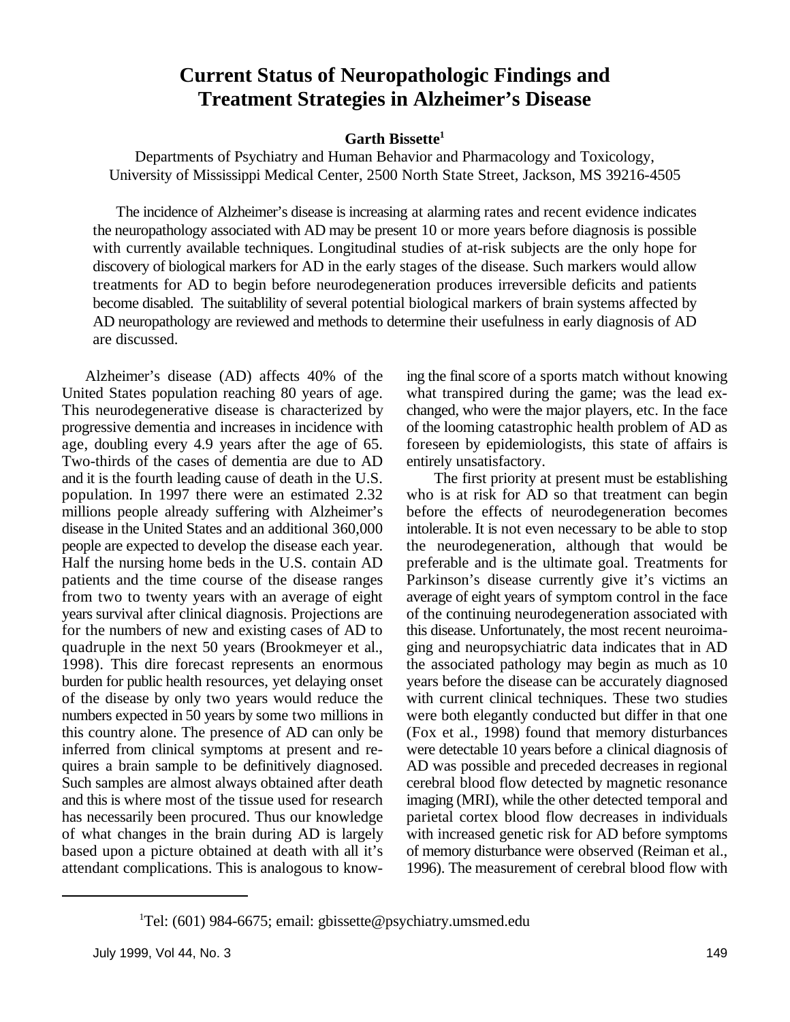### **Current Status of Neuropathologic Findings and Treatment Strategies in Alzheimer's Disease**

### **Garth Bissette<sup>1</sup>**

Departments of Psychiatry and Human Behavior and Pharmacology and Toxicology, University of Mississippi Medical Center, 2500 North State Street, Jackson, MS 39216-4505

The incidence of Alzheimer's disease is increasing at alarming rates and recent evidence indicates the neuropathology associated with AD may be present 10 or more years before diagnosis is possible with currently available techniques. Longitudinal studies of at-risk subjects are the only hope for discovery of biological markers for AD in the early stages of the disease. Such markers would allow treatments for AD to begin before neurodegeneration produces irreversible deficits and patients become disabled. The suitablility of several potential biological markers of brain systems affected by AD neuropathology are reviewed and methods to determine their usefulness in early diagnosis of AD are discussed.

United States population reaching 80 years of age. what transpired during the game; was the lead ex-This neurodegenerative disease is characterized by changed, who were the major players, etc. In the face progressive dementia and increases in incidence with of the looming catastrophic health problem of AD as age, doubling every 4.9 years after the age of 65. foreseen by epidemiologists, this state of affairs is Two-thirds of the cases of dementia are due to AD entirely unsatisfactory. and it is the fourth leading cause of death in the U.S. The first priority at present must be establishing population. In 1997 there were an estimated 2.32 who is at risk for AD so that treatment can begin millions people already suffering with Alzheimer's before the effects of neurodegeneration becomes disease in the United States and an additional 360,000 intolerable. It is not even necessary to be able to stop people are expected to develop the disease each year. the neurodegeneration, although that would be Half the nursing home beds in the U.S. contain AD preferable and is the ultimate goal. Treatments for patients and the time course of the disease ranges Parkinson's disease currently give it's victims an from two to twenty years with an average of eight average of eight years of symptom control in the face years survival after clinical diagnosis. Projections are of the continuing neurodegeneration associated with for the numbers of new and existing cases of AD to this disease. Unfortunately, the most recent neuroimaquadruple in the next 50 years (Brookmeyer et al., ging and neuropsychiatric data indicates that in AD 1998). This dire forecast represents an enormous the associated pathology may begin as much as 10 burden for public health resources, yet delaying onset vears before the disease can be accurately diagnosed of the disease by only two years would reduce the with current clinical techniques. These two studies numbers expected in 50 years by some two millions in were both elegantly conducted but differ in that one this country alone. The presence of AD can only be (Fox et al., 1998) found that memory disturbances inferred from clinical symptoms at present and re-<br>quires a brain sample to be definitively diagnosed. AD was possible and preceded decreases in regional quires a brain sample to be definitively diagnosed. Such samples are almost always obtained after death cerebral blood flow detected by magnetic resonance and this is where most of the tissue used for research imaging (MRI), while the other detected temporal and has necessarily been procured. Thus our knowledge parietal cortex blood flow decreases in individuals of what changes in the brain during AD is largely with increased genetic risk for AD before symptoms based upon a picture obtained at death with all it's of memory disturbance were observed (Reiman et al., attendant complications. This is analogous to know- 1996). The measurement of cerebral blood flow with

Alzheimer's disease (AD) affects 40% of the ing the final score of a sports match without knowing

<sup>&</sup>lt;sup>1</sup>Tel: (601) 984-6675; email: gbissette@psychiatry.umsmed.edu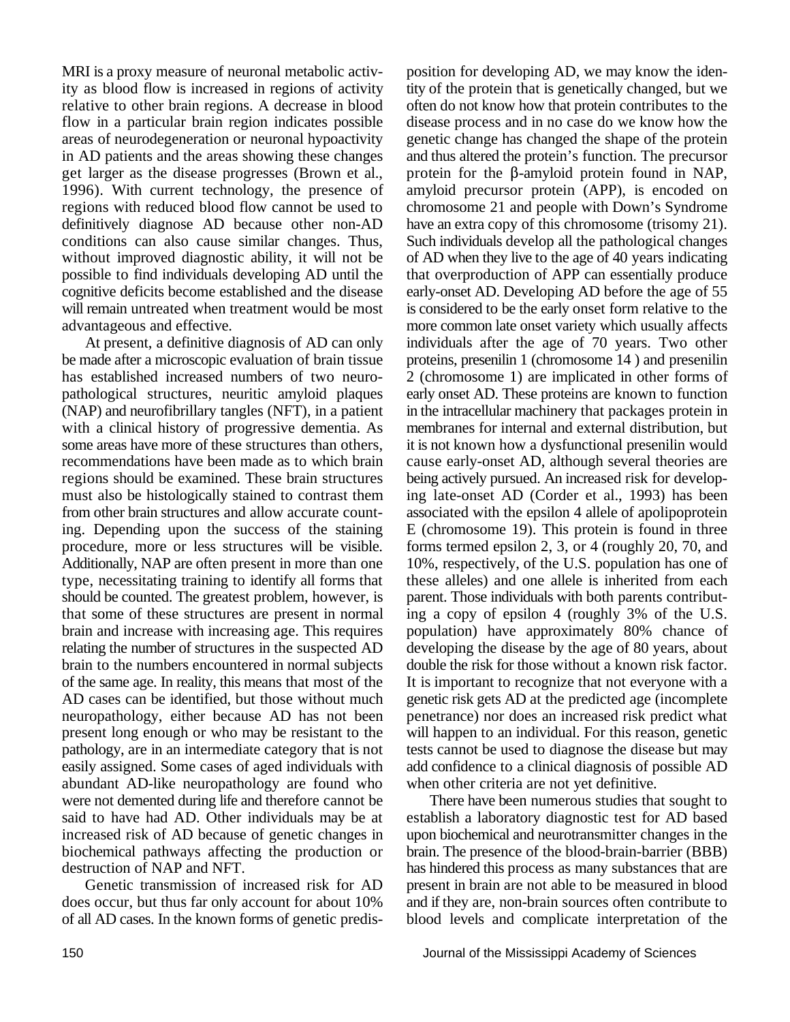MRI is a proxy measure of neuronal metabolic activ-<br>position for developing AD, we may know the iden-

regions should be examined. These brain structures being actively pursued. An increased risk for developshould be counted. The greatest problem, however, is parent. Those individuals with both parents contributabundant AD-like neuropathology are found who when other criteria are not yet definitive. were not demented during life and therefore cannot be There have been numerous studies that sought to said to have had AD. Other individuals may be at establish a laboratory diagnostic test for AD based increased risk of AD because of genetic changes in upon biochemical and neurotransmitter changes in the biochemical pathways affecting the production or brain. The presence of the blood-brain-barrier (BBB) destruction of NAP and NFT.

ity as blood flow is increased in regions of activity tity of the protein that is genetically changed, but we relative to other brain regions. A decrease in blood often do not know how that protein contributes to the flow in a particular brain region indicates possible disease process and in no case do we know how the areas of neurodegeneration or neuronal hypoactivity genetic change has changed the shape of the protein in AD patients and the areas showing these changes and thus altered the protein's function. The precursor get larger as the disease progresses (Brown et al., protein for the  $\beta$ -amyloid protein found in NAP, 1996). With current technology, the presence of amyloid precursor protein (APP), is encoded on regions with reduced blood flow cannot be used to chromosome 21 and people with Down's Syndrome definitively diagnose AD because other non-AD have an extra copy of this chromosome (trisomy 21). conditions can also cause similar changes. Thus, Such individuals develop all the pathological changes without improved diagnostic ability, it will not be of AD when they live to the age of 40 years indicating possible to find individuals developing AD until the that overproduction of APP can essentially produce cognitive deficits become established and the disease early-onset AD. Developing AD before the age of 55 will remain untreated when treatment would be most is considered to be the early onset form relative to the advantageous and effective.<br>
At present, a definitive diagnosis of AD can only individuals after the age of 70 years. Two other individuals after the age of 70 years. Two other be made after a microscopic evaluation of brain tissue proteins, presenilin 1 (chromosome 14 ) and presenilin has established increased numbers of two neuro- 2 (chromosome 1) are implicated in other forms of pathological structures, neuritic amyloid plaques early onset AD. These proteins are known to function (NAP) and neurofibrillary tangles (NFT), in a patient in the intracellular machinery that packages protein in with a clinical history of progressive dementia. As membranes for internal and external distribution, but some areas have more of these structures than others, it is not known how a dysfunctional presenilin would recommendations have been made as to which brain cause early-onset AD, although several theories are must also be histologically stained to contrast them ing late-onset AD (Corder et al., 1993) has been from other brain structures and allow accurate count- associated with the epsilon 4 allele of apolipoprotein ing. Depending upon the success of the staining E (chromosome 19). This protein is found in three procedure, more or less structures will be visible. forms termed epsilon 2, 3, or 4 (roughly 20, 70, and Additionally, NAP are often present in more than one 10%, respectively, of the U.S. population has one of type, necessitating training to identify all forms that these alleles) and one allele is inherited from each that some of these structures are present in normal ing a copy of epsilon 4 (roughly 3% of the U.S. brain and increase with increasing age. This requires population) have approximately 80% chance of relating the number of structures in the suspected AD developing the disease by the age of 80 years, about brain to the numbers encountered in normal subjects double the risk for those without a known risk factor. of the same age. In reality, this means that most of the It is important to recognize that not everyone with a AD cases can be identified, but those without much genetic risk gets AD at the predicted age (incomplete neuropathology, either because AD has not been penetrance) nor does an increased risk predict what present long enough or who may be resistant to the will happen to an individual. For this reason, genetic pathology, are in an intermediate category that is not tests cannot be used to diagnose the disease but may easily assigned. Some cases of aged individuals with add confidence to a clinical diagnosis of possible AD

has hindered this process as many substances that are Genetic transmission of increased risk for AD present in brain are not able to be measured in blood does occur, but thus far only account for about 10% and if they are, non-brain sources often contribute to of all AD cases. In the known forms of genetic predis- blood levels and complicate interpretation of the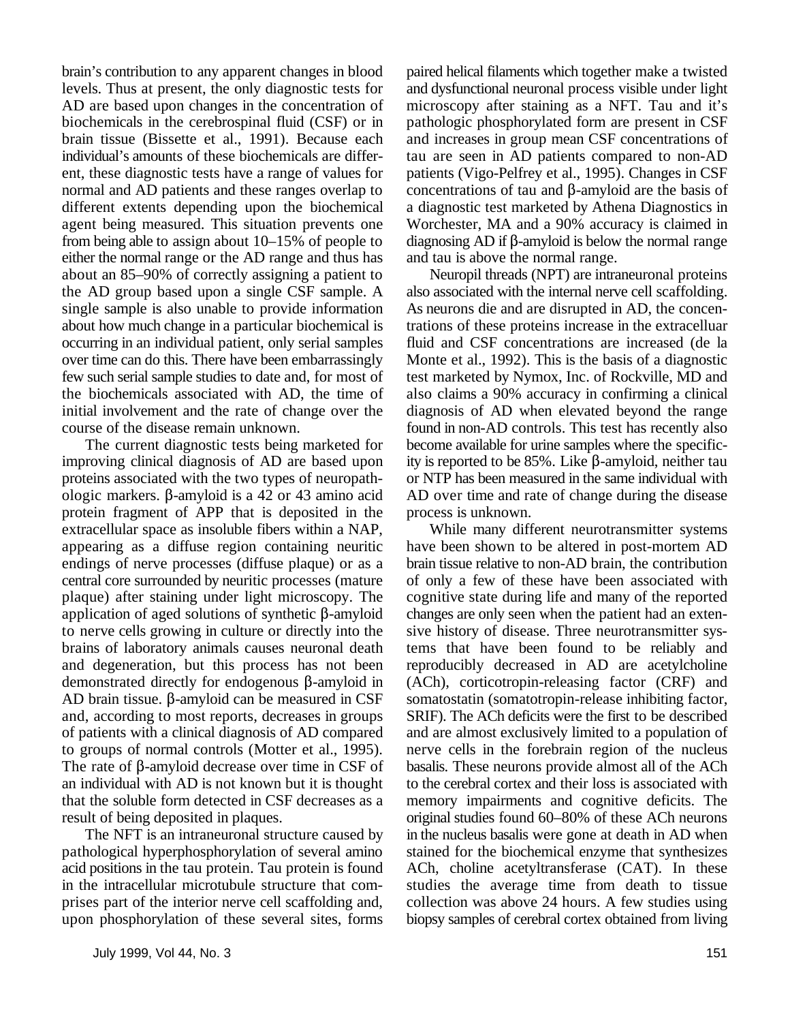brain's contribution to any apparent changes in blood paired helical filaments which together make a twisted levels. Thus at present, the only diagnostic tests for and dysfunctional neuronal process visible under light AD are based upon changes in the concentration of microscopy after staining as a NFT. Tau and it's biochemicals in the cerebrospinal fluid (CSF) or in pathologic phosphorylated form are present in CSF brain tissue (Bissette et al., 1991). Because each and increases in group mean CSF concentrations of individual's amounts of these biochemicals are differ- tau are seen in AD patients compared to non-AD ent, these diagnostic tests have a range of values for patients (Vigo-Pelfrey et al., 1995). Changes in CSF normal and AD patients and these ranges overlap to concentrations of tau and  $\beta$ -amyloid are the basis of different extents depending upon the biochemical a diagnostic test marketed by Athena Diagnostics in agent being measured. This situation prevents one Worchester, MA and a 90% accuracy is claimed in from being able to assign about  $10-15\%$  of people to diagnosing AD if  $\beta$ -amyloid is below the normal range either the normal range or the AD range and thus has and tau is above the normal range. about an 85–90% of correctly assigning a patient to Neuropil threads (NPT) are intraneuronal proteins the AD group based upon a single CSF sample. A also associated with the internal nerve cell scaffolding. single sample is also unable to provide information As neurons die and are disrupted in AD, the concenabout how much change in a particular biochemical is trations of these proteins increase in the extracelluar occurring in an individual patient, only serial samples fluid and CSF concentrations are increased (de la over time can do this. There have been embarrassingly Monte et al., 1992). This is the basis of a diagnostic few such serial sample studies to date and, for most of test marketed by Nymox, Inc. of Rockville, MD and the biochemicals associated with AD, the time of also claims a 90% accuracy in confirming a clinical initial involvement and the rate of change over the diagnosis of AD when elevated beyond the range course of the disease remain unknown. found in non-AD controls. This test has recently also

improving clinical diagnosis of AD are based upon ity is reported to be  $85\%$ . Like  $\beta$ -amyloid, neither tau proteins associated with the two types of neuropath- or NTP has been measured in the same individual with ologic markers.  $\beta$ -amyloid is a 42 or 43 amino acid AD over time and rate of change during the disease protein fragment of APP that is deposited in the process is unknown. extracellular space as insoluble fibers within a NAP, While many different neurotransmitter systems appearing as a diffuse region containing neuritic have been shown to be altered in post-mortem AD endings of nerve processes (diffuse plaque) or as a brain tissue relative to non-AD brain, the contribution central core surrounded by neuritic processes (mature of only a few of these have been associated with plaque) after staining under light microscopy. The cognitive state during life and many of the reported application of aged solutions of synthetic  $\beta$ -amyloid changes are only seen when the patient had an extento nerve cells growing in culture or directly into the sive history of disease. Three neurotransmitter sysbrains of laboratory animals causes neuronal death tems that have been found to be reliably and and degeneration, but this process has not been reproducibly decreased in AD are acetylcholine demonstrated directly for endogenous  $\beta$ -amyloid in (ACh), corticotropin-releasing factor (CRF) and AD brain tissue.  $\beta$ -amyloid can be measured in CSF somatostatin (somatotropin-release inhibiting factor, and, according to most reports, decreases in groups SRIF). The ACh deficits were the first to be described of patients with a clinical diagnosis of AD compared and are almost exclusively limited to a population of to groups of normal controls (Motter et al., 1995). nerve cells in the forebrain region of the nucleus The rate of  $\beta$ -amyloid decrease over time in CSF of basalis. These neurons provide almost all of the ACh an individual with AD is not known but it is thought to the cerebral cortex and their loss is associated with that the soluble form detected in CSF decreases as a memory impairments and cognitive deficits. The result of being deposited in plaques. original studies found 60–80% of these ACh neurons

pathological hyperphosphorylation of several amino stained for the biochemical enzyme that synthesizes acid positions in the tau protein. Tau protein is found ACh, choline acetyltransferase (CAT). In these in the intracellular microtubule structure that com- studies the average time from death to tissue prises part of the interior nerve cell scaffolding and, collection was above 24 hours. A few studies using upon phosphorylation of these several sites, forms biopsy samples of cerebral cortex obtained from living

The current diagnostic tests being marketed for become available for urine samples where the specific-

The NFT is an intraneuronal structure caused by in the nucleus basalis were gone at death in AD when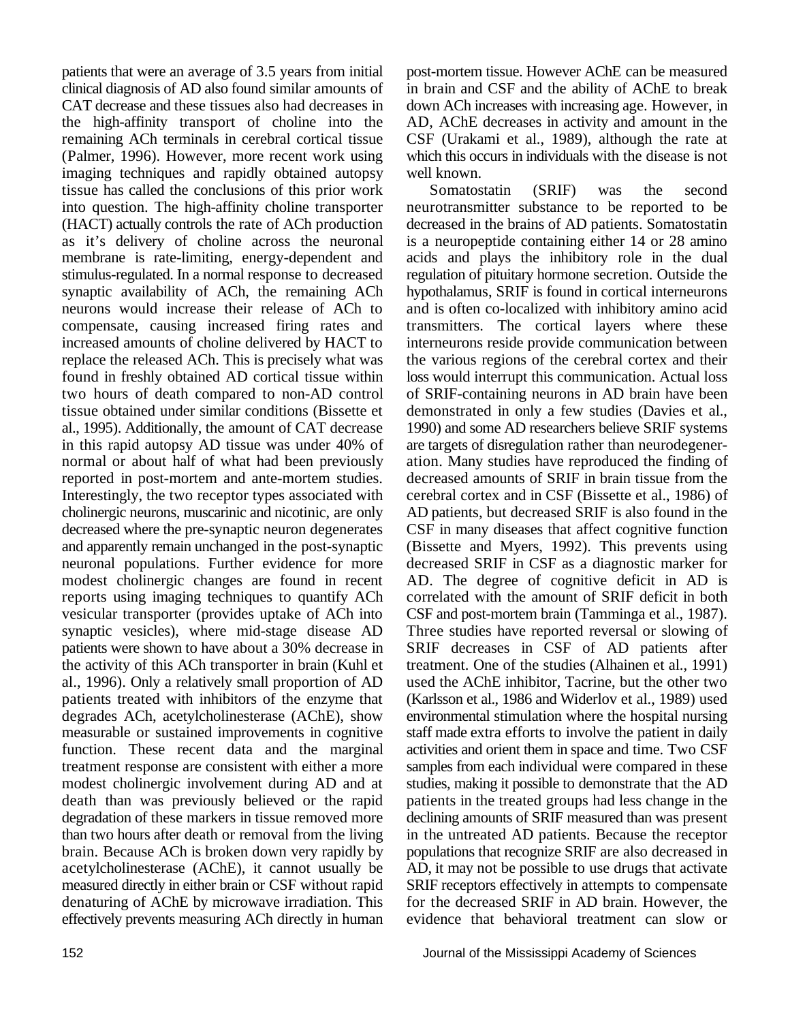clinical diagnosis of AD also found similar amounts of in brain and CSF and the ability of AChE to break CAT decrease and these tissues also had decreases in down ACh increases with increasing age. However, in the high-affinity transport of choline into the AD, AChE decreases in activity and amount in the remaining ACh terminals in cerebral cortical tissue CSF (Urakami et al., 1989), although the rate at (Palmer, 1996). However, more recent work using which this occurs in individuals with the disease is not imaging techniques and rapidly obtained autopsy well known. tissue has called the conclusions of this prior work Somatostatin (SRIF) was the second into question. The high-affinity choline transporter neurotransmitter substance to be reported to be (HACT) actually controls the rate of ACh production decreased in the brains of AD patients. Somatostatin as it's delivery of choline across the neuronal is a neuropeptide containing either 14 or 28 amino membrane is rate-limiting, energy-dependent and acids and plays the inhibitory role in the dual stimulus-regulated. In a normal response to decreased regulation of pituitary hormone secretion. Outside the synaptic availability of ACh, the remaining ACh hypothalamus, SRIF is found in cortical interneurons neurons would increase their release of ACh to and is often co-localized with inhibitory amino acid compensate, causing increased firing rates and transmitters. The cortical layers where these increased amounts of choline delivered by HACT to interneurons reside provide communication between replace the released ACh. This is precisely what was the various regions of the cerebral cortex and their found in freshly obtained AD cortical tissue within loss would interrupt this communication. Actual loss two hours of death compared to non-AD control of SRIF-containing neurons in AD brain have been tissue obtained under similar conditions (Bissette et demonstrated in only a few studies (Davies et al., al., 1995). Additionally, the amount of CAT decrease 1990) and some AD researchers believe SRIF systems in this rapid autopsy AD tissue was under 40% of are targets of disregulation rather than neurodegenernormal or about half of what had been previously ation. Many studies have reproduced the finding of reported in post-mortem and ante-mortem studies. decreased amounts of SRIF in brain tissue from the Interestingly, the two receptor types associated with cerebral cortex and in CSF (Bissette et al., 1986) of cholinergic neurons, muscarinic and nicotinic, are only AD patients, but decreased SRIF is also found in the decreased where the pre-synaptic neuron degenerates CSF in many diseases that affect cognitive function and apparently remain unchanged in the post-synaptic (Bissette and Myers, 1992). This prevents using neuronal populations. Further evidence for more decreased SRIF in CSF as a diagnostic marker for modest cholinergic changes are found in recent AD. The degree of cognitive deficit in AD is reports using imaging techniques to quantify ACh correlated with the amount of SRIF deficit in both vesicular transporter (provides uptake of ACh into CSF and post-mortem brain (Tamminga et al., 1987). synaptic vesicles), where mid-stage disease AD Three studies have reported reversal or slowing of patients were shown to have about a 30% decrease in SRIF decreases in CSF of AD patients after the activity of this ACh transporter in brain (Kuhl et treatment. One of the studies (Alhainen et al., 1991) al., 1996). Only a relatively small proportion of AD used the AChE inhibitor, Tacrine, but the other two patients treated with inhibitors of the enzyme that (Karlsson et al., 1986 and Widerlov et al., 1989) used degrades ACh, acetylcholinesterase (AChE), show environmental stimulation where the hospital nursing measurable or sustained improvements in cognitive staff made extra efforts to involve the patient in daily function. These recent data and the marginal activities and orient them in space and time. Two CSF treatment response are consistent with either a more samples from each individual were compared in these modest cholinergic involvement during AD and at studies, making it possible to demonstrate that the AD death than was previously believed or the rapid patients in the treated groups had less change in the degradation of these markers in tissue removed more declining amounts of SRIF measured than was present than two hours after death or removal from the living in the untreated AD patients. Because the receptor brain. Because ACh is broken down very rapidly by populations that recognize SRIF are also decreased in acetylcholinesterase (AChE), it cannot usually be AD, it may not be possible to use drugs that activate measured directly in either brain or CSF without rapid SRIF receptors effectively in attempts to compensate denaturing of AChE by microwave irradiation. This for the decreased SRIF in AD brain. However, the effectively prevents measuring ACh directly in human evidence that behavioral treatment can slow or

patients that were an average of 3.5 years from initial post-mortem tissue. However AChE can be measured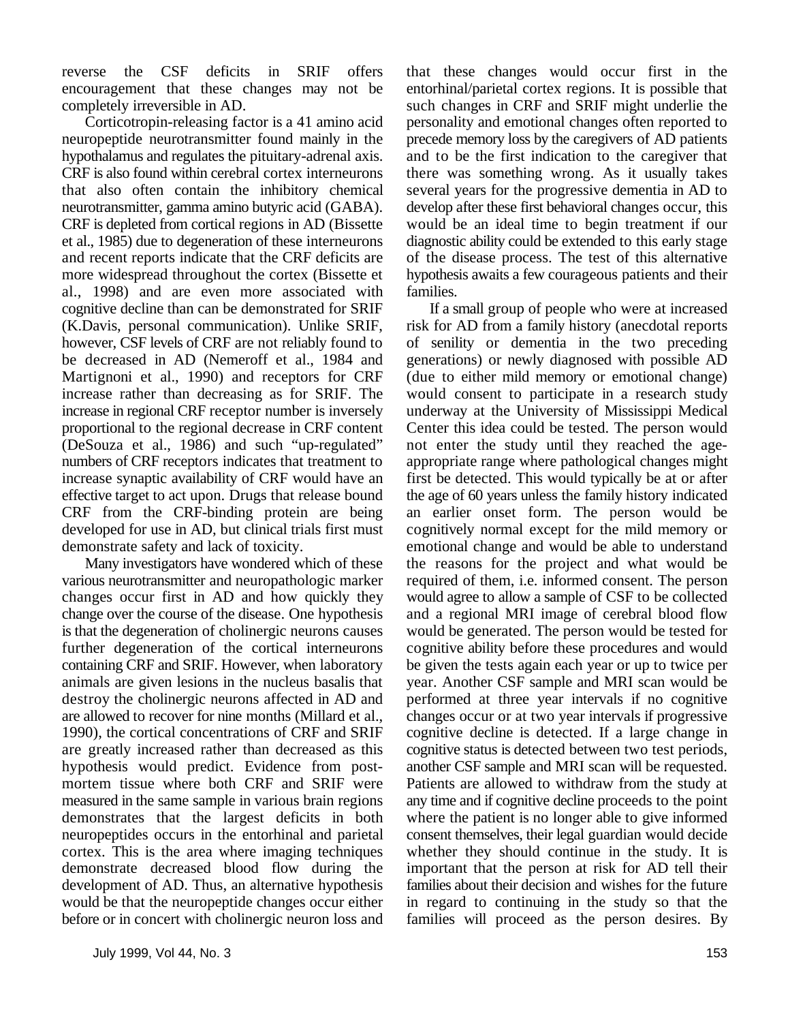reverse the CSF deficits in SRIF offers that these changes would occur first in the encouragement that these changes may not be entorhinal/parietal cortex regions. It is possible that completely irreversible in AD. such changes in CRF and SRIF might underlie the

neuropeptide neurotransmitter found mainly in the precede memory loss by the caregivers of AD patients hypothalamus and regulates the pituitary-adrenal axis. and to be the first indication to the caregiver that CRF is also found within cerebral cortex interneurons there was something wrong. As it usually takes that also often contain the inhibitory chemical several years for the progressive dementia in AD to neurotransmitter, gamma amino butyric acid (GABA). develop after these first behavioral changes occur, this CRF is depleted from cortical regions in AD (Bissette would be an ideal time to begin treatment if our et al., 1985) due to degeneration of these interneurons diagnostic ability could be extended to this early stage and recent reports indicate that the CRF deficits are of the disease process. The test of this alternative more widespread throughout the cortex (Bissette et hypothesis awaits a few courageous patients and their al., 1998) and are even more associated with families. cognitive decline than can be demonstrated for SRIF If a small group of people who were at increased (K.Davis, personal communication). Unlike SRIF, risk for AD from a family history (anecdotal reports however, CSF levels of CRF are not reliably found to of senility or dementia in the two preceding be decreased in AD (Nemeroff et al., 1984 and generations) or newly diagnosed with possible AD Martignoni et al., 1990) and receptors for CRF (due to either mild memory or emotional change) increase rather than decreasing as for SRIF. The would consent to participate in a research study increase in regional CRF receptor number is inversely underway at the University of Mississippi Medical proportional to the regional decrease in CRF content Center this idea could be tested. The person would (DeSouza et al., 1986) and such "up-regulated" not enter the study until they reached the agenumbers of CRF receptors indicates that treatment to appropriate range where pathological changes might increase synaptic availability of CRF would have an first be detected. This would typically be at or after effective target to act upon. Drugs that release bound the age of 60 years unless the family history indicated CRF from the CRF-binding protein are being an earlier onset form. The person would be developed for use in AD, but clinical trials first must cognitively normal except for the mild memory or demonstrate safety and lack of toxicity. emotional change and would be able to understand

various neurotransmitter and neuropathologic marker required of them, i.e. informed consent. The person changes occur first in AD and how quickly they would agree to allow a sample of CSF to be collected change over the course of the disease. One hypothesis and a regional MRI image of cerebral blood flow is that the degeneration of cholinergic neurons causes would be generated. The person would be tested for further degeneration of the cortical interneurons cognitive ability before these procedures and would containing CRF and SRIF. However, when laboratory be given the tests again each year or up to twice per animals are given lesions in the nucleus basalis that year. Another CSF sample and MRI scan would be destroy the cholinergic neurons affected in AD and performed at three year intervals if no cognitive are allowed to recover for nine months (Millard et al., changes occur or at two year intervals if progressive 1990), the cortical concentrations of CRF and SRIF cognitive decline is detected. If a large change in are greatly increased rather than decreased as this cognitive status is detected between two test periods, hypothesis would predict. Evidence from post- another CSF sample and MRI scan will be requested. mortem tissue where both CRF and SRIF were Patients are allowed to withdraw from the study at measured in the same sample in various brain regions any time and if cognitive decline proceeds to the point demonstrates that the largest deficits in both where the patient is no longer able to give informed neuropeptides occurs in the entorhinal and parietal consent themselves, their legal guardian would decide cortex. This is the area where imaging techniques whether they should continue in the study. It is demonstrate decreased blood flow during the important that the person at risk for AD tell their development of AD. Thus, an alternative hypothesis families about their decision and wishes for the future would be that the neuropeptide changes occur either in regard to continuing in the study so that the before or in concert with cholinergic neuron loss and families will proceed as the person desires. By

Corticotropin-releasing factor is a 41 amino acid personality and emotional changes often reported to

Many investigators have wondered which of these the reasons for the project and what would be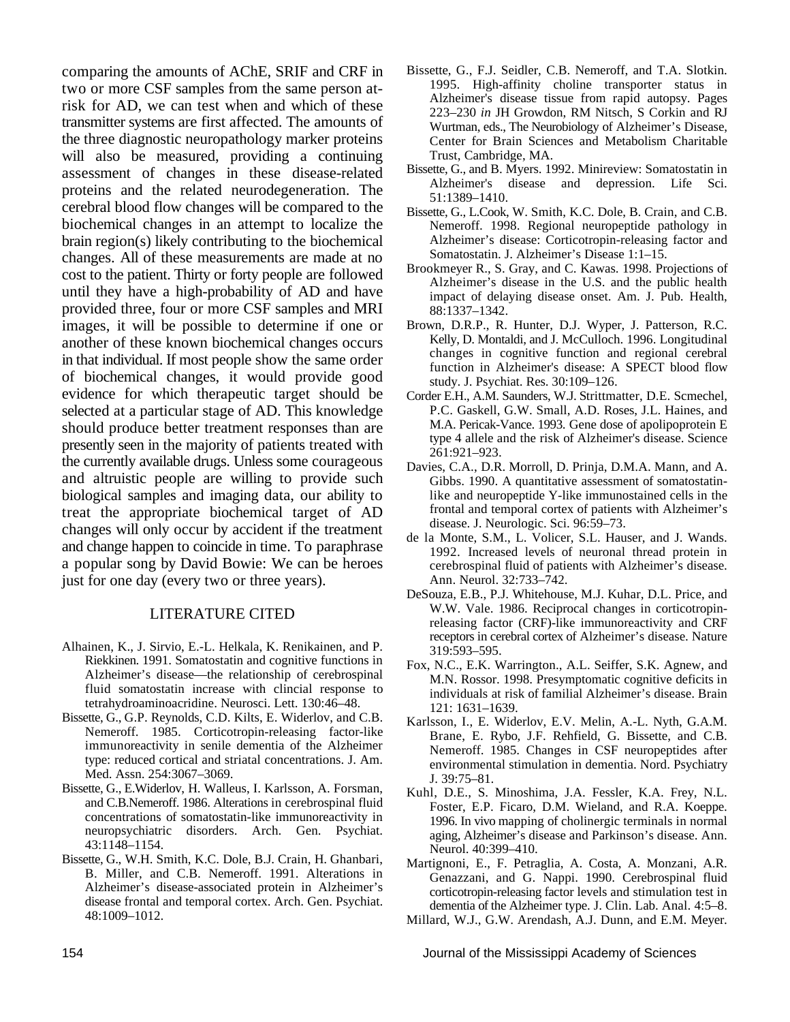comparing the amounts of AChE, SRIF and CRF in two or more CSF samples from the same person atrisk for AD, we can test when and which of these transmitter systems are first affected. The amounts of the three diagnostic neuropathology marker proteins will also be measured, providing a continuing assessment of changes in these disease-related proteins and the related neurodegeneration. The cerebral blood flow changes will be compared to the biochemical changes in an attempt to localize the brain region(s) likely contributing to the biochemical changes. All of these measurements are made at no cost to the patient. Thirty or forty people are followed until they have a high-probability of AD and have provided three, four or more CSF samples and MRI images, it will be possible to determine if one or another of these known biochemical changes occurs in that individual. If most people show the same order of biochemical changes, it would provide good evidence for which therapeutic target should be selected at a particular stage of AD. This knowledge should produce better treatment responses than are presently seen in the majority of patients treated with the currently available drugs. Unless some courageous and altruistic people are willing to provide such biological samples and imaging data, our ability to treat the appropriate biochemical target of AD changes will only occur by accident if the treatment and change happen to coincide in time. To paraphrase a popular song by David Bowie: We can be heroes just for one day (every two or three years).

### LITERATURE CITED

- Alhainen, K., J. Sirvio, E.-L. Helkala, K. Renikainen, and P. Riekkinen. 1991. Somatostatin and cognitive functions in Alzheimer's disease—the relationship of cerebrospinal fluid somatostatin increase with clincial response to tetrahydroaminoacridine. Neurosci. Lett. 130:46–48.
- Bissette, G., G.P. Reynolds, C.D. Kilts, E. Widerlov, and C.B. Nemeroff. 1985. Corticotropin-releasing factor-like immunoreactivity in senile dementia of the Alzheimer type: reduced cortical and striatal concentrations. J. Am. Med. Assn. 254:3067–3069.
- Bissette, G., E.Widerlov, H. Walleus, I. Karlsson, A. Forsman, and C.B.Nemeroff. 1986. Alterations in cerebrospinal fluid concentrations of somatostatin-like immunoreactivity in neuropsychiatric disorders. Arch. Gen. Psychiat. 43:1148–1154.
- Bissette, G., W.H. Smith, K.C. Dole, B.J. Crain, H. Ghanbari, B. Miller, and C.B. Nemeroff. 1991. Alterations in Alzheimer's disease-associated protein in Alzheimer's disease frontal and temporal cortex. Arch. Gen. Psychiat. 48:1009–1012.
- Bissette, G., F.J. Seidler, C.B. Nemeroff, and T.A. Slotkin. 1995. High-affinity choline transporter status in Alzheimer's disease tissue from rapid autopsy. Pages 223–230 *in* JH Growdon, RM Nitsch, S Corkin and RJ Wurtman, eds., The Neurobiology of Alzheimer's Disease, Center for Brain Sciences and Metabolism Charitable Trust, Cambridge, MA.
- Bissette, G., and B. Myers. 1992. Minireview: Somatostatin in Alzheimer's disease and depression. Life Sci. 51:1389–1410.
- Bissette, G., L.Cook, W. Smith, K.C. Dole, B. Crain, and C.B. Nemeroff. 1998. Regional neuropeptide pathology in Alzheimer's disease: Corticotropin-releasing factor and Somatostatin. J. Alzheimer's Disease 1:1–15.
- Brookmeyer R., S. Gray, and C. Kawas. 1998. Projections of Alzheimer's disease in the U.S. and the public health impact of delaying disease onset. Am. J. Pub. Health, 88:1337–1342.
- Brown, D.R.P., R. Hunter, D.J. Wyper, J. Patterson, R.C. Kelly, D. Montaldi, and J. McCulloch. 1996. Longitudinal changes in cognitive function and regional cerebral function in Alzheimer's disease: A SPECT blood flow study. J. Psychiat. Res. 30:109–126.
- Corder E.H., A.M. Saunders, W.J. Strittmatter, D.E. Scmechel, P.C. Gaskell, G.W. Small, A.D. Roses, J.L. Haines, and M.A. Pericak-Vance. 1993. Gene dose of apolipoprotein E type 4 allele and the risk of Alzheimer's disease. Science 261:921–923.
- Davies, C.A., D.R. Morroll, D. Prinja, D.M.A. Mann, and A. Gibbs. 1990. A quantitative assessment of somatostatinlike and neuropeptide Y-like immunostained cells in the frontal and temporal cortex of patients with Alzheimer's disease. J. Neurologic. Sci. 96:59–73.
- de la Monte, S.M., L. Volicer, S.L. Hauser, and J. Wands. 1992. Increased levels of neuronal thread protein in cerebrospinal fluid of patients with Alzheimer's disease. Ann. Neurol. 32:733–742.
- DeSouza, E.B., P.J. Whitehouse, M.J. Kuhar, D.L. Price, and W.W. Vale. 1986. Reciprocal changes in corticotropinreleasing factor (CRF)-like immunoreactivity and CRF receptors in cerebral cortex of Alzheimer's disease. Nature 319:593–595.
- Fox, N.C., E.K. Warrington., A.L. Seiffer, S.K. Agnew, and M.N. Rossor. 1998. Presymptomatic cognitive deficits in individuals at risk of familial Alzheimer's disease. Brain 121: 1631–1639.
- Karlsson, I., E. Widerlov, E.V. Melin, A.-L. Nyth, G.A.M. Brane, E. Rybo, J.F. Rehfield, G. Bissette, and C.B. Nemeroff. 1985. Changes in CSF neuropeptides after environmental stimulation in dementia. Nord. Psychiatry J. 39:75–81.
- Kuhl, D.E., S. Minoshima, J.A. Fessler, K.A. Frey, N.L. Foster, E.P. Ficaro, D.M. Wieland, and R.A. Koeppe. 1996. In vivo mapping of cholinergic terminals in normal aging, Alzheimer's disease and Parkinson's disease. Ann. Neurol. 40:399–410.
- Martignoni, E., F. Petraglia, A. Costa, A. Monzani, A.R. Genazzani, and G. Nappi. 1990. Cerebrospinal fluid corticotropin-releasing factor levels and stimulation test in dementia of the Alzheimer type. J. Clin. Lab. Anal. 4:5–8.
- Millard, W.J., G.W. Arendash, A.J. Dunn, and E.M. Meyer.

154 Journal of the Mississippi Academy of Sciences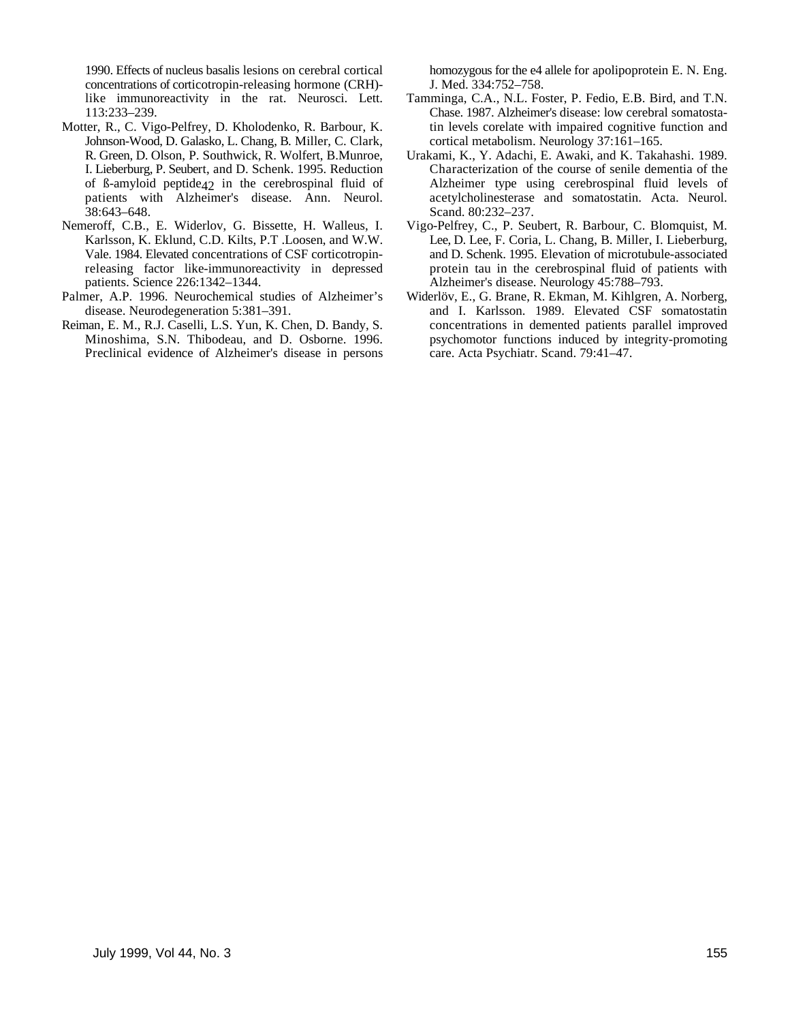concentrations of corticotropin-releasing hormone (CRH)- J. Med. 334:752–758.

- Motter, R., C. Vigo-Pelfrey, D. Kholodenko, R. Barbour, K. tin levels corelate with impaired cognitive function and Johnson-Wood, D. Galasko, L. Chang, B. Miller, C. Clark, cortical metabolism. Neurology 37:161-165. Johnson-Wood, D. Galasko, L. Chang, B. Miller, C. Clark, cortical metabolism. Neurology 37:161–165.<br>R. Green, D. Olson, P. Southwick, R. Wolfert, B. Munroe, Urakami, K., Y. Adachi, E. Awaki, and K. Takahashi. 1989. R. Green, D. Olson, P. Southwick, R. Wolfert, B. Munroe, 38:643–648. Scand. 80:232–237.
- patients. Science 226:1342-1344. Alzheimer's disease. Neurology 45:788-793.<br>Palmer, A.P. 1996. Neurochemical studies of Alzheimer's Widerlöv, E., G. Brane, R. Ekman, M. Kihlgren,
- 
- Preclinical evidence of Alzheimer's disease in persons care. Acta Psychiatr. Scand. 79:41–47.

1990. Effects of nucleus basalis lesions on cerebral cortical homozygous for the e4 allele for apolipoprotein E. N. Eng.

- like immunoreactivity in the rat. Neurosci. Lett. Tamminga, C.A., N.L. Foster, P. Fedio, E.B. Bird, and T.N. 113:233–239.<br>
Chase. 1987. Alzheimer's disease: low cerebral somatosta-<br>
ter, R., C. Vigo-Pelfrey, D. Kholodenko, R. Barbour, K. in levels corelate with impaired cognitive function and
- I. Lieberburg, P. Seubert, and D. Schenk. 1995. Reduction Characterization of the course of senile dementia of the of ß-amyloid peptide42 in the cerebrospinal fluid of Alzheimer type using cerebrospinal fluid levels of patients with Alzheimer's disease. Ann. Neurol. acetylcholinesterase and somatostatin. Acta. Neurol. acetylcholinesterase and somatostatin. Acta. Neurol.
- Vigo-Pelfrey, C., P. Seubert, R. Barbour, C. Blomquist, M. Karlsson, K. Eklund, C.D. Kilts, P.T. Loosen, and W.W. Lee, D. Lee, F. Coria, L. Chang, B. Miller, I. Lieberburg, Vale. 1984. Elevated concentrations of CSF corticotropin-<br>
releasing factor like-immunore activity in depressed protein tau in the cerebrospinal fluid of patients with protein tau in the cerebrospinal fluid of patients with
- mer, A.P. 1996. Neurochemical studies of Alzheimer's Widerlöv, E., G. Brane, R. Ekman, M. Kihlgren, A. Norberg, disease. Neurodegeneration 5:381–391. and I. Karlsson. 1989. Elevated CSF somatostating and I. Karlsson. 1989. Elevated CSF somatostatin Reiman, E. M., R.J. Caselli, L.S. Yun, K. Chen, D. Bandy, S. concentrations in demented patients parallel improved Minoshima, S.N. Thibodeau, and D. Osborne. 1996. psychomotor functions induced by integrity-promoting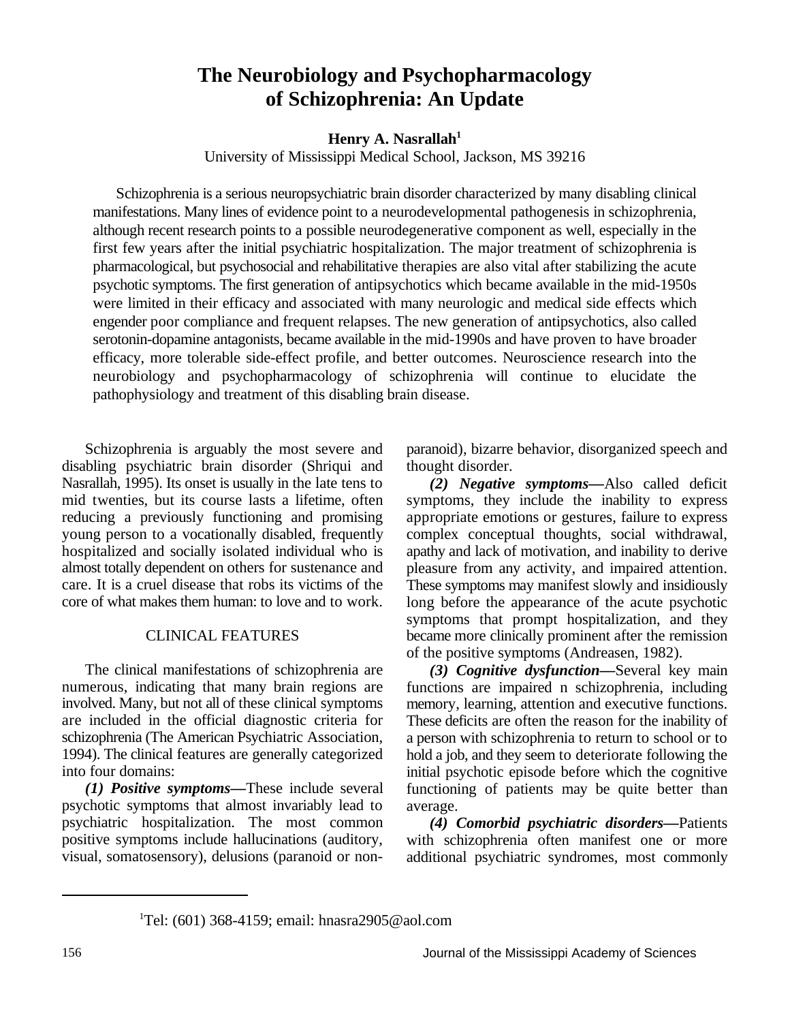### **The Neurobiology and Psychopharmacology of Schizophrenia: An Update**

### **Henry A. Nasrallah<sup>1</sup>**

University of Mississippi Medical School, Jackson, MS 39216

Schizophrenia is a serious neuropsychiatric brain disorder characterized by many disabling clinical manifestations. Many lines of evidence point to a neurodevelopmental pathogenesis in schizophrenia, although recent research points to a possible neurodegenerative component as well, especially in the first few years after the initial psychiatric hospitalization. The major treatment of schizophrenia is pharmacological, but psychosocial and rehabilitative therapies are also vital after stabilizing the acute psychotic symptoms. The first generation of antipsychotics which became available in the mid-1950s were limited in their efficacy and associated with many neurologic and medical side effects which engender poor compliance and frequent relapses. The new generation of antipsychotics, also called serotonin-dopamine antagonists, became available in the mid-1990s and have proven to have broader efficacy, more tolerable side-effect profile, and better outcomes. Neuroscience research into the neurobiology and psychopharmacology of schizophrenia will continue to elucidate the pathophysiology and treatment of this disabling brain disease.

disabling psychiatric brain disorder (Shriqui and thought disorder. Nasrallah, 1995). Its onset is usually in the late tens to mid twenties, but its course lasts a lifetime, often reducing a previously functioning and promising young person to a vocationally disabled, frequently hospitalized and socially isolated individual who is almost totally dependent on others for sustenance and care. It is a cruel disease that robs its victims of the core of what makes them human: to love and to work.

### CLINICAL FEATURES

The clinical manifestations of schizophrenia are numerous, indicating that many brain regions are involved. Many, but not all of these clinical symptoms are included in the official diagnostic criteria for schizophrenia (The American Psychiatric Association, 1994). The clinical features are generally categorized into four domains:

*(1) Positive symptoms—*These include several psychotic symptoms that almost invariably lead to psychiatric hospitalization. The most common positive symptoms include hallucinations (auditory, visual, somatosensory), delusions (paranoid or non-

Schizophrenia is arguably the most severe and paranoid), bizarre behavior, disorganized speech and

*(2) Negative symptoms—*Also called deficit symptoms, they include the inability to express appropriate emotions or gestures, failure to express complex conceptual thoughts, social withdrawal, apathy and lack of motivation, and inability to derive pleasure from any activity, and impaired attention. These symptoms may manifest slowly and insidiously long before the appearance of the acute psychotic symptoms that prompt hospitalization, and they became more clinically prominent after the remission of the positive symptoms (Andreasen, 1982).

*(3) Cognitive dysfunction—*Several key main functions are impaired n schizophrenia, including memory, learning, attention and executive functions. These deficits are often the reason for the inability of a person with schizophrenia to return to school or to hold a job, and they seem to deteriorate following the initial psychotic episode before which the cognitive functioning of patients may be quite better than average.

*(4) Comorbid psychiatric disorders—*Patients with schizophrenia often manifest one or more additional psychiatric syndromes, most commonly

<sup>1</sup>Tel: (601) 368-4159; email: hnasra2905@aol.com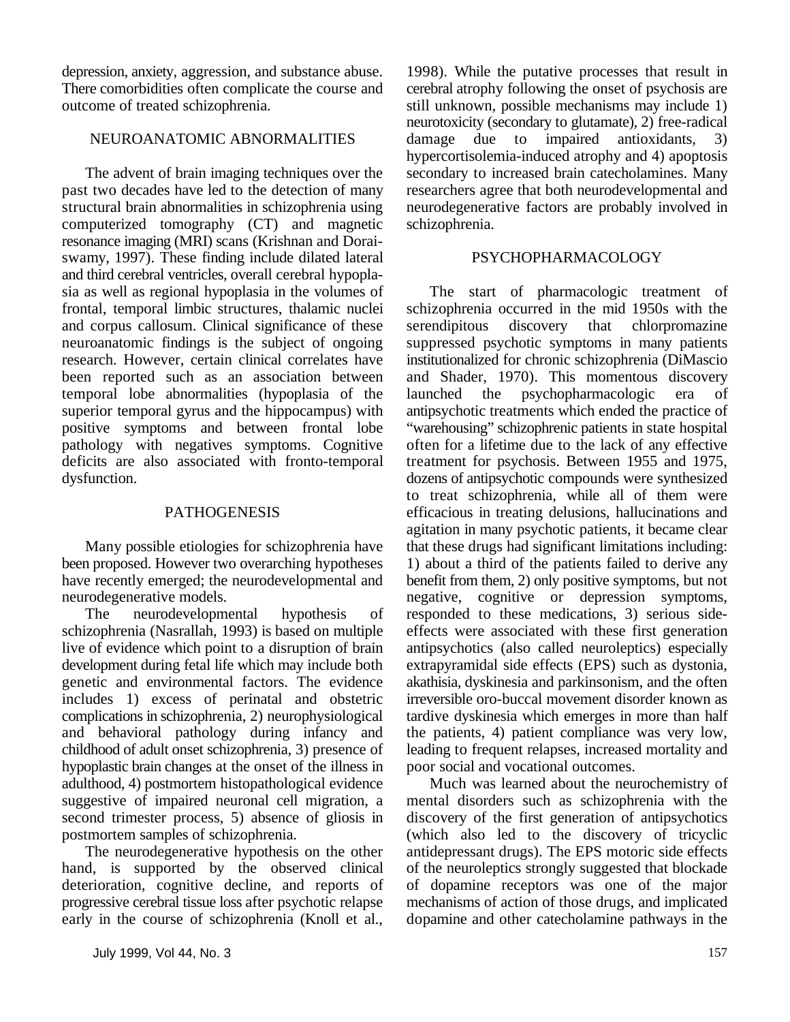depression, anxiety, aggression, and substance abuse. 1998). While the putative processes that result in There comorbidities often complicate the course and cerebral atrophy following the onset of psychosis are outcome of treated schizophrenia. still unknown, possible mechanisms may include 1)

past two decades have led to the detection of many researchers agree that both neurodevelopmental and structural brain abnormalities in schizophrenia using neurodegenerative factors are probably involved in structural brain abnormalities in schizophrenia using computerized tomography (CT) and magnetic schizophrenia. resonance imaging (MRI) scans (Krishnan and Doraiswamy, 1997). These finding include dilated lateral PSYCHOPHARMACOLOGY and third cerebral ventricles, overall cerebral hypoplasia as well as regional hypoplasia in the volumes of The start of pharmacologic treatment of frontal, temporal limbic structures, thalamic nuclei schizophrenia occurred in the mid 1950s with the and corpus callosum. Clinical significance of these serendipitous discovery that chlorpromazine neuroanatomic findings is the subject of ongoing suppressed psychotic symptoms in many patients research. However, certain clinical correlates have institutionalized for chronic schizophrenia (DiMascio been reported such as an association between and Shader, 1970). This momentous discovery temporal lobe abnormalities (hypoplasia of the launched the psychopharmacologic era of superior temporal gyrus and the hippocampus) with antipsychotic treatments which ended the practice of positive symptoms and between frontal lobe "warehousing" schizophrenic patients in state hospital pathology with negatives symptoms. Cognitive often for a lifetime due to the lack of any effective deficits are also associated with fronto-temporal treatment for psychosis. Between 1955 and 1975, deficits are also associated with fronto-temporal dysfunction. dozens of antipsychotic compounds were synthesized

been proposed. However two overarching hypotheses 1) about a third of the patients failed to derive any have recently emerged; the neurodevelopmental and benefit from them, 2) only positive symptoms, but not neurodegenerative models. help is negative, cognitive or depression symptoms,

schizophrenia (Nasrallah, 1993) is based on multiple effects were associated with these first generation live of evidence which point to a disruption of brain antipsychotics (also called neuroleptics) especially development during fetal life which may include both extrapyramidal side effects (EPS) such as dystonia, genetic and environmental factors. The evidence akathisia, dyskinesia and parkinsonism, and the often includes 1) excess of perinatal and obstetric irreversible oro-buccal movement disorder known as complications in schizophrenia, 2) neurophysiological tardive dyskinesia which emerges in more than half and behavioral pathology during infancy and the patients, 4) patient compliance was very low, childhood of adult onset schizophrenia, 3) presence of leading to frequent relapses, increased mortality and hypoplastic brain changes at the onset of the illness in poor social and vocational outcomes. adulthood, 4) postmortem histopathological evidence Much was learned about the neurochemistry of suggestive of impaired neuronal cell migration, a mental disorders such as schizophrenia with the second trimester process, 5) absence of gliosis in discovery of the first generation of antipsychotics

hand, is supported by the observed clinical of the neuroleptics strongly suggested that blockade deterioration, cognitive decline, and reports of of dopamine receptors was one of the major progressive cerebral tissue loss after psychotic relapse mechanisms of action of those drugs, and implicated early in the course of schizophrenia (Knoll et al., dopamine and other catecholamine pathways in the

NEUROANATOMIC ABNORMALITIES damage due to impaired antioxidants, 3) The advent of brain imaging techniques over the secondary to increased brain catecholamines. Many neurotoxicity (secondary to glutamate), 2) free-radical hypercortisolemia-induced atrophy and 4) apoptosis

PATHOGENESIS efficacious in treating delusions, hallucinations and Many possible etiologies for schizophrenia have that these drugs had significant limitations including: The neurodevelopmental hypothesis of responded to these medications, 3) serious sideto treat schizophrenia, while all of them were agitation in many psychotic patients, it became clear

postmortem samples of schizophrenia. (which also led to the discovery of tricyclic<br>The neurodegenerative hypothesis on the other antidepressant drugs). The EPS motoric side effects antidepressant drugs). The EPS motoric side effects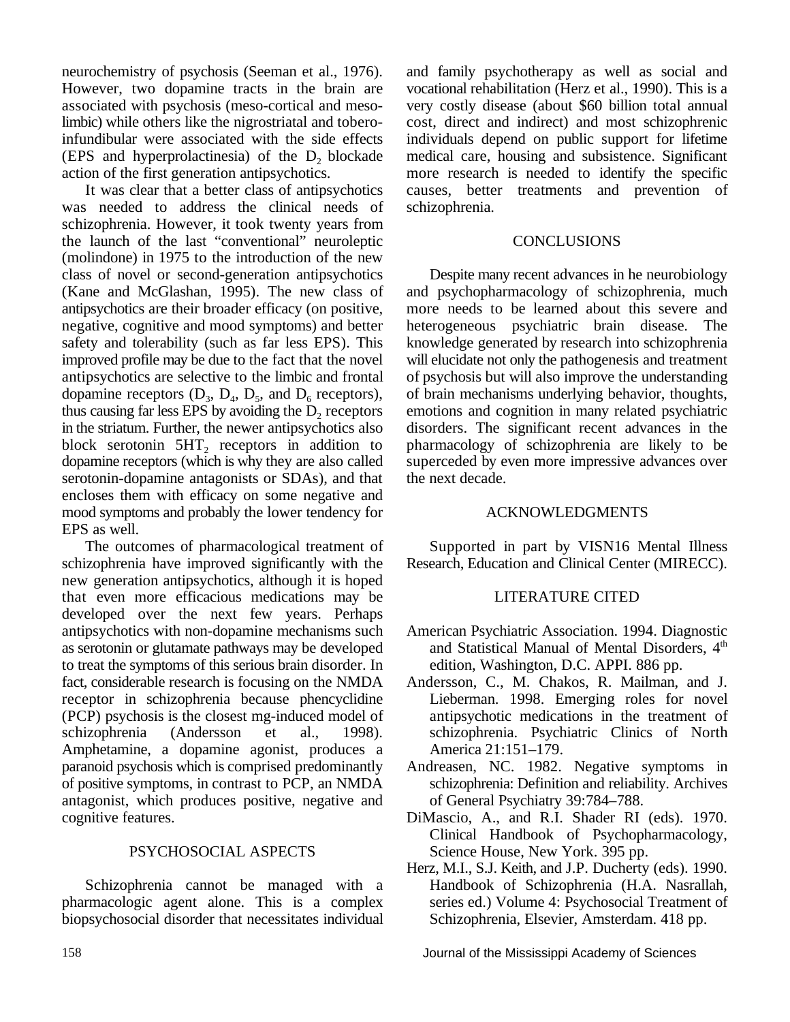neurochemistry of psychosis (Seeman et al., 1976). and family psychotherapy as well as social and However, two dopamine tracts in the brain are vocational rehabilitation (Herz et al., 1990). This is a associated with psychosis (meso-cortical and meso- very costly disease (about \$60 billion total annual limbic) while others like the nigrostriatal and tobero- cost, direct and indirect) and most schizophrenic infundibular were associated with the side effects individuals depend on public support for lifetime (EPS and hyperprolactinesia) of the  $D_2$  blockade medical care, housing and subsistence. Significant action of the first generation antipsychotics. The more research is needed to identify the specific

was needed to address the clinical needs of schizophrenia. schizophrenia. However, it took twenty years from the launch of the last "conventional" neuroleptic CONCLUSIONS (molindone) in 1975 to the introduction of the new class of novel or second-generation antipsychotics Despite many recent advances in he neurobiology (Kane and McGlashan, 1995). The new class of and psychopharmacology of schizophrenia, much antipsychotics are their broader efficacy (on positive, more needs to be learned about this severe and antipsychotics are their broader efficacy (on positive, negative, cognitive and mood symptoms) and better safety and tolerability (such as far less EPS). This improved profile may be due to the fact that the novel will elucidate not only the pathogenesis and treatment antipsychotics are selective to the limbic and frontal of psychosis but will also improve the understanding dopamine receptors  $(D_3, D_4, D_5, and D_6$  receptors), of brain mechanisms underlying behavior, thoughts, dopamine receptors  $(D_3, D_4, D_5, \text{ and } D_6 \text{ receptors}),$ thus causing far less EPS by avoiding the  $D_2$  receptors in the striatum. Further, the newer antipsychotics also block serotonin  $5HT_2$  receptors in addition to dopamine receptors (which is why they are also called serotonin-dopamine antagonists or SDAs), and that the next decade. encloses them with efficacy on some negative and mood symptoms and probably the lower tendency for ACKNOWLEDGMENTS EPS as well.

schizophrenia have improved significantly with the Research, Education and Clinical Center (MIRECC). new generation antipsychotics, although it is hoped that even more efficacious medications may be LITERATURE CITED developed over the next few years. Perhaps antipsychotics with non-dopamine mechanisms such American Psychiatric Association. 1994. Diagnostic as serotonin or glutamate pathways may be developed to treat the symptoms of this serious brain disorder. In edition, Washington, D.C. APPI. 886 pp. fact, considerable research is focusing on the NMDA Andersson, C., M. Chakos, R. Mailman, and J. receptor in schizophrenia because phencyclidine Lieberman. 1998. Emerging roles for novel (PCP) psychosis is the closest mg-induced model of antipsychotic medications in the treatment of schizophrenia (Andersson et al., 1998). schizophrenia. Psychiatric Clinics of North Amphetamine, a dopamine agonist, produces a America 21:151–179. paranoid psychosis which is comprised predominantly Andreasen, NC. 1982. Negative symptoms in of positive symptoms, in contrast to PCP, an NMDA schizophrenia: Definition and reliability. Archives antagonist, which produces positive, negative and of General Psychiatry 39:784–788. antagonist, which produces positive, negative and cognitive features. DiMascio, A., and R.I. Shader RI (eds). 1970.

pharmacologic agent alone. This is a complex series ed.) Volume 4: Psychosocial Treatment of biopsychosocial disorder that necessitates individual Schizophrenia, Elsevier, Amsterdam. 418 pp.

more research is needed to identify the specific It was clear that a better class of antipsychotics causes, better treatments and prevention of

heterogeneous psychiatric brain disease. The knowledge generated by research into schizophrenia emotions and cognition in many related psychiatric disorders. The significant recent advances in the pharmacology of schizophrenia are likely to be superceded by even more impressive advances over

The outcomes of pharmacological treatment of Supported in part by VISN16 Mental Illness

- and Statistical Manual of Mental Disorders, 4<sup>th</sup>
- 
- 
- PSYCHOSOCIAL ASPECTS Science House, New York. 395 pp. Clinical Handbook of Psychopharmacology,
- Schizophrenia cannot be managed with a Handbook of Schizophrenia (H.A. Nasrallah, Herz, M.I., S.J. Keith, and J.P. Ducherty (eds). 1990.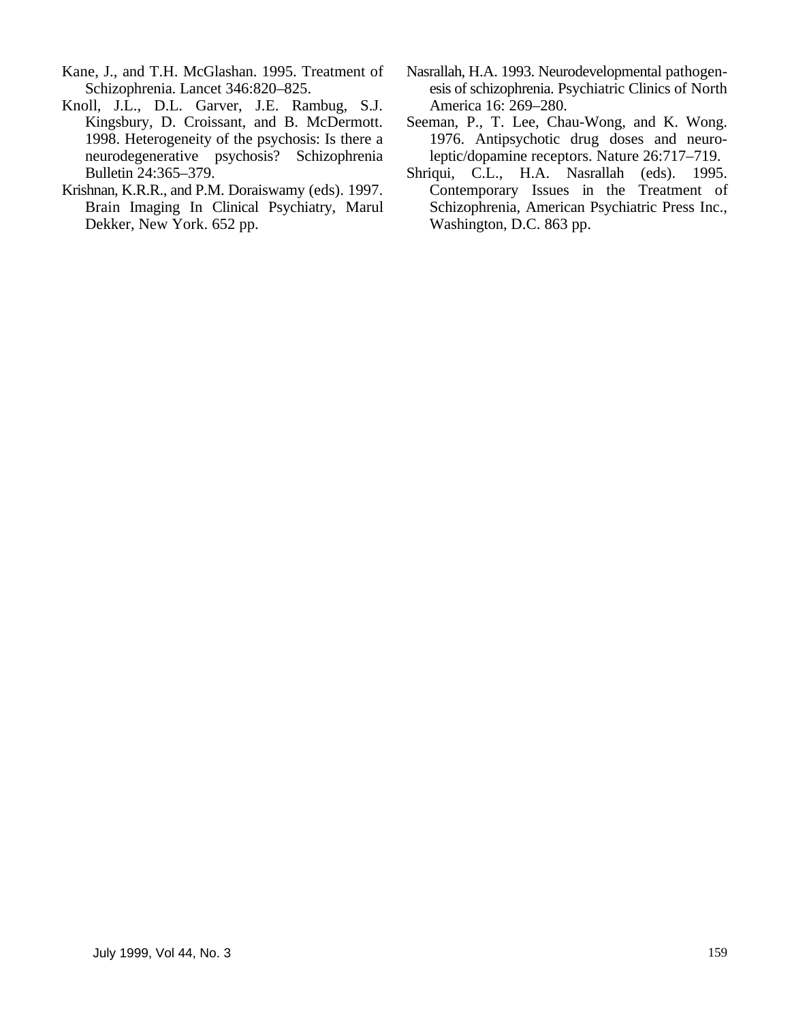- Kane, J., and T.H. McGlashan. 1995. Treatment of Nasrallah, H.A. 1993. Neurodevelopmental pathogen-
- Knoll, J.L., D.L. Garver, J.E. Rambug, S.J. America 16: 269–280.<br>Kingsbury, D. Croissant, and B. McDermott. Seeman, P., T. Lee, Cha Bulletin 24:365–379. Shriqui, C.L., H.A. Nasrallah (eds). 1995.
- Dekker, New York. 652 pp.
- Schizophrenia. Lancet 346:820–825. esis of schizophrenia. Psychiatric Clinics of North
- Seeman, P., T. Lee, Chau-Wong, and K. Wong. 1998. Heterogeneity of the psychosis: Is there a 1976. Antipsychotic drug doses and neuroneurodegenerative psychosis? Schizophrenia leptic/dopamine receptors. Nature 26:717–719.
- Krishnan, K.R.R., and P.M. Doraiswamy (eds). 1997. Contemporary Issues in the Treatment of Brain Imaging In Clinical Psychiatry, Marul Schizophrenia, American Psychiatric Press Inc., Dekker, New York. 652 pp. Washington, D.C. 863 pp.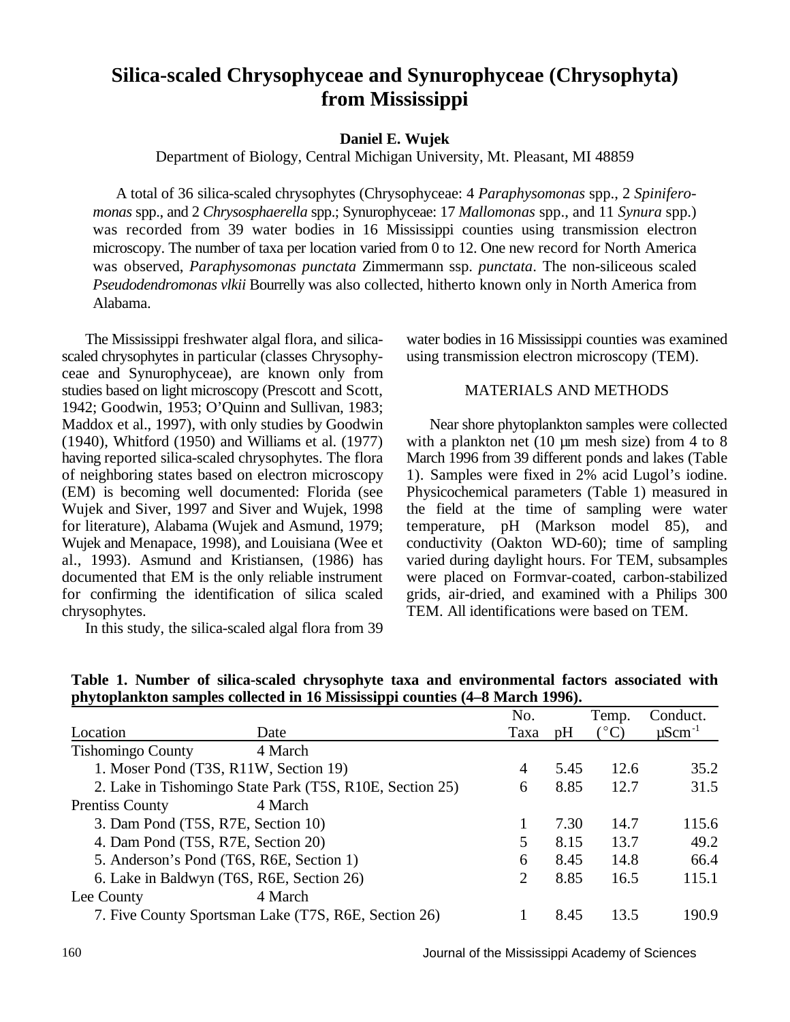### **Silica-scaled Chrysophyceae and Synurophyceae (Chrysophyta) from Mississippi**

### **Daniel E. Wujek**

Department of Biology, Central Michigan University, Mt. Pleasant, MI 48859

A total of 36 silica-scaled chrysophytes (Chrysophyceae: 4 *Paraphysomonas* spp., 2 *Spiniferomonas* spp., and 2 *Chrysosphaerella* spp.; Synurophyceae: 17 *Mallomonas* spp., and 11 *Synura* spp.) was recorded from 39 water bodies in 16 Mississippi counties using transmission electron microscopy. The number of taxa per location varied from 0 to 12. One new record for North America was observed, *Paraphysomonas punctata* Zimmermann ssp. *punctata*. The non-siliceous scaled *Pseudodendromonas vlkii* Bourrelly was also collected, hitherto known only in North America from Alabama.

scaled chrysophytes in particular (classes Chrysophy- using transmission electron microscopy (TEM). ceae and Synurophyceae), are known only from studies based on light microscopy (Prescott and Scott, MATERIALS AND METHODS 1942; Goodwin, 1953; O'Quinn and Sullivan, 1983; Maddox et al., 1997), with only studies by Goodwin Near shore phytoplankton samples were collected (1940), Whitford (1950) and Williams et al. (1977) with a plankton net (10 µm mesh size) from 4 to 8 having reported silica-scaled chrysophytes. The flora March 1996 from 39 different ponds and lakes (Table of neighboring states based on electron microscopy 1). Samples were fixed in 2% acid Lugol's iodine. (EM) is becoming well documented: Florida (see Physicochemical parameters (Table 1) measured in Wujek and Siver, 1997 and Siver and Wujek, 1998 the field at the time of sampling were water for literature), Alabama (Wujek and Asmund, 1979; temperature, pH (Markson model 85), and al., 1993). Asmund and Kristiansen, (1986) has varied during daylight hours. For TEM, subsamples documented that EM is the only reliable instrument were placed on Formvar-coated, carbon-stabilized for confirming the identification of silica scaled grids, air-dried, and examined with a Philips 300 chrysophytes. TEM. All identifications were based on TEM.

In this study, the silica-scaled algal flora from 39

The Mississippi freshwater algal flora, and silica-<br>water bodies in 16 Mississippi counties was examined

temperature, pH (Markson model 85), and Wujek and Menapace, 1998), and Louisiana (Wee et conductivity (Oakton WD-60); time of sampling

|                                           |                                                          | No.  |      | Temp.                | Conduct.                |
|-------------------------------------------|----------------------------------------------------------|------|------|----------------------|-------------------------|
| Location                                  | Date                                                     | Taxa | pH   | $(^\circ\mathrm{C})$ | $\mu$ Scm <sup>-1</sup> |
| <b>Tishomingo County</b>                  | 4 March                                                  |      |      |                      |                         |
| 1. Moser Pond (T3S, R11W, Section 19)     |                                                          | 4    | 5.45 | 12.6                 | 35.2                    |
|                                           | 2. Lake in Tishomingo State Park (T5S, R10E, Section 25) | 6    | 8.85 | 12.7                 | 31.5                    |
| <b>Prentiss County</b>                    | 4 March                                                  |      |      |                      |                         |
| 3. Dam Pond (T5S, R7E, Section 10)        |                                                          |      | 7.30 | 14.7                 | 115.6                   |
| 4. Dam Pond (T5S, R7E, Section 20)        |                                                          |      | 8.15 | 13.7                 | 49.2                    |
| 5. Anderson's Pond (T6S, R6E, Section 1)  |                                                          | 6    | 8.45 | 14.8                 | 66.4                    |
| 6. Lake in Baldwyn (T6S, R6E, Section 26) |                                                          | 2    | 8.85 | 16.5                 | 115.1                   |
| Lee County                                | 4 March                                                  |      |      |                      |                         |
|                                           | 7. Five County Sportsman Lake (T7S, R6E, Section 26)     |      | 8.45 | 13.5                 | 190.9                   |
|                                           |                                                          |      |      |                      |                         |

**Table 1. Number of silica-scaled chrysophyte taxa and environmental factors associated with phytoplankton samples collected in 16 Mississippi counties (4–8 March 1996).**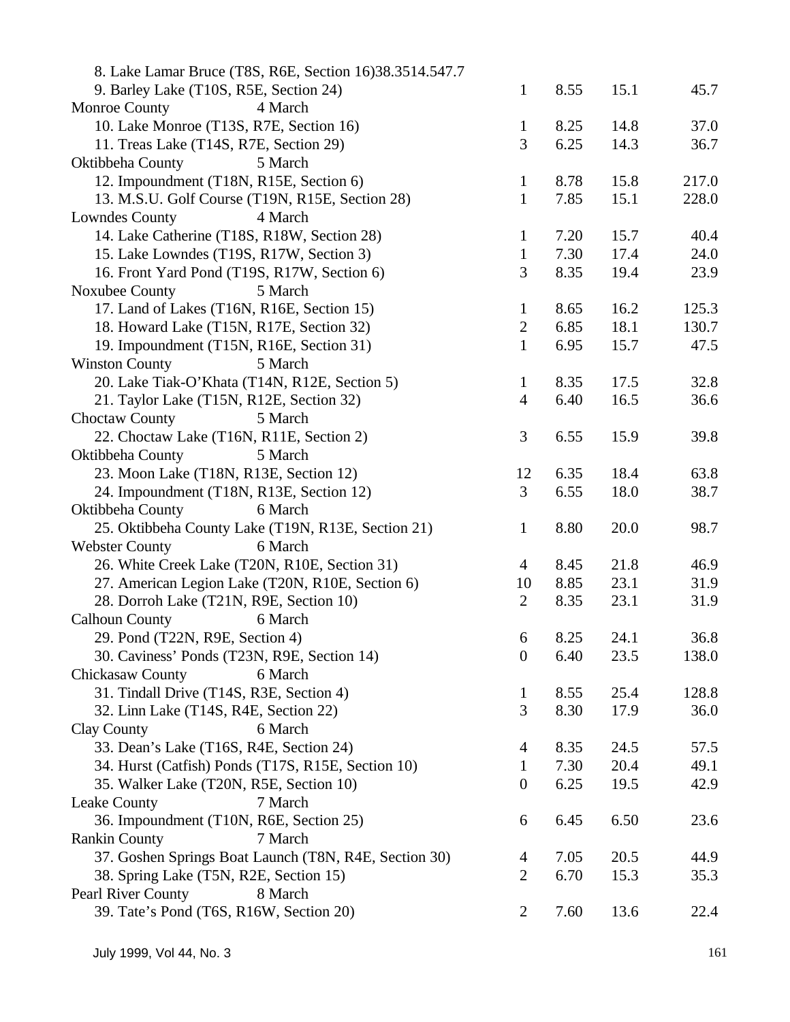| 8. Lake Lamar Bruce (T8S, R6E, Section 16)38.3514.547.7 |                  |      |      |       |
|---------------------------------------------------------|------------------|------|------|-------|
| 9. Barley Lake (T10S, R5E, Section 24)                  | $\mathbf{1}$     | 8.55 | 15.1 | 45.7  |
| Monroe County<br>4 March                                |                  |      |      |       |
| 10. Lake Monroe (T13S, R7E, Section 16)                 | $\mathbf{1}$     | 8.25 | 14.8 | 37.0  |
| 11. Treas Lake (T14S, R7E, Section 29)                  | 3                | 6.25 | 14.3 | 36.7  |
| Oktibbeha County<br>5 March                             |                  |      |      |       |
| 12. Impoundment (T18N, R15E, Section 6)                 | $\mathbf{1}$     | 8.78 | 15.8 | 217.0 |
| 13. M.S.U. Golf Course (T19N, R15E, Section 28)         | $\mathbf{1}$     | 7.85 | 15.1 | 228.0 |
| 4 March<br><b>Lowndes County</b>                        |                  |      |      |       |
| 14. Lake Catherine (T18S, R18W, Section 28)             | $\mathbf{1}$     | 7.20 | 15.7 | 40.4  |
| 15. Lake Lowndes (T19S, R17W, Section 3)                | $\mathbf{1}$     | 7.30 | 17.4 | 24.0  |
| 16. Front Yard Pond (T19S, R17W, Section 6)             | 3                | 8.35 | 19.4 | 23.9  |
| Noxubee County<br>5 March                               |                  |      |      |       |
| 17. Land of Lakes (T16N, R16E, Section 15)              | $\mathbf{1}$     | 8.65 | 16.2 | 125.3 |
| 18. Howard Lake (T15N, R17E, Section 32)                | $\mathbf{2}$     | 6.85 | 18.1 | 130.7 |
| 19. Impoundment (T15N, R16E, Section 31)                | $\mathbf{1}$     | 6.95 | 15.7 | 47.5  |
| <b>Winston County</b><br>5 March                        |                  |      |      |       |
| 20. Lake Tiak-O'Khata (T14N, R12E, Section 5)           | $\mathbf{1}$     | 8.35 | 17.5 | 32.8  |
| 21. Taylor Lake (T15N, R12E, Section 32)                | $\overline{4}$   | 6.40 | 16.5 | 36.6  |
| 5 March<br>Choctaw County                               |                  |      |      |       |
| 22. Choctaw Lake (T16N, R11E, Section 2)                | 3                | 6.55 | 15.9 | 39.8  |
| Oktibbeha County<br>5 March                             |                  |      |      |       |
| 23. Moon Lake (T18N, R13E, Section 12)                  | 12               | 6.35 | 18.4 | 63.8  |
| 24. Impoundment (T18N, R13E, Section 12)                | 3                | 6.55 | 18.0 | 38.7  |
| Oktibbeha County<br>6 March                             |                  |      |      |       |
| 25. Oktibbeha County Lake (T19N, R13E, Section 21)      | $\mathbf{1}$     | 8.80 | 20.0 | 98.7  |
| <b>Webster County</b><br>6 March                        |                  |      |      |       |
| 26. White Creek Lake (T20N, R10E, Section 31)           | $\overline{4}$   | 8.45 | 21.8 | 46.9  |
| 27. American Legion Lake (T20N, R10E, Section 6)        | 10               | 8.85 | 23.1 | 31.9  |
| 28. Dorroh Lake (T21N, R9E, Section 10)                 | $\overline{2}$   | 8.35 | 23.1 | 31.9  |
| <b>Calhoun County</b><br>6 March                        |                  |      |      |       |
| 29. Pond (T22N, R9E, Section 4)                         | 6                | 8.25 | 24.1 | 36.8  |
| 30. Caviness' Ponds (T23N, R9E, Section 14)             | $\boldsymbol{0}$ | 6.40 | 23.5 | 138.0 |
| 6 March<br><b>Chickasaw County</b>                      |                  |      |      |       |
| 31. Tindall Drive (T14S, R3E, Section 4)                | $\mathbf{1}$     | 8.55 | 25.4 | 128.8 |
| 32. Linn Lake (T14S, R4E, Section 22)                   | 3                | 8.30 | 17.9 | 36.0  |
| 6 March<br>Clay County                                  |                  |      |      |       |
| 33. Dean's Lake (T16S, R4E, Section 24)                 | $\overline{4}$   | 8.35 | 24.5 | 57.5  |
| 34. Hurst (Catfish) Ponds (T17S, R15E, Section 10)      | $\mathbf{1}$     | 7.30 | 20.4 | 49.1  |
| 35. Walker Lake (T20N, R5E, Section 10)                 | $\boldsymbol{0}$ | 6.25 | 19.5 | 42.9  |
| Leake County<br>7 March                                 |                  |      |      |       |
| 36. Impoundment (T10N, R6E, Section 25)                 | 6                | 6.45 | 6.50 | 23.6  |
| <b>Rankin County</b><br>7 March                         |                  |      |      |       |
| 37. Goshen Springs Boat Launch (T8N, R4E, Section 30)   | $\overline{4}$   | 7.05 | 20.5 | 44.9  |
| 38. Spring Lake (T5N, R2E, Section 15)                  | 2                | 6.70 | 15.3 | 35.3  |
| Pearl River County<br>8 March                           |                  |      |      |       |
| 39. Tate's Pond (T6S, R16W, Section 20)                 | $\overline{2}$   | 7.60 | 13.6 | 22.4  |
|                                                         |                  |      |      |       |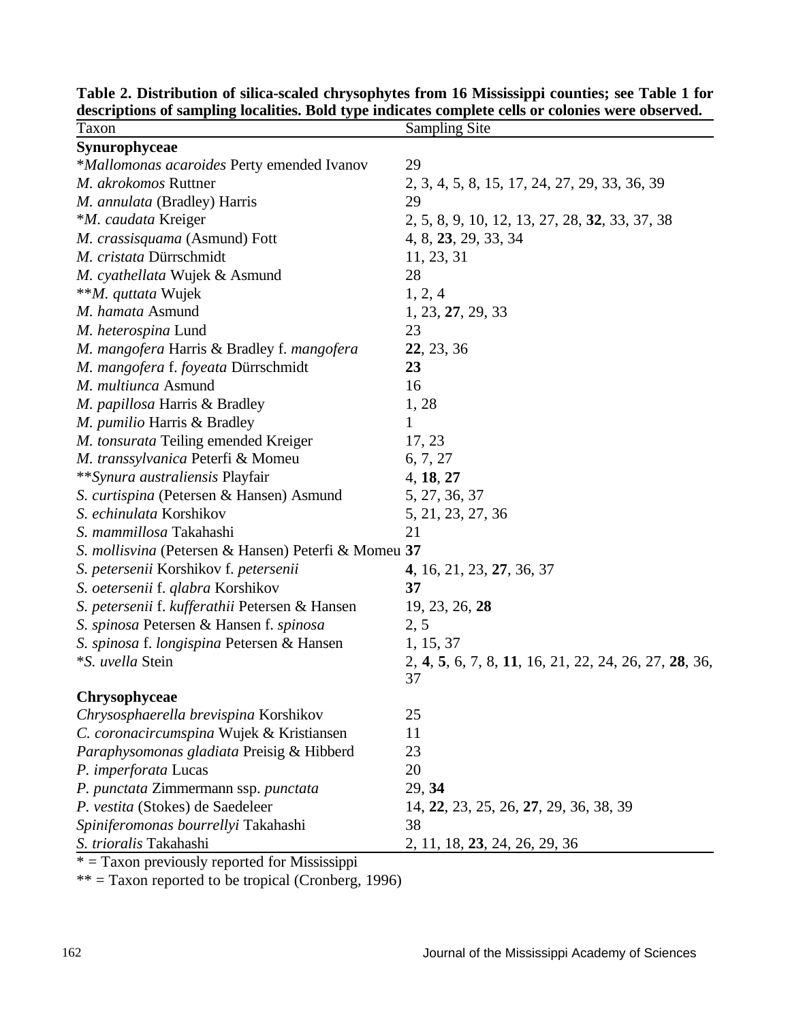| Taxon                                                | <b>Sampling Site</b>                                  |
|------------------------------------------------------|-------------------------------------------------------|
| <b>Synurophyceae</b>                                 |                                                       |
| <i>*Mallomonas acaroides</i> Perty emended Ivanov    | 29                                                    |
| M. akrokomos Ruttner                                 | 2, 3, 4, 5, 8, 15, 17, 24, 27, 29, 33, 36, 39         |
| M. annulata (Bradley) Harris                         | 29                                                    |
| *M. caudata Kreiger                                  | 2, 5, 8, 9, 10, 12, 13, 27, 28, 32, 33, 37, 38        |
| M. crassisquama (Asmund) Fott                        | 4, 8, 23, 29, 33, 34                                  |
| M. cristata Dürrschmidt                              | 11, 23, 31                                            |
| M. cyathellata Wujek & Asmund                        | 28                                                    |
| ** <i>M. quttata</i> Wujek                           | 1, 2, 4                                               |
| M. hamata Asmund                                     | 1, 23, 27, 29, 33                                     |
| M. heterospina Lund                                  | 23                                                    |
| M. mangofera Harris & Bradley f. mangofera           | 22, 23, 36                                            |
| M. mangofera f. foyeata Dürrschmidt                  | 23                                                    |
| M. multiunca Asmund                                  | 16                                                    |
| M. papillosa Harris & Bradley                        | 1, 28                                                 |
| M. pumilio Harris & Bradley                          | 1                                                     |
| M. tonsurata Teiling emended Kreiger                 | 17, 23                                                |
| M. transsylvanica Peterfi & Momeu                    | 6, 7, 27                                              |
| **Synura australiensis Playfair                      | 4, 18, 27                                             |
| S. curtispina (Petersen & Hansen) Asmund             | 5, 27, 36, 37                                         |
| S. echinulata Korshikov                              | 5, 21, 23, 27, 36                                     |
| S. mammillosa Takahashi                              | 21                                                    |
| S. mollisvina (Petersen & Hansen) Peterfi & Momeu 37 |                                                       |
| S. petersenii Korshikov f. petersenii                | 4, 16, 21, 23, 27, 36, 37                             |
| S. oetersenii f. qlabra Korshikov                    | 37                                                    |
| S. petersenii f. kufferathii Petersen & Hansen       | 19, 23, 26, 28                                        |
| S. spinosa Petersen & Hansen f. spinosa              | 2, 5                                                  |
| S. spinosa f. longispina Petersen & Hansen           | 1, 15, 37                                             |
| *S. uvella Stein                                     | 2, 4, 5, 6, 7, 8, 11, 16, 21, 22, 24, 26, 27, 28, 36, |
|                                                      | 37                                                    |
| Chrysophyceae                                        |                                                       |
| Chrysosphaerella brevispina Korshikov                | 25                                                    |
| C. coronacircumspina Wujek & Kristiansen             | 11                                                    |
| Paraphysomonas gladiata Preisig & Hibberd            | 23                                                    |
| P. imperforata Lucas                                 | 20                                                    |
| P. punctata Zimmermann ssp. punctata                 | 29, 34                                                |
| P. vestita (Stokes) de Saedeleer                     | 14, 22, 23, 25, 26, 27, 29, 36, 38, 39                |
| Spiniferomonas bourrellyi Takahashi                  | 38                                                    |
| S. trioralis Takahashi                               | 2, 11, 18, 23, 24, 26, 29, 36                         |

**Table 2. Distribution of silica-scaled chrysophytes from 16 Mississippi counties; see Table 1 for descriptions of sampling localities. Bold type indicates complete cells or colonies were observed.**

 $* =$  Taxon previously reported for Mississippi

 $** =$  Taxon reported to be tropical (Cronberg, 1996)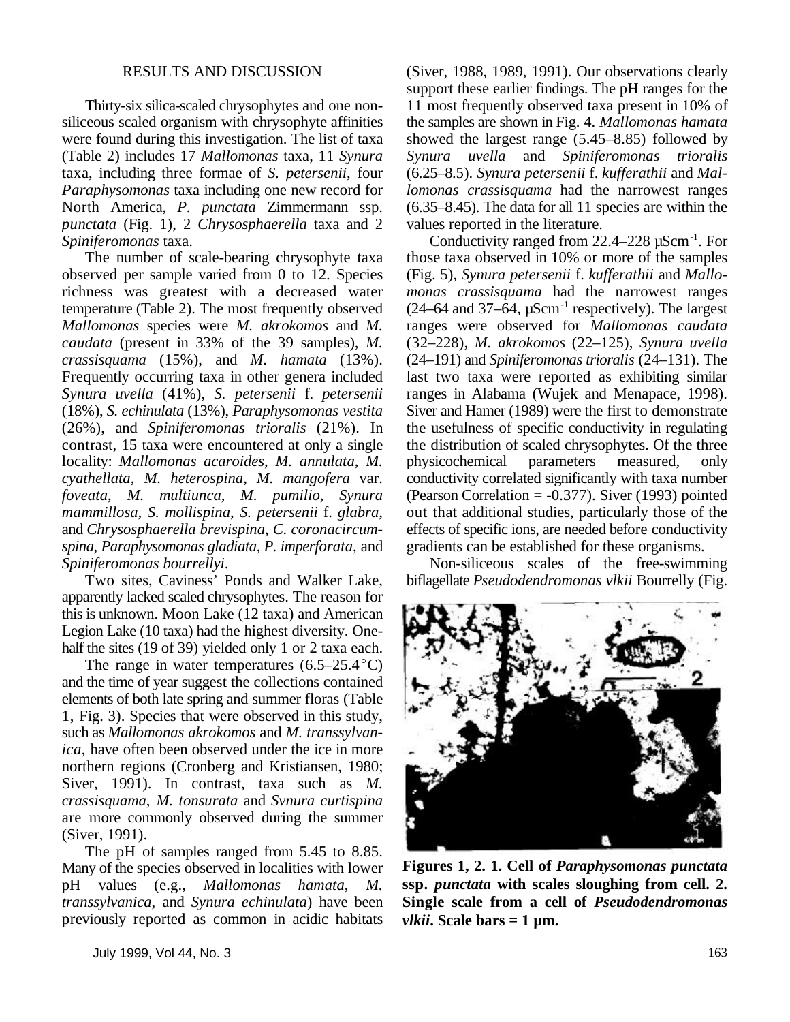siliceous scaled organism with chrysophyte affinities the samples are shown in Fig. 4. *Mallomonas hamata* were found during this investigation. The list of taxa showed the largest range (5.45–8.85) followed by (Table 2) includes 17 *Mallomonas* taxa, 11 *Synura Synura uvella* and *Spiniferomonas trioralis Paraphysomonas* taxa including one new record for *lomonas crassisquama* had the narrowest ranges North America, *P. punctata* Zimmermann ssp. (6.35–8.45). The data for all 11 species are within the North America, *P. punctata* Zimmermann ssp. *punctata* (Fig. 1), 2 *Chrysosphaerella* taxa and 2 values reported in the literature.

observed per sample varied from 0 to 12. Species (Fig. 5), *Synura petersenii* f. *kufferathii* and *Mallo*richness was greatest with a decreased water *monas crassisquama* had the narrowest ranges temperature (Table 2). The most frequently observed  $(24–64 \text{ and } 37–64, \mu\text{Scm}^{-1})$  respectively). The largest *Mallomonas* species were *M. akrokomos* and *M.* ranges were observed for *Mallomonas caudata caudata* (present in 33% of the 39 samples), *M. crassisquama* (15%), and *M. hamata* (13%). (24–191) and *Spiniferomonas trioralis* (24–131). The Frequently occurring taxa in other genera included last two taxa were reported as exhibiting similar Synura uvella (41%), S. petersenii f. petersenii ranges in Alabama (Wujek and Menapace, 1998). *Synura uvella* (41%), *S. petersenii* f. *petersenii* (18%), *S. echinulata* (13%), *Paraphysomonas vestita* Siver and Hamer (1989) were the first to demonstrate (26%), and *Spiniferomonas trioralis* (21%). In the usefulness of specific conductivity in regulating contrast, 15 taxa were encountered at only a single the distribution of scaled chrysophytes. Of the three locality: *Mallomonas acaroides*, *M. annulata*, *M.* physicochemical parameters measured, only locality: *Mallomonas acaroides*, *M. annulata*, *M.* physicochemical parameters measured, only *cyathellata*, *M. heterospina*, *M. mangofera* var. conductivity correlated significantly with taxa number *foveata*, *M. multiunca*, *M. pumilio*, *Synura* (Pearson Correlation = -0.377). Siver (1993) pointed *mammillosa*, *S. mollispina*, *S. petersenii* f. *glabra*, out that additional studies, particularly those of the and *Chrysosphaerella brevispina*, *C. coronacircum-* effects of specific ions, are needed before conductivity *spina*, *Paraphysomonas gladiata*, *P. imperforata*, and gradients can be established for these organisms. *Spiniferomonas bourrellyi*. Non-siliceous scales of the free-swimming

apparently lacked scaled chrysophytes. The reason for this is unknown. Moon Lake (12 taxa) and American Legion Lake (10 taxa) had the highest diversity. Onehalf the sites (19 of 39) yielded only 1 or 2 taxa each.

The range in water temperatures  $(6.5-25.4^{\circ}C)$ and the time of year suggest the collections contained elements of both late spring and summer floras (Table 1, Fig. 3). Species that were observed in this study, such as *Mallomonas akrokomos* and *M. transsylvanica*, have often been observed under the ice in more northern regions (Cronberg and Kristiansen, 1980; Siver, 1991). In contrast, taxa such as *M. crassisquama*, *M. tonsurata* and *Svnura curtispina* are more commonly observed during the summer (Siver, 1991).

The pH of samples ranged from 5.45 to 8.85. Many of the species observed in localities with lower pH values (e.g., *Mallomonas hamata*, *M. transsylvanica*, and *Synura echinulata*) have been previously reported as common in acidic habitats

RESULTS AND DISCUSSION (Siver, 1988, 1989, 1991). Our observations clearly Thirty-six silica-scaled chrysophytes and one non- 11 most frequently observed taxa present in 10% of showed the largest range (5.45–8.85) followed by taxa, including three formae of *S. petersenii*, four (6.25–8.5). *Synura petersenii* f. *kufferathii* and *Mal*support these earlier findings. The pH ranges for the

Spiniferomonas taxa. Conductivity ranged from 22.4–228 µScm<sup>-1</sup>. For The number of scale-bearing chrysophyte taxa those taxa observed in 10% or more of the samples

Two sites, Caviness' Ponds and Walker Lake, biflagellate *Pseudodendromonas vlkii* Bourrelly (Fig.

**Figures 1, 2. 1. Cell of** *Paraphysomonas punctata* **ssp.** *punctata* **with scales sloughing from cell. 2. Single scale from a cell of** *Pseudodendromonas vlkii***. Scale bars = 1 µm.**

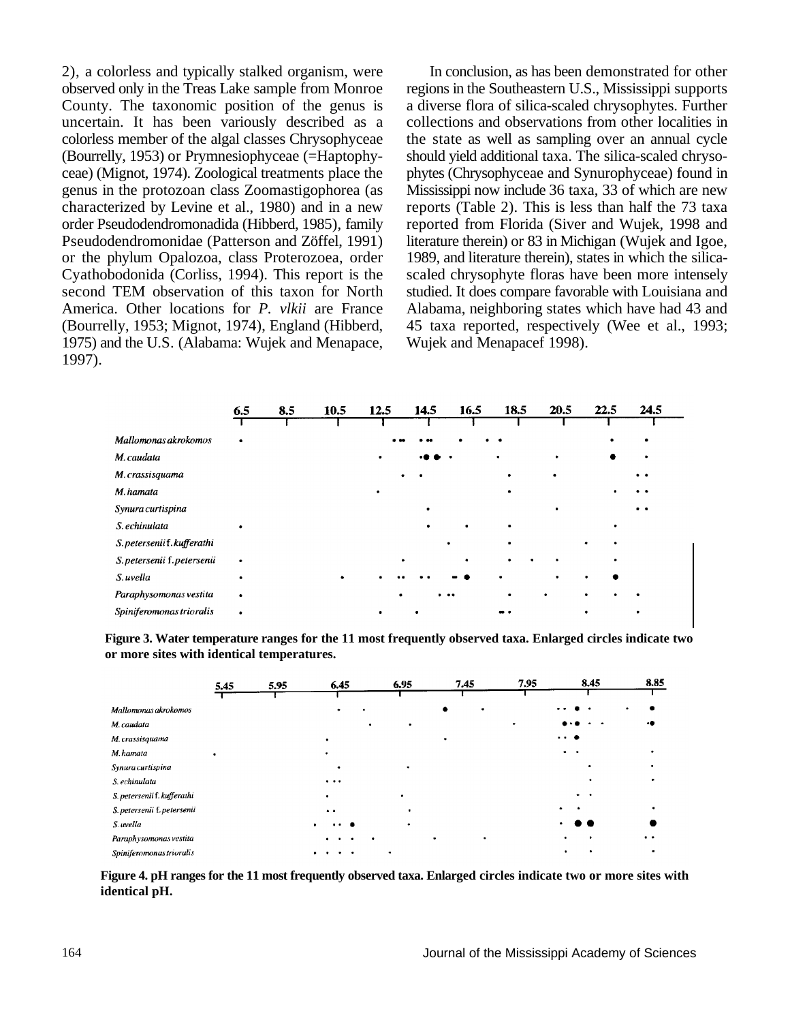2), a colorless and typically stalked organism, were In conclusion, as has been demonstrated for other observed only in the Treas Lake sample from Monroe regions in the Southeastern U.S., Mississippi supports County. The taxonomic position of the genus is a diverse flora of silica-scaled chrysophytes. Further uncertain. It has been variously described as a collections and observations from other localities in colorless member of the algal classes Chrysophyceae the state as well as sampling over an annual cycle (Bourrelly, 1953) or Prymnesiophyceae (=Haptophy- should yield additional taxa. The silica-scaled chrysoceae) (Mignot, 1974). Zoological treatments place the phytes (Chrysophyceae and Synurophyceae) found in genus in the protozoan class Zoomastigophorea (as Mississippi now include 36 taxa, 33 of which are new characterized by Levine et al., 1980) and in a new reports (Table 2). This is less than half the 73 taxa order Pseudodendromonadida (Hibberd, 1985), family reported from Florida (Siver and Wujek, 1998 and Pseudodendromonidae (Patterson and Zöffel, 1991) literature therein) or 83 in Michigan (Wujek and Igoe, or the phylum Opalozoa, class Proterozoea, order 1989, and literature therein), states in which the silica-Cyathobodonida (Corliss, 1994). This report is the scaled chrysophyte floras have been more intensely second TEM observation of this taxon for North studied. It does compare favorable with Louisiana and America. Other locations for *P. vlkii* are France Alabama, neighboring states which have had 43 and (Bourrelly, 1953; Mignot, 1974), England (Hibberd, 45 taxa reported, respectively (Wee et al., 1993; 1975) and the U.S. (Alabama: Wujek and Menapace, Wujek and Menapacef 1998). 1997).

reports (Table 2). This is less than half the 73 taxa 45 taxa reported, respectively (Wee et al., 1993;

|                             | 6.5 | 8.5 | 10.5 | 12.5      | 14.5 | 16.5 | 18.5 | 20.5 | 22.5 | 24.5                                         |
|-----------------------------|-----|-----|------|-----------|------|------|------|------|------|----------------------------------------------|
|                             |     |     |      |           |      |      |      |      |      |                                              |
| Mallomonas akrokomos        |     |     |      |           |      |      |      |      |      |                                              |
| M. caudata                  |     |     |      | ٠         |      |      |      |      |      |                                              |
| M. crassisquama             |     |     |      |           |      |      |      |      |      | $\bullet$                                    |
| M. hamata                   |     |     |      |           |      |      | ٠    |      |      | $\bullet\hspace{0.4mm}\bullet\hspace{0.4mm}$ |
| Synura curtispina           |     |     |      |           |      |      |      |      |      | $\bullet$ $\bullet$                          |
| S. echinulata               |     |     |      |           |      |      | ٠    |      |      |                                              |
| S. petersenii f. kufferathi |     |     |      |           |      |      |      |      |      |                                              |
| S. petersenii f. petersenii |     |     |      |           | ٠    |      | ٠    | ٠    |      |                                              |
| S. uvella                   |     |     |      |           |      |      |      |      |      |                                              |
| Paraphysomonas vestita      |     |     |      |           |      | .    | ٠    |      |      |                                              |
| Spiniferomonas trioralis    |     |     |      | $\bullet$ |      |      |      |      |      |                                              |
|                             |     |     |      |           |      |      |      |      |      |                                              |

**Figure 3. Water temperature ranges for the 11 most frequently observed taxa. Enlarged circles indicate two or more sites with identical temperatures.**

|                             | 5.45 | 5.95 | 6.45                            | 6.95      | 7.45 | 7.95 | 8.45     | 8.85 |
|-----------------------------|------|------|---------------------------------|-----------|------|------|----------|------|
|                             |      |      |                                 |           |      |      |          |      |
| Mallomonas akrokomos        |      |      |                                 |           |      |      |          |      |
| M. caudata                  |      |      | $\bullet$                       |           |      |      |          |      |
| M. crassisquama             |      |      |                                 |           |      |      | $\cdots$ |      |
| M. hamata                   |      |      |                                 |           |      |      |          |      |
| Synura curtispina           |      |      | $\bullet$                       |           |      |      |          |      |
| S. echinulata               |      |      | $\cdots$                        |           |      |      |          |      |
| S. petersenii f. kufferathi |      |      |                                 | $\bullet$ |      |      | $\sim$   |      |
| S. petersenii f. petersenii |      |      | $\bullet$                       |           |      |      |          |      |
| S. uvella                   |      |      | $\bullet$                       |           |      |      |          |      |
| Paraphysomonas vestita      |      |      |                                 |           |      |      |          | . .  |
| Spiniferomonas trioralis    |      |      | $\cdots$<br>$\bullet$ $\bullet$ |           |      |      | ٠        |      |

**Figure 4. pH ranges for the 11 most frequently observed taxa. Enlarged circles indicate two or more sites with identical pH.**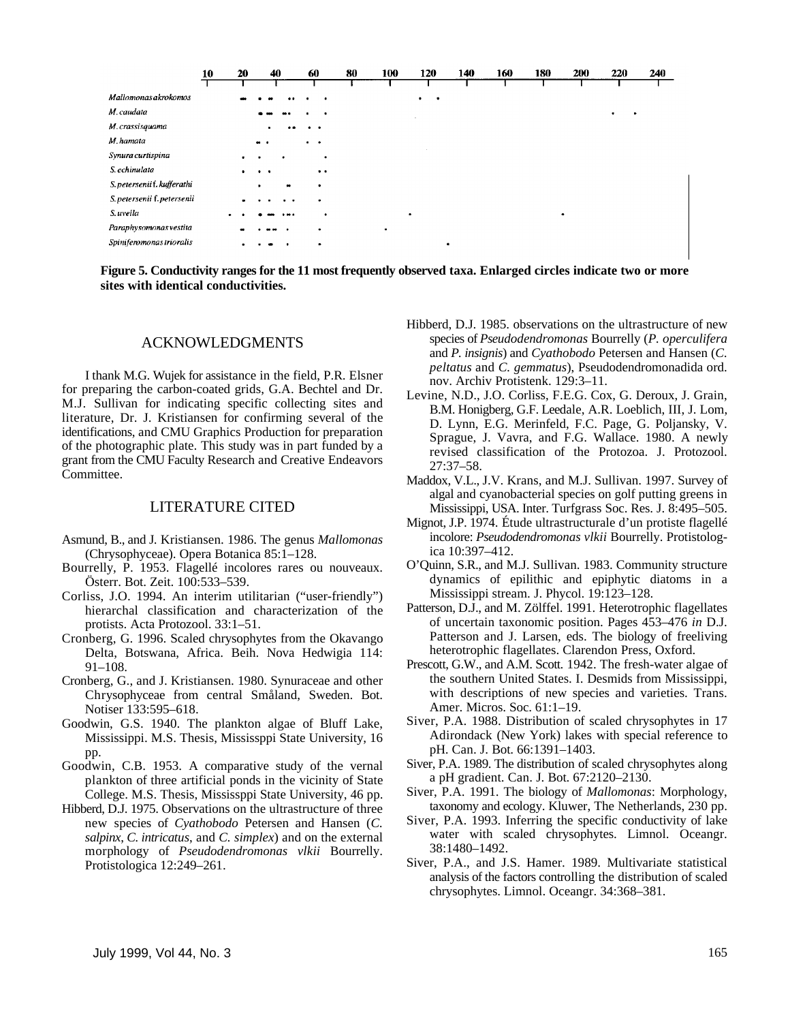|                             | 10 | 20             | 40                   | 60              | 80 | 100 | 120            | 140       | 160 | 180 | 200       | 220 | 240 |
|-----------------------------|----|----------------|----------------------|-----------------|----|-----|----------------|-----------|-----|-----|-----------|-----|-----|
|                             |    |                |                      |                 |    |     |                |           |     |     |           |     |     |
| Mallomonas akrokomos        |    |                |                      |                 |    |     | ٠<br>$\bullet$ |           |     |     |           |     |     |
| M. caudata                  |    |                |                      |                 |    |     |                |           |     |     |           |     |     |
| M. crassisquama             |    |                |                      |                 |    |     |                |           |     |     |           |     |     |
| M. hamata                   |    |                | $\bullet\bullet$     | . .             |    |     |                |           |     |     |           |     |     |
| Synura curtispina           |    |                |                      |                 |    |     |                |           |     |     |           |     |     |
| S. echinulata               |    | ٠              | $\ddot{\phantom{1}}$ | $\cdot$ $\cdot$ |    |     |                |           |     |     |           |     |     |
| S. petersenii f. kufferathi |    |                |                      | $\bullet$       |    |     |                |           |     |     |           |     |     |
| S. petersenii f. petersenii |    | $\blacksquare$ | . .                  | ۰               |    |     |                |           |     |     |           |     |     |
| S. uvella                   |    |                |                      |                 |    |     | $\bullet$      |           |     |     | $\bullet$ |     |     |
| Paraphysomonas vestita      |    |                |                      | ٠               |    | ٠   |                |           |     |     |           |     |     |
| Spiniferomonas trioralis    |    |                |                      | $\bullet$       |    |     |                | $\bullet$ |     |     |           |     |     |

**Figure 5. Conductivity ranges for the 11 most frequently observed taxa. Enlarged circles indicate two or more sites with identical conductivities.**

### ACKNOWLEDGMENTS

I thank M.G. Wujek for assistance in the field, P.R. Elsner for preparing the carbon-coated grids, G.A. Bechtel and Dr. M.J. Sullivan for indicating specific collecting sites and literature, Dr. J. Kristiansen for confirming several of the identifications, and CMU Graphics Production for preparation of the photographic plate. This study was in part funded by a grant from the CMU Faculty Research and Creative Endeavors Committee.

### LITERATURE CITED

- Asmund, B., and J. Kristiansen. 1986. The genus *Mallomonas* (Chrysophyceae). Opera Botanica 85:1–128.
- Bourrelly, P. 1953. Flagellé incolores rares ou nouveaux. Österr. Bot. Zeit. 100:533–539.
- Corliss, J.O. 1994. An interim utilitarian ("user-friendly") hierarchal classification and characterization of the protists. Acta Protozool. 33:1–51.
- Cronberg, G. 1996. Scaled chrysophytes from the Okavango Delta, Botswana, Africa. Beih. Nova Hedwigia 114: 91–108.
- Cronberg, G., and J. Kristiansen. 1980. Synuraceae and other Chrysophyceae from central Småland, Sweden. Bot. Notiser 133:595–618.
- Goodwin, G.S. 1940. The plankton algae of Bluff Lake, Mississippi. M.S. Thesis, Mississppi State University, 16 pp.
- Goodwin, C.B. 1953. A comparative study of the vernal plankton of three artificial ponds in the vicinity of State College. M.S. Thesis, Mississppi State University, 46 pp.
- Hibberd, D.J. 1975. Observations on the ultrastructure of three new species of *Cyathobodo* Petersen and Hansen (*C. salpinx*, *C. intricatus*, and *C. simplex*) and on the external morphology of *Pseudodendromonas vlkii* Bourrelly. Protistologica 12:249–261.
- Hibberd, D.J. 1985. observations on the ultrastructure of new species of *Pseudodendromonas* Bourrelly (*P. operculifera* and *P. insignis*) and *Cyathobodo* Petersen and Hansen (*C. peltatus* and *C. gemmatus*), Pseudodendromonadida ord. nov. Archiv Protistenk. 129:3–11.
- Levine, N.D., J.O. Corliss, F.E.G. Cox, G. Deroux, J. Grain, B.M. Honigberg, G.F. Leedale, A.R. Loeblich, III, J. Lom, D. Lynn, E.G. Merinfeld, F.C. Page, G. Poljansky, V. Sprague, J. Vavra, and F.G. Wallace. 1980. A newly revised classification of the Protozoa. J. Protozool. 27:37–58.
- Maddox, V.L., J.V. Krans, and M.J. Sullivan. 1997. Survey of algal and cyanobacterial species on golf putting greens in Mississippi, USA. Inter. Turfgrass Soc. Res. J. 8:495–505.
- Mignot, J.P. 1974. Étude ultrastructurale d'un protiste flagellé incolore: *Pseudodendromonas vlkii* Bourrelly. Protistologica 10:397–412.
- O'Quinn, S.R., and M.J. Sullivan. 1983. Community structure dynamics of epilithic and epiphytic diatoms in a Mississippi stream. J. Phycol. 19:123–128.
- Patterson, D.J., and M. Zölffel. 1991. Heterotrophic flagellates of uncertain taxonomic position. Pages 453–476 *in* D.J. Patterson and J. Larsen, eds. The biology of freeliving heterotrophic flagellates. Clarendon Press, Oxford.
- Prescott, G.W., and A.M. Scott. 1942. The fresh-water algae of the southern United States. I. Desmids from Mississippi, with descriptions of new species and varieties. Trans. Amer. Micros. Soc. 61:1–19.
- Siver, P.A. 1988. Distribution of scaled chrysophytes in 17 Adirondack (New York) lakes with special reference to pH. Can. J. Bot. 66:1391–1403.
- Siver, P.A. 1989. The distribution of scaled chrysophytes along a pH gradient. Can. J. Bot. 67:2120–2130.
- Siver, P.A. 1991. The biology of *Mallomonas*: Morphology, taxonomy and ecology. Kluwer, The Netherlands, 230 pp.
- Siver, P.A. 1993. Inferring the specific conductivity of lake water with scaled chrysophytes. Limnol. Oceangr. 38:1480–1492.
- Siver, P.A., and J.S. Hamer. 1989. Multivariate statistical analysis of the factors controlling the distribution of scaled chrysophytes. Limnol. Oceangr. 34:368–381.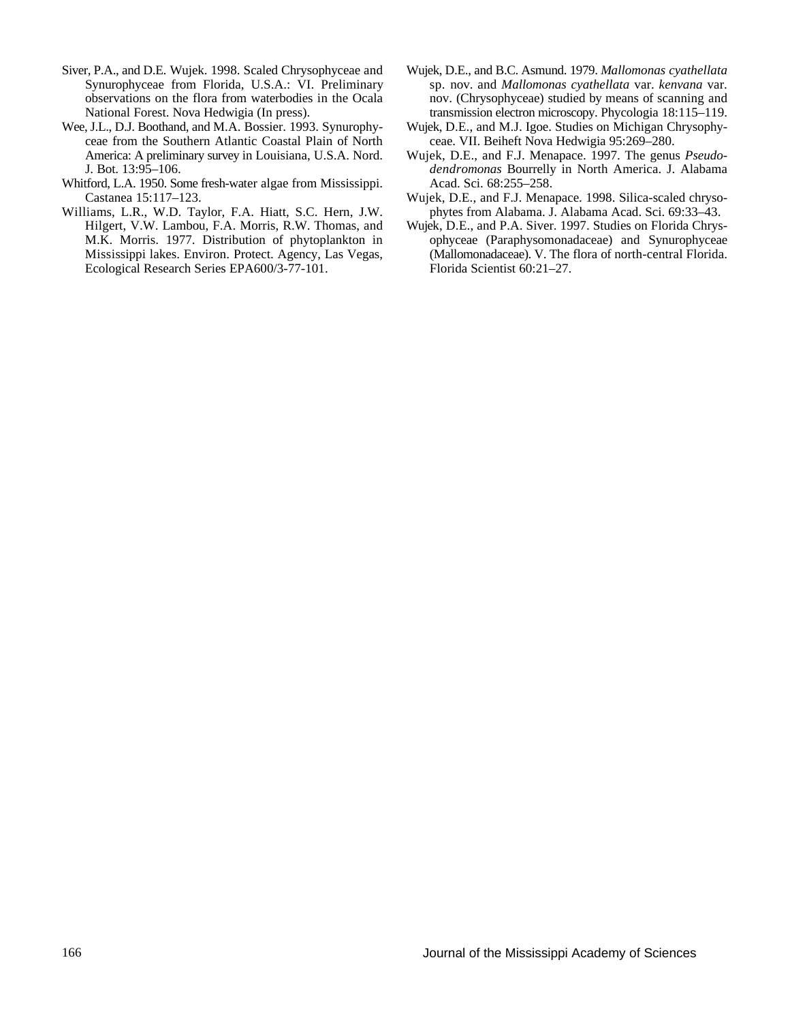- Siver, P.A., and D.E. Wujek. 1998. Scaled Chrysophyceae and Wujek, D.E., and B.C. Asmund. 1979. *Mallomonas cyathellata* National Forest. Nova Hedwigia (In press). transmission electron microscopy. Phycologia 18:115–119.
- Wee, J.L., D.J. Boothand, and M.A. Bossier. 1993. Synurophy-<br>
ceae from the Southern Atlantic Coastal Plain of North<br>
ceae. VII. Beiheft Nova Hedwigia 95:269-280. ceae from the Southern Atlantic Coastal Plain of North America: A preliminary survey in Louisiana, U.S.A. Nord.
- Whitford, L.A. 1950. Some fresh-water algae from Mississippi. Acad. Sci. 68:255–258.
- Williams, L.R., W.D. Taylor, F.A. Hiatt, S.C. Hern, J.W. Hilgert, V.W. Lambou, F.A. Morris, R.W. Thomas, and Ecological Research Series EPA600/3-77-101. Florida Scientist 60:21–27.
- Synurophyceae from Florida, U.S.A.: VI. Preliminary sp. nov. and *Mallomonas cyathellata* var. *kenvana* var. observations on the flora from waterbodies in the Ocala nov. (Chrysophyceae) studied by means of scanning and
	-
- Wujek, D.E., and F.J. Menapace. 1997. The genus *Pseudo-*J. Bot. 13:95–106. *dendromonas* Bourrelly in North America. J. Alabama
- Castanea 15:117–123. Wujek, D.E., and F.J. Menapace. 1998. Silica-scaled chryso-<br>
liams, L.R., W.D. Taylor, F.A. Hiatt, S.C. Hern, J.W. phytes from Alabama. J. Alabama Acad. Sci. 69:33–43.
	- Hilgert, V.W. Lambou, F.A. Morris, R.W. Thomas, and Wujek, D.E., and P.A. Siver. 1997. Studies on Florida Chrys-<br>M.K. Morris. 1977. Distribution of phytoplankton in ophyceae (Paraphysomonadaceae) and Synurophyceae ophyceae (Paraphysomonadaceae) and Synurophyceae Mississippi lakes. Environ. Protect. Agency, Las Vegas, (Mallomonadaceae). V. The flora of north-central Florida.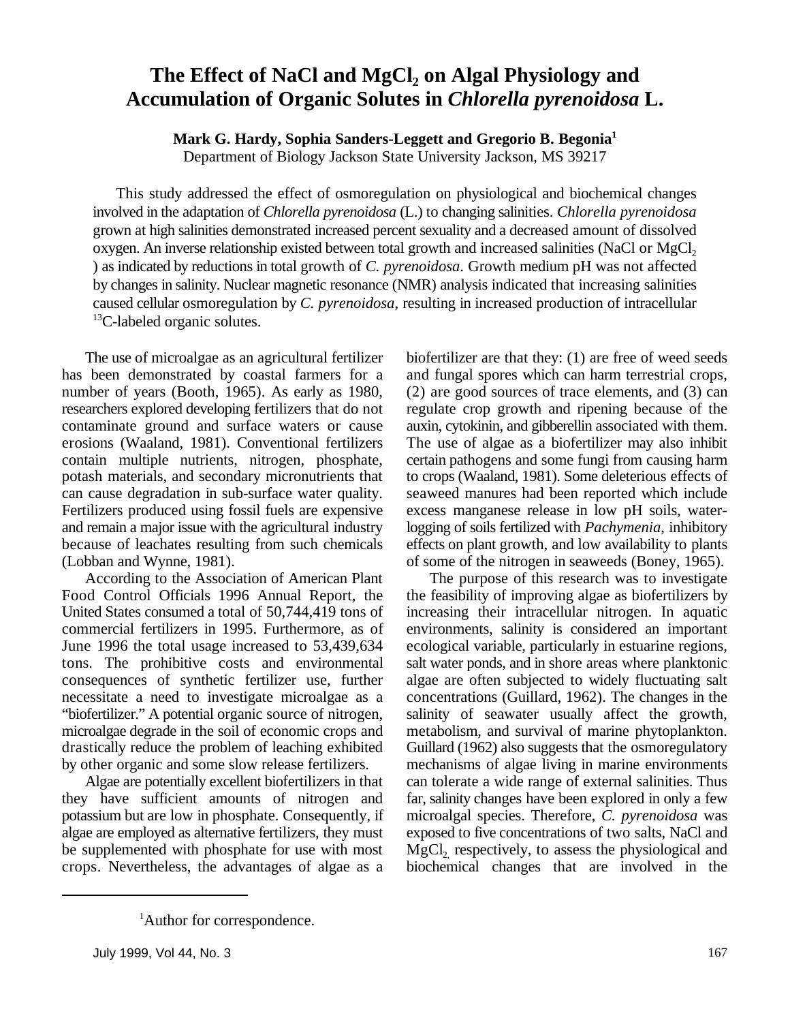### **The Effect of NaCl and MgCl<sup>2</sup> on Algal Physiology and Accumulation of Organic Solutes in** *Chlorella pyrenoidosa* **L.**

**Mark G. Hardy, Sophia Sanders-Leggett and Gregorio B. Begonia<sup>1</sup>**

Department of Biology Jackson State University Jackson, MS 39217

This study addressed the effect of osmoregulation on physiological and biochemical changes involved in the adaptation of *Chlorella pyrenoidosa* (L.) to changing salinities. *Chlorella pyrenoidosa* grown at high salinities demonstrated increased percent sexuality and a decreased amount of dissolved oxygen. An inverse relationship existed between total growth and increased salinities (NaCl or MgCl<sub>2</sub>) ) as indicated by reductions in total growth of *C. pyrenoidosa*. Growth medium pH was not affected by changes in salinity. Nuclear magnetic resonance (NMR) analysis indicated that increasing salinities caused cellular osmoregulation by *C. pyrenoidosa*, resulting in increased production of intracellular  ${}^{13}$ C-labeled organic solutes.

has been demonstrated by coastal farmers for a and fungal spores which can harm terrestrial crops, number of years (Booth, 1965). As early as 1980, (2) are good sources of trace elements, and (3) can researchers explored developing fertilizers that do not regulate crop growth and ripening because of the contaminate ground and surface waters or cause auxin, cytokinin, and gibberellin associated with them. erosions (Waaland, 1981). Conventional fertilizers The use of algae as a biofertilizer may also inhibit contain multiple nutrients, nitrogen, phosphate, certain pathogens and some fungi from causing harm potash materials, and secondary micronutrients that to crops (Waaland, 1981). Some deleterious effects of can cause degradation in sub-surface water quality. seaweed manures had been reported which include Fertilizers produced using fossil fuels are expensive excess manganese release in low pH soils, waterand remain a major issue with the agricultural industry logging of soils fertilized with *Pachymenia*, inhibitory because of leachates resulting from such chemicals effects on plant growth, and low availability to plants (Lobban and Wynne, 1981). of some of the nitrogen in seaweeds (Boney, 1965).

Food Control Officials 1996 Annual Report, the the feasibility of improving algae as biofertilizers by United States consumed a total of 50,744,419 tons of increasing their intracellular nitrogen. In aquatic commercial fertilizers in 1995. Furthermore, as of environments, salinity is considered an important June 1996 the total usage increased to 53,439,634 ecological variable, particularly in estuarine regions, tons. The prohibitive costs and environmental salt water ponds, and in shore areas where planktonic consequences of synthetic fertilizer use, further algae are often subjected to widely fluctuating salt necessitate a need to investigate microalgae as a concentrations (Guillard, 1962). The changes in the "biofertilizer." A potential organic source of nitrogen, salinity of seawater usually affect the growth, microalgae degrade in the soil of economic crops and metabolism, and survival of marine phytoplankton. drastically reduce the problem of leaching exhibited Guillard (1962) also suggests that the osmoregulatory by other organic and some slow release fertilizers. mechanisms of algae living in marine environments

they have sufficient amounts of nitrogen and far, salinity changes have been explored in only a few potassium but are low in phosphate. Consequently, if microalgal species. Therefore, *C. pyrenoidosa* was algae are employed as alternative fertilizers, they must exposed to five concentrations of two salts, NaCl and be supplemented with phosphate for use with most  $MgCl<sub>2</sub>$ , respectively, to assess the physiological and crops. Nevertheless, the advantages of algae as a biochemical changes that are involved in the

The use of microalgae as an agricultural fertilizer biofertilizer are that they: (1) are free of weed seeds

According to the Association of American Plant The purpose of this research was to investigate Algae are potentially excellent biofertilizers in that can tolerate a wide range of external salinities. Thus

<sup>&</sup>lt;sup>1</sup>Author for correspondence.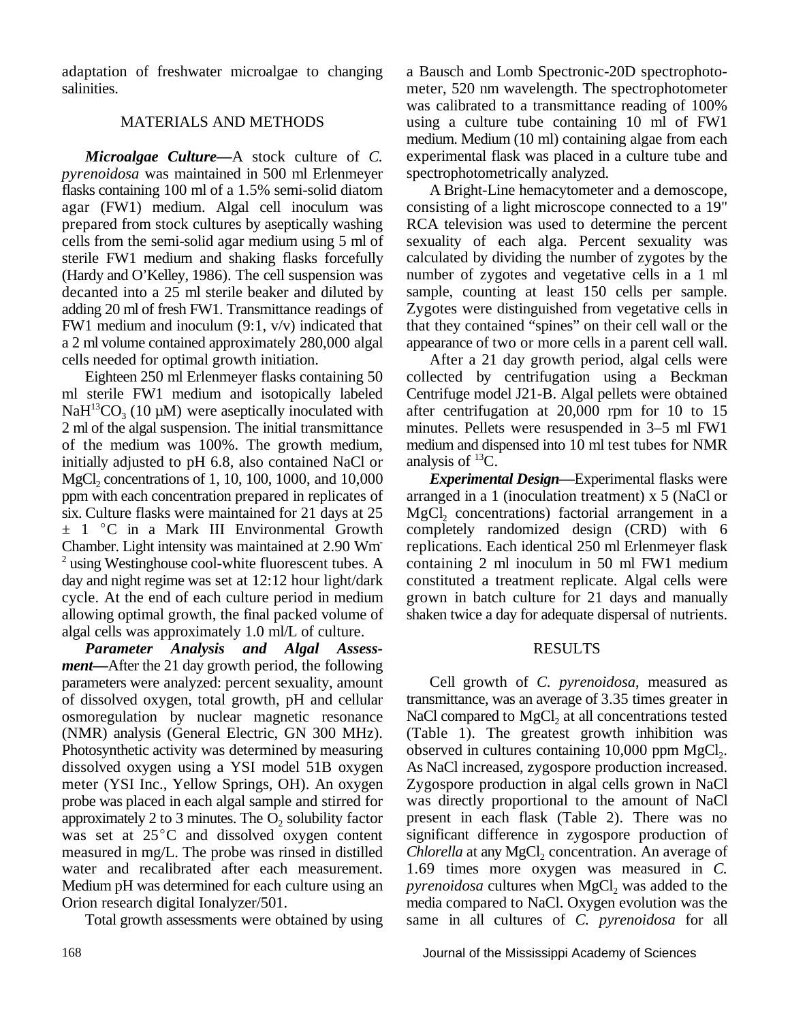adaptation of freshwater microalgae to changing a Bausch and Lomb Spectronic-20D spectrophotosalinities. meter, 520 nm wavelength. The spectrophotometer

*Microalgae Culture—*A stock culture of *C. pyrenoidosa* was maintained in 500 ml Erlenmeyer flasks containing 100 ml of a 1.5% semi-solid diatom agar (FW1) medium. Algal cell inoculum was prepared from stock cultures by aseptically washing cells from the semi-solid agar medium using 5 ml of sterile FW1 medium and shaking flasks forcefully (Hardy and O'Kelley, 1986). The cell suspension was decanted into a 25 ml sterile beaker and diluted by adding 20 ml of fresh FW1. Transmittance readings of FW1 medium and inoculum (9:1, v/v) indicated that a 2 ml volume contained approximately 280,000 algal cells needed for optimal growth initiation.

Eighteen 250 ml Erlenmeyer flasks containing 50 ml sterile FW1 medium and isotopically labeled  $NaH^{13}CO<sub>3</sub>$  (10 µM) were aseptically inoculated with 2 ml of the algal suspension. The initial transmittance of the medium was 100%. The growth medium, initially adjusted to pH 6.8, also contained NaCl or MgCl<sub>2</sub> concentrations of 1, 10, 100, 1000, and 10,000 *Experimental Design*—Experimental flasks were ppm with each concentration prepared in replicates of arranged in a 1 (inoculation treatment) x 5 (NaCl or six. Culture flasks were maintained for 21 days at  $25$  MgCl<sub>2</sub> concentrations) factorial arrangement in a  $\pm$  1 °C in a Mark III Environmental Growth completely randomized design (CRD) with 6 Chamber. Light intensity was maintained at 2.90 Wm replications. Each identical 250 ml Erlenmeyer flask  $2$  using Westinghouse cool-white fluorescent tubes. A day and night regime was set at 12:12 hour light/dark constituted a treatment replicate. Algal cells were cycle. At the end of each culture period in medium grown in batch culture for 21 days and manually allowing optimal growth, the final packed volume of shaken twice a day for adequate dispersal of nutrients. algal cells was approximately 1.0 ml/L of culture.

*Parameter Analysis and Algal Assessment—*After the 21 day growth period, the following parameters were analyzed: percent sexuality, amount of dissolved oxygen, total growth, pH and cellular osmoregulation by nuclear magnetic resonance (NMR) analysis (General Electric, GN 300 MHz). Photosynthetic activity was determined by measuring dissolved oxygen using a YSI model 51B oxygen meter (YSI Inc., Yellow Springs, OH). An oxygen probe was placed in each algal sample and stirred for approximately 2 to 3 minutes. The  $O_2$  solubility factor was set at  $25^{\circ}$ C and dissolved oxygen content measured in mg/L. The probe was rinsed in distilled water and recalibrated after each measurement. Medium pH was determined for each culture using an Orion research digital Ionalyzer/501.

Total growth assessments were obtained by using

MATERIALS AND METHODS using a culture tube containing 10 ml of FW1 was calibrated to a transmittance reading of 100% medium. Medium (10 ml) containing algae from each experimental flask was placed in a culture tube and spectrophotometrically analyzed.

A Bright-Line hemacytometer and a demoscope, consisting of a light microscope connected to a 19" RCA television was used to determine the percent sexuality of each alga. Percent sexuality was calculated by dividing the number of zygotes by the number of zygotes and vegetative cells in a 1 ml sample, counting at least 150 cells per sample. Zygotes were distinguished from vegetative cells in that they contained "spines" on their cell wall or the appearance of two or more cells in a parent cell wall.

After a 21 day growth period, algal cells were collected by centrifugation using a Beckman Centrifuge model J21-B. Algal pellets were obtained after centrifugation at 20,000 rpm for 10 to 15 minutes. Pellets were resuspended in 3–5 ml FW1 medium and dispensed into 10 ml test tubes for NMR analysis of  ${}^{13}C$ .

arranged in a 1 (inoculation treatment)  $x$  5 (NaCl or containing  $2$  ml inoculum in 50 ml FW1 medium

### RESULTS

Cell growth of *C. pyrenoidosa*, measured as transmittance, was an average of 3.35 times greater in NaCl compared to MgCl<sub>2</sub> at all concentrations tested (Table 1). The greatest growth inhibition was observed in cultures containing  $10,000$  ppm MgCl<sub>2</sub>. As NaCl increased, zygospore production increased. Zygospore production in algal cells grown in NaCl was directly proportional to the amount of NaCl present in each flask (Table 2). There was no significant difference in zygospore production of *Chlorella* at any MgCl<sub>2</sub> concentration. An average of 1.69 times more oxygen was measured in *C. pyrenoidosa* cultures when MgCl<sub>2</sub> was added to the media compared to NaCl. Oxygen evolution was the same in all cultures of *C. pyrenoidosa* for all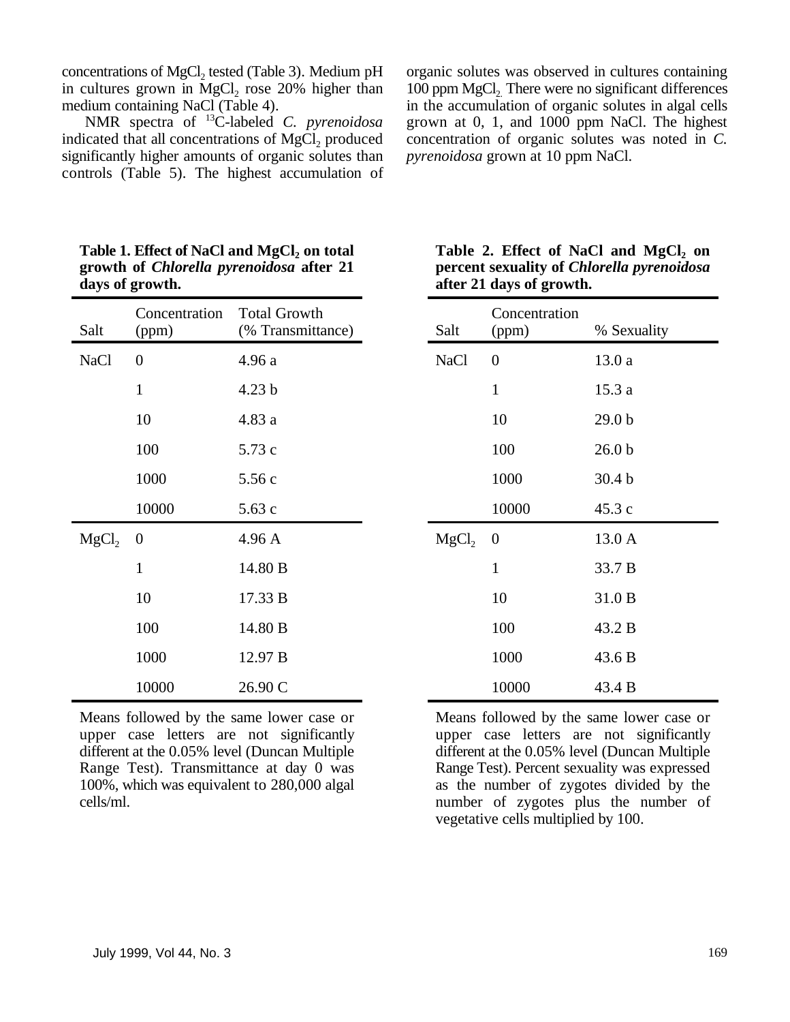concentrations of MgCl<sub>2</sub> tested (Table 3). Medium pH in cultures grown in MgCl<sub>2</sub> rose 20% higher than medium containing NaCl (Table 4).

NMR spectra of <sup>13</sup>C-labeled C. pyrenoidosa indicated that all concentrations of  $MgCl<sub>2</sub>$  produced concentration of organic solutes was noted in *C*. significantly higher amounts of organic solutes than *pyrenoidosa* grown at 10 ppm NaCl. significantly higher amounts of organic solutes than controls (Table 5). The highest accumulation of

organic solutes was observed in cultures containing in the accumulation of organic solutes in algal cells grown at 0, 1, and 1000 ppm NaCl. The highest 100 ppm MgCl<sub>2</sub> There were no significant differences

|                   | $\mathbf{u}$ $\mathbf{v}$ $\mathbf{v}$ $\mathbf{v}$ $\mathbf{u}$ $\mathbf{v}$ |                                          |                   | $\mu$ and $\mu$ and $\mu$ and $\mu$ |                   |  |
|-------------------|-------------------------------------------------------------------------------|------------------------------------------|-------------------|-------------------------------------|-------------------|--|
| Salt              | Concentration<br>(ppm)                                                        | <b>Total Growth</b><br>(% Transmittance) | Salt              | Concentration<br>(ppm)              | % Sexuality       |  |
| <b>NaCl</b>       | $\boldsymbol{0}$                                                              | 4.96 a                                   | <b>NaCl</b>       | $\boldsymbol{0}$                    | 13.0a             |  |
|                   | $\mathbf{1}$                                                                  | 4.23 <sub>b</sub>                        |                   | $\mathbf{1}$                        | 15.3a             |  |
|                   | 10                                                                            | 4.83 a                                   |                   | 10                                  | 29.0 <sub>b</sub> |  |
|                   | 100                                                                           | 5.73 c                                   |                   | 100                                 | 26.0 <sub>b</sub> |  |
|                   | 1000                                                                          | 5.56c                                    |                   | 1000                                | 30.4 <sub>b</sub> |  |
|                   | 10000                                                                         | 5.63c                                    |                   | 10000                               | 45.3c             |  |
| MgCl <sub>2</sub> | $\overline{0}$                                                                | 4.96 A                                   | MgCl <sub>2</sub> | $\overline{0}$                      | 13.0 A            |  |
|                   | $\mathbf 1$                                                                   | 14.80 B                                  |                   | $\mathbf{1}$                        | 33.7 B            |  |
|                   | 10                                                                            | 17.33 B                                  |                   | 10                                  | 31.0 B            |  |
|                   | 100                                                                           | 14.80 B                                  |                   | 100                                 | 43.2 B            |  |
|                   | 1000                                                                          | 12.97 B                                  |                   | 1000                                | 43.6 B            |  |
|                   | 10000                                                                         | 26.90 C                                  |                   | 10000                               | 43.4 B            |  |

**Table 1. Effect of NaCl and MgCl<sup>2</sup> on total Table 2. Effect of NaCl and MgCl on growth of** *Chlorella pyrenoidosa* **after 21 percent sexuality of** *Chlorella pyrenoidosa* **days of growth. after 21 days of growth.**

| Means followed by the same lower case or      |  |  |  |
|-----------------------------------------------|--|--|--|
| upper case letters are not significantly      |  |  |  |
| different at the 0.05% level (Duncan Multiple |  |  |  |
| Range Test). Transmittance at day 0 was       |  |  |  |
| 100%, which was equivalent to 280,000 algal   |  |  |  |
| cells/ml.                                     |  |  |  |

|  |                          |  | Table 2. Effect of NaCl and MgCl, on              |  |
|--|--------------------------|--|---------------------------------------------------|--|
|  |                          |  | percent sexuality of <i>Chlorella pyrenoidosa</i> |  |
|  | after 21 days of growth. |  |                                                   |  |

| Salt              | Concentration<br>(ppm) | % Sexuality       |
|-------------------|------------------------|-------------------|
| <b>NaCl</b>       | $\overline{0}$         | 13.0 a            |
|                   | $\mathbf{1}$           | 15.3 a            |
|                   | 10                     | 29.0 <sub>b</sub> |
|                   | 100                    | 26.0 <sub>b</sub> |
|                   | 1000                   | 30.4 <sub>b</sub> |
|                   | 10000                  | 45.3 c            |
| MgCl <sub>2</sub> | $\boldsymbol{0}$       | 13.0 A            |
|                   | $\mathbf{1}$           | 33.7 B            |
|                   | 10                     | 31.0 B            |
|                   | 100                    | 43.2 B            |
|                   | 1000                   | 43.6 B            |
|                   | 10000                  | 43.4 B            |

Means followed by the same lower case or upper case letters are not significantly upper case letters are not significantly different at the 0.05% level (Duncan Multiple Range Test). Percent sexuality was expressed as the number of zygotes divided by the number of zygotes plus the number of vegetative cells multiplied by 100.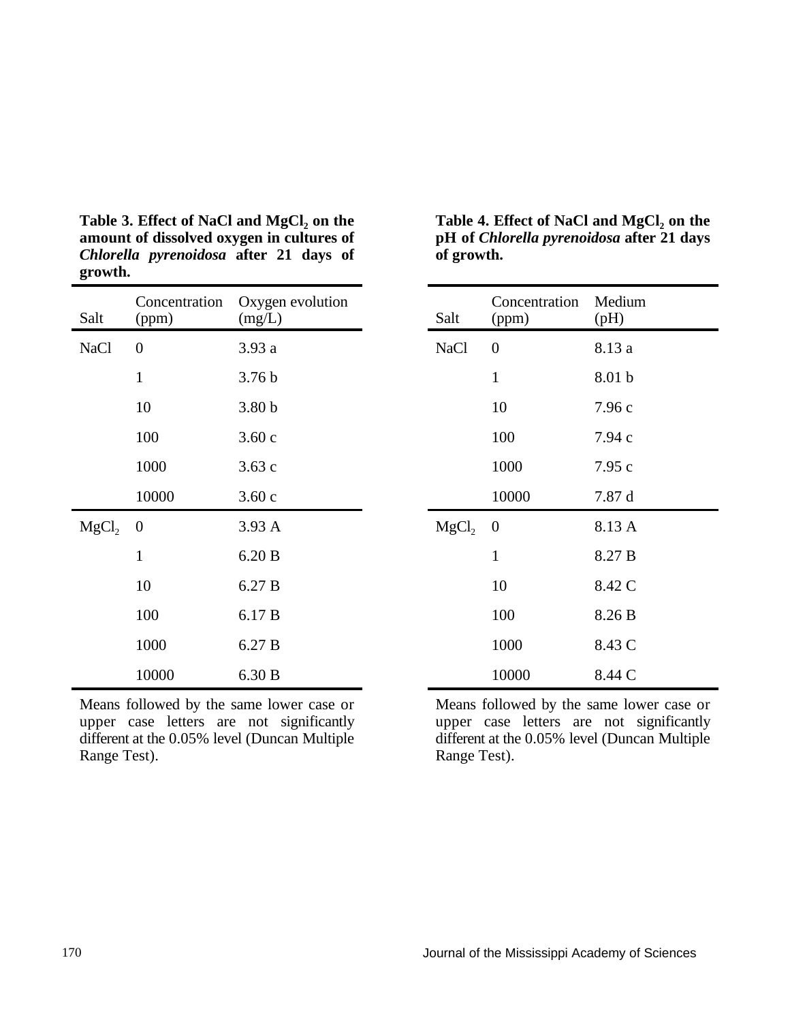| Salt              | Concentration<br>(ppm) | Oxygen evolution<br>(mg/L) | Salt              | Concentration<br>(ppm) | Medium<br>(pH) |
|-------------------|------------------------|----------------------------|-------------------|------------------------|----------------|
| <b>NaCl</b>       | $\boldsymbol{0}$       | 3.93 a                     | <b>NaCl</b>       | $\overline{0}$         | 8.13 a         |
|                   | $\mathbf{1}$           | 3.76 <sub>b</sub>          |                   | $\mathbf{1}$           | 8.01 b         |
|                   | 10                     | 3.80 <sub>b</sub>          |                   | 10                     | 7.96 с         |
|                   | 100                    | 3.60c                      |                   | 100                    | 7.94 с         |
|                   | 1000                   | 3.63c                      |                   | 1000                   | 7.95c          |
|                   | 10000                  | 3.60c                      |                   | 10000                  | 7.87 d         |
| MgCl <sub>2</sub> | $\overline{0}$         | 3.93A                      | MgCl <sub>2</sub> | $\boldsymbol{0}$       | 8.13 A         |
|                   | $\mathbf{1}$           | 6.20 B                     |                   | $\mathbf{1}$           | 8.27 B         |
|                   | 10                     | 6.27 B                     |                   | 10                     | 8.42 C         |
|                   | 100                    | 6.17 B                     |                   | 100                    | 8.26 B         |
|                   | 1000                   | 6.27 B                     |                   | 1000                   | 8.43 C         |
|                   | 10000                  | 6.30 B                     |                   | 10000                  | 8.44 C         |

**amount** of dissolved oxygen in cultures of *Chlorella pyrenoidosa* **after 21 days of of growth. growth.**

Means followed by the same lower case or Means followed by the same lower case or upper case letters are not significantly and  $\frac{1}{2}$  mper case letters are not significantly upper case letters are not significantly different at the 0.05% level (Duncan Multiple

**Table 3. Effect** of **NaCl and MgCl**<sub>2</sub> **on** the **Table 4. Effect** of **NaCl and MgCl**<sub>2</sub> **on** the **pH** of *Chlorella pyrenoidosa* after 21 days Table 4. Effect of NaCl and MgCl<sub>2</sub> on the

| Salt              | Concentration<br>(ppm) | Medium<br>(pH)    |
|-------------------|------------------------|-------------------|
| <b>NaCl</b>       | $\overline{0}$         | 8.13 a            |
|                   | $\mathbf{1}$           | 8.01 b            |
|                   | 10                     | 7.96c             |
|                   | 100                    | 7.94c             |
|                   | 1000                   | 7.95 c            |
|                   | 10000                  | 7.87 d            |
| MgCl <sub>2</sub> | 0                      | 8.13 A            |
|                   | 1                      | 8.27 <sub>B</sub> |
|                   | 10                     | 8.42 C            |
|                   | 100                    | 8.26 B            |
|                   | 1000                   | 8.43 C            |
|                   | 10000                  | 8.44 C            |

different at the 0.05% level (Duncan Multiple different at the 0.05% level (Duncan Multiple Range Test). Range Test).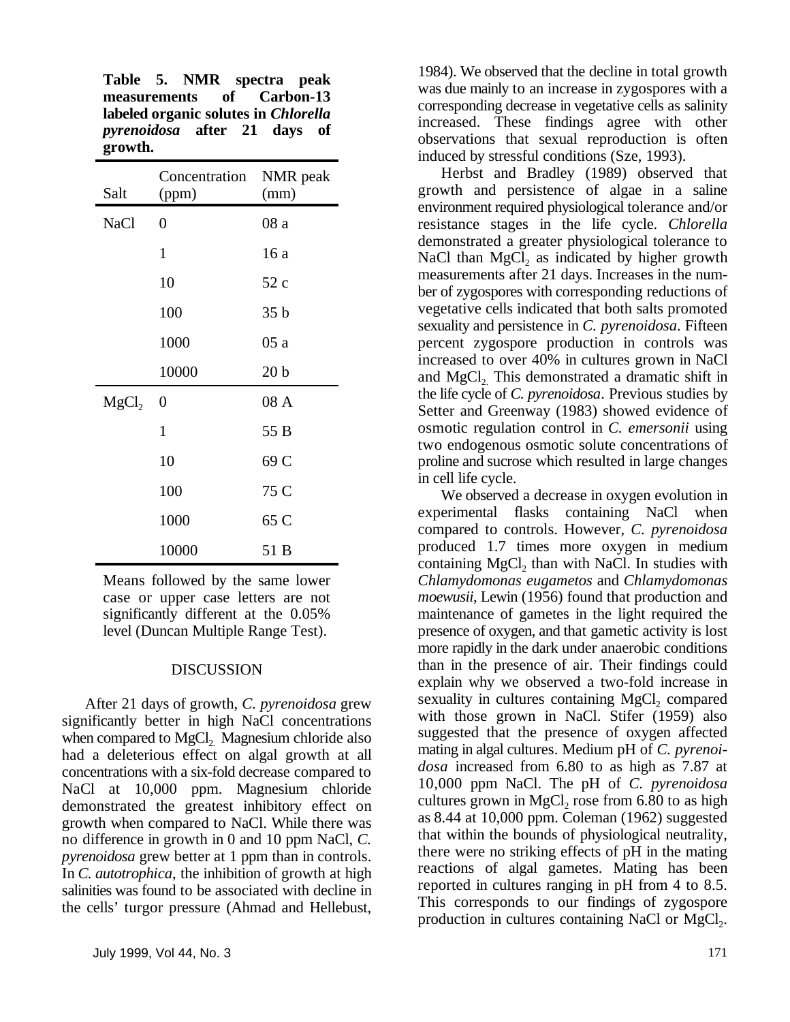**Table 5. NMR spectra peak measurements of Carbon-13 labeled organic solutes in** *Chlorella pyrenoidosa* **after 21 days of growth.**

| Salt              | Concentration<br>(ppm) | NMR peak<br>(mm) |
|-------------------|------------------------|------------------|
| <b>NaCl</b>       | $\overline{0}$         | 08 a             |
|                   | $\mathbf{1}$           | 16 a             |
|                   | 10                     | 52c              |
|                   | 100                    | 35 <sub>b</sub>  |
|                   | 1000                   | 05a              |
|                   | 10000                  | 20 <sub>b</sub>  |
| MgCl <sub>2</sub> | $\overline{0}$         | 08 A             |
|                   | $\mathbf{1}$           | 55 B             |
|                   | 10                     | 69 C             |
|                   | 100                    | 75 C             |
|                   | 1000                   | 65 C             |
|                   | 10000                  | 51 B             |

Means followed by the same lower case or upper case letters are not significantly different at the 0.05% level (Duncan Multiple Range Test).

### DISCUSSION

After 21 days of growth, *C. pyrenoidosa* grew significantly better in high NaCl concentrations when compared to MgCl<sub>2</sub>. Magnesium chloride also had a deleterious effect on algal growth at all concentrations with a six-fold decrease compared to NaCl at 10,000 ppm. Magnesium chloride demonstrated the greatest inhibitory effect on growth when compared to NaCl. While there was no difference in growth in 0 and 10 ppm NaCl, *C. pyrenoidosa* grew better at 1 ppm than in controls. In *C. autotrophica*, the inhibition of growth at high salinities was found to be associated with decline in the cells' turgor pressure (Ahmad and Hellebust, 1984). We observed that the decline in total growth was due mainly to an increase in zygospores with a corresponding decrease in vegetative cells as salinity increased. These findings agree with other observations that sexual reproduction is often induced by stressful conditions (Sze, 1993).

Herbst and Bradley (1989) observed that growth and persistence of algae in a saline environment required physiological tolerance and/or resistance stages in the life cycle. *Chlorella* demonstrated a greater physiological tolerance to NaCl than  $MgCl<sub>2</sub>$  as indicated by higher growth measurements after 21 days. Increases in the number of zygospores with corresponding reductions of vegetative cells indicated that both salts promoted sexuality and persistence in *C. pyrenoidosa*. Fifteen percent zygospore production in controls was increased to over 40% in cultures grown in NaCl and MgCl<sub>2</sub>. This demonstrated a dramatic shift in the life cycle of *C. pyrenoidosa*. Previous studies by Setter and Greenway (1983) showed evidence of osmotic regulation control in *C. emersonii* using two endogenous osmotic solute concentrations of proline and sucrose which resulted in large changes in cell life cycle.

We observed a decrease in oxygen evolution in experimental flasks containing NaCl when compared to controls. However, *C. pyrenoidosa* produced 1.7 times more oxygen in medium containing  $MgCl<sub>2</sub>$  than with NaCl. In studies with *Chlamydomonas eugametos* and *Chlamydomonas moewusii*, Lewin (1956) found that production and maintenance of gametes in the light required the presence of oxygen, and that gametic activity is lost more rapidly in the dark under anaerobic conditions than in the presence of air. Their findings could explain why we observed a two-fold increase in sexuality in cultures containing  $MgCl<sub>2</sub>$  compared with those grown in NaCl. Stifer (1959) also suggested that the presence of oxygen affected mating in algal cultures. Medium pH of *C. pyrenoidosa* increased from 6.80 to as high as 7.87 at 10,000 ppm NaCl. The pH of *C. pyrenoidosa* cultures grown in  $MgCl<sub>2</sub>$  rose from 6.80 to as high as 8.44 at 10,000 ppm. Coleman (1962) suggested that within the bounds of physiological neutrality, there were no striking effects of pH in the mating reactions of algal gametes. Mating has been reported in cultures ranging in pH from 4 to 8.5. This corresponds to our findings of zygospore production in cultures containing NaCl or  $MgCl<sub>2</sub>$ .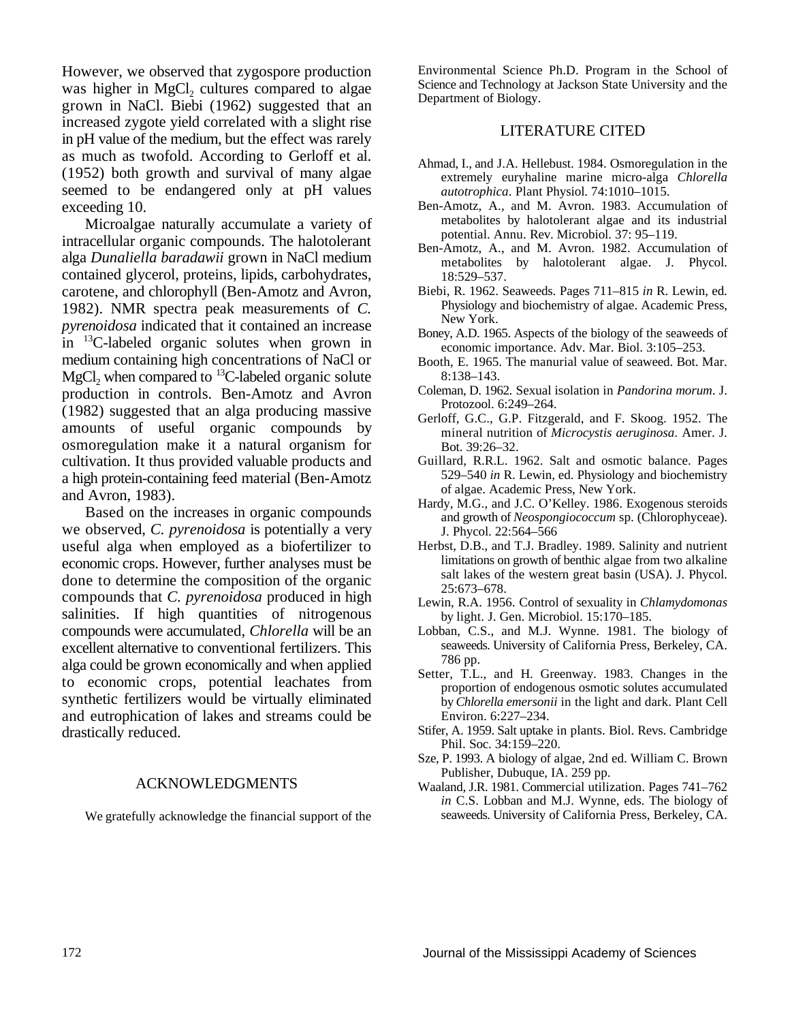However, we observed that zygospore production was higher in MgCl<sub>2</sub> cultures compared to algae grown in NaCl. Biebi (1962) suggested that an increased zygote yield correlated with a slight rise in pH value of the medium, but the effect was rarely as much as twofold. According to Gerloff et al. (1952) both growth and survival of many algae seemed to be endangered only at pH values exceeding 10.

Microalgae naturally accumulate a variety of intracellular organic compounds. The halotolerant alga *Dunaliella baradawii* grown in NaCl medium contained glycerol, proteins, lipids, carbohydrates, carotene, and chlorophyll (Ben-Amotz and Avron, 1982). NMR spectra peak measurements of *C. pyrenoidosa* indicated that it contained an increase  $\frac{13}{2}$ C-labeled organic solutes when grown in medium containing high concentrations of NaCl or MgCl<sub>2</sub> when compared to <sup>13</sup>C-labeled organic solute production in controls. Ben-Amotz and Avron (1982) suggested that an alga producing massive amounts of useful organic compounds by osmoregulation make it a natural organism for cultivation. It thus provided valuable products and a high protein-containing feed material (Ben-Amotz and Avron, 1983).

Based on the increases in organic compounds we observed, *C. pyrenoidosa* is potentially a very useful alga when employed as a biofertilizer to economic crops. However, further analyses must be done to determine the composition of the organic compounds that *C. pyrenoidosa* produced in high salinities. If high quantities of nitrogenous compounds were accumulated, *Chlorella* will be an excellent alternative to conventional fertilizers. This alga could be grown economically and when applied to economic crops, potential leachates from synthetic fertilizers would be virtually eliminated and eutrophication of lakes and streams could be drastically reduced.

### ACKNOWLEDGMENTS

We gratefully acknowledge the financial support of the

Environmental Science Ph.D. Program in the School of Science and Technology at Jackson State University and the Department of Biology.

### LITERATURE CITED

- Ahmad, I., and J.A. Hellebust. 1984. Osmoregulation in the extremely euryhaline marine micro-alga *Chlorella autotrophica*. Plant Physiol. 74:1010–1015.
- Ben-Amotz, A., and M. Avron. 1983. Accumulation of metabolites by halotolerant algae and its industrial potential. Annu. Rev. Microbiol. 37: 95–119.
- Ben-Amotz, A., and M. Avron. 1982. Accumulation of metabolites by halotolerant algae. J. Phycol. 18:529–537.
- Biebi, R. 1962. Seaweeds. Pages 711–815 *in* R. Lewin, ed. Physiology and biochemistry of algae. Academic Press, New York.
- Boney, A.D. 1965. Aspects of the biology of the seaweeds of economic importance. Adv. Mar. Biol. 3:105–253.
- Booth, E. 1965. The manurial value of seaweed. Bot. Mar. 8:138–143.
- Coleman, D. 1962. Sexual isolation in *Pandorina morum*. J. Protozool. 6:249–264.
- Gerloff, G.C., G.P. Fitzgerald, and F. Skoog. 1952. The mineral nutrition of *Microcystis aeruginosa*. Amer. J. Bot. 39:26–32.
- Guillard, R.R.L. 1962. Salt and osmotic balance. Pages 529–540 *in* R. Lewin, ed. Physiology and biochemistry of algae. Academic Press, New York.
- Hardy, M.G., and J.C. O'Kelley. 1986. Exogenous steroids and growth of *Neospongiococcum* sp. (Chlorophyceae). J. Phycol. 22:564–566
- Herbst, D.B., and T.J. Bradley. 1989. Salinity and nutrient limitations on growth of benthic algae from two alkaline salt lakes of the western great basin (USA). J. Phycol. 25:673–678.
- Lewin, R.A. 1956. Control of sexuality in *Chlamydomonas* by light. J. Gen. Microbiol. 15:170–185.
- Lobban, C.S., and M.J. Wynne. 1981. The biology of seaweeds. University of California Press, Berkeley, CA. 786 pp.
- Setter, T.L., and H. Greenway. 1983. Changes in the proportion of endogenous osmotic solutes accumulated by*Chlorella emersonii* in the light and dark. Plant Cell Environ. 6:227–234.
- Stifer, A. 1959. Salt uptake in plants. Biol. Revs. Cambridge Phil. Soc. 34:159–220.
- Sze, P. 1993. A biology of algae, 2nd ed. William C. Brown Publisher, Dubuque, IA. 259 pp.
- Waaland, J.R. 1981. Commercial utilization. Pages 741–762 *in* C.S. Lobban and M.J. Wynne, eds. The biology of seaweeds. University of California Press, Berkeley, CA.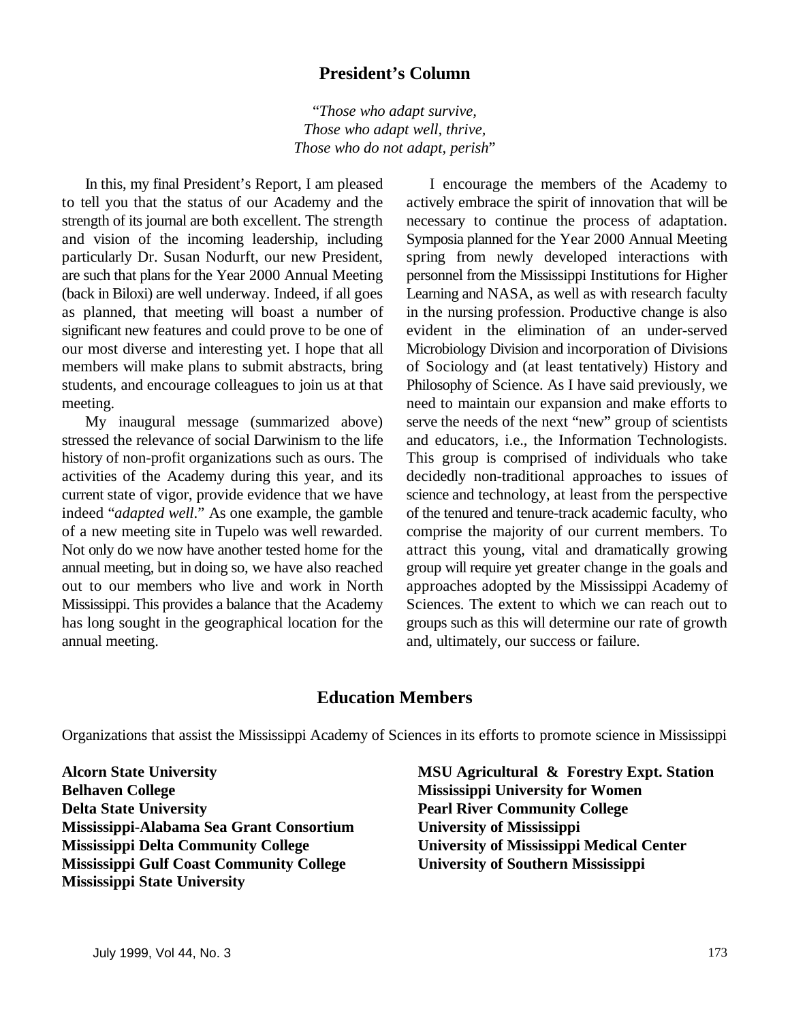### **President's Column**

"*Those who adapt survive, Those who adapt well, thrive, Those who do not adapt, perish*"

to tell you that the status of our Academy and the actively embrace the spirit of innovation that will be strength of its journal are both excellent. The strength necessary to continue the process of adaptation. and vision of the incoming leadership, including Symposia planned for the Year 2000 Annual Meeting particularly Dr. Susan Nodurft, our new President, spring from newly developed interactions with are such that plans for the Year 2000 Annual Meeting personnel from the Mississippi Institutions for Higher (back in Biloxi) are well underway. Indeed, if all goes Learning and NASA, as well as with research faculty as planned, that meeting will boast a number of in the nursing profession. Productive change is also significant new features and could prove to be one of evident in the elimination of an under-served our most diverse and interesting yet. I hope that all Microbiology Division and incorporation of Divisions members will make plans to submit abstracts, bring of Sociology and (at least tentatively) History and students, and encourage colleagues to join us at that Philosophy of Science. As I have said previously, we meeting. The maintain our expansion and make efforts to

annual meeting. and, ultimately, our success or failure.

In this, my final President's Report, I am pleased I encourage the members of the Academy to My inaugural message (summarized above) serve the needs of the next "new" group of scientists stressed the relevance of social Darwinism to the life and educators, i.e., the Information Technologists. history of non-profit organizations such as ours. The This group is comprised of individuals who take activities of the Academy during this year, and its decidedly non-traditional approaches to issues of current state of vigor, provide evidence that we have science and technology, at least from the perspective indeed "*adapted well*." As one example, the gamble of the tenured and tenure-track academic faculty, who of a new meeting site in Tupelo was well rewarded. comprise the majority of our current members. To Not only do we now have another tested home for the attract this young, vital and dramatically growing annual meeting, but in doing so, we have also reached group will require yet greater change in the goals and out to our members who live and work in North approaches adopted by the Mississippi Academy of Mississippi. This provides a balance that the Academy Sciences. The extent to which we can reach out to has long sought in the geographical location for the groups such as this will determine our rate of growth

### **Education Members**

Organizations that assist the Mississippi Academy of Sciences in its efforts to promote science in Mississippi

**Belhaven College Mississippi University for Women Delta State University Pearl River Community College Mississippi-Alabama Sea Grant Consortium University of Mississippi Mississippi Delta Community College University of Mississippi Medical Center Mississippi Gulf Coast Community College University of Southern Mississippi Mississippi State University**

**Alcorn State University MSU Agricultural & Forestry Expt. Station**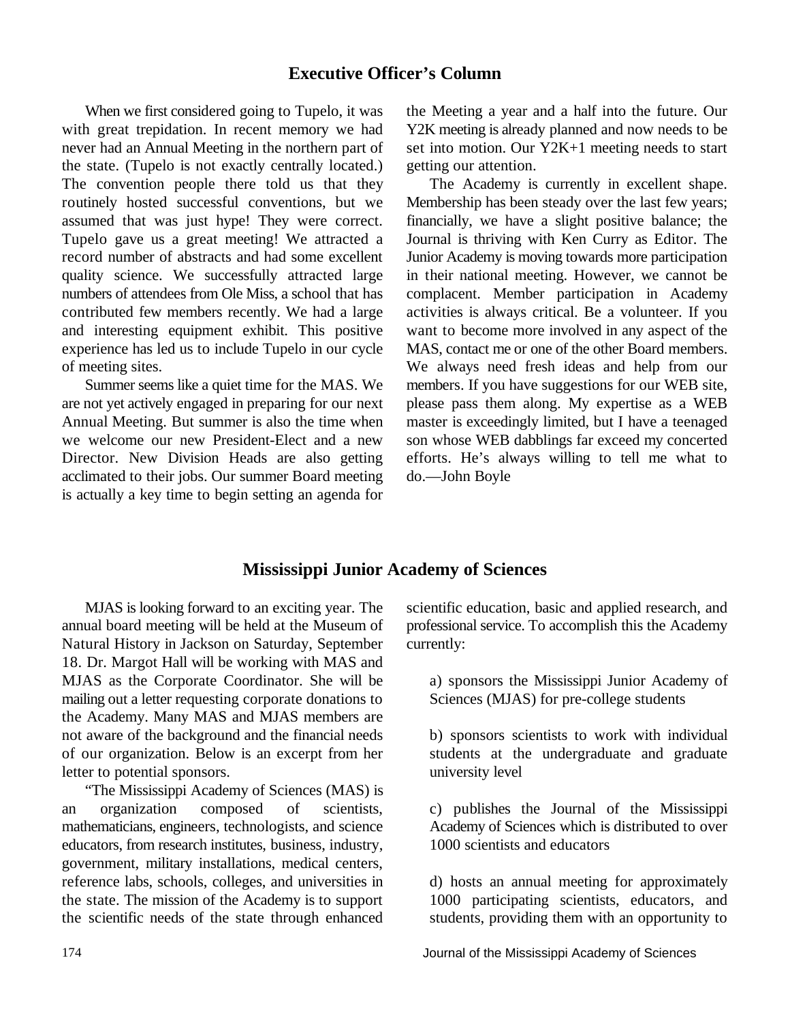### **Executive Officer's Column**

with great trepidation. In recent memory we had Y2K meeting is already planned and now needs to be never had an Annual Meeting in the northern part of set into motion. Our Y2K+1 meeting needs to start the state. (Tupelo is not exactly centrally located.) getting our attention. The convention people there told us that they The Academy is currently in excellent shape. routinely hosted successful conventions, but we Membership has been steady over the last few years; assumed that was just hype! They were correct. financially, we have a slight positive balance; the Tupelo gave us a great meeting! We attracted a Journal is thriving with Ken Curry as Editor. The record number of abstracts and had some excellent Junior Academy is moving towards more participation quality science. We successfully attracted large in their national meeting. However, we cannot be numbers of attendees from Ole Miss, a school that has complacent. Member participation in Academy contributed few members recently. We had a large activities is always critical. Be a volunteer. If you and interesting equipment exhibit. This positive want to become more involved in any aspect of the experience has led us to include Tupelo in our cycle MAS, contact me or one of the other Board members. of meeting sites. We always need fresh ideas and help from our

are not yet actively engaged in preparing for our next please pass them along. My expertise as a WEB Annual Meeting. But summer is also the time when master is exceedingly limited, but I have a teenaged we welcome our new President-Elect and a new son whose WEB dabblings far exceed my concerted Director. New Division Heads are also getting efforts. He's always willing to tell me what to acclimated to their jobs. Our summer Board meeting do.—John Boyle is actually a key time to begin setting an agenda for

When we first considered going to Tupelo, it was the Meeting a year and a half into the future. Our

Summer seems like a quiet time for the MAS. We members. If you have suggestions for our WEB site,

### **Mississippi Junior Academy of Sciences**

annual board meeting will be held at the Museum of professional service. To accomplish this the Academy Natural History in Jackson on Saturday, September currently: 18. Dr. Margot Hall will be working with MAS and MJAS as the Corporate Coordinator. She will be a) sponsors the Mississippi Junior Academy of mailing out a letter requesting corporate donations to Sciences (MJAS) for pre-college students the Academy. Many MAS and MJAS members are not aware of the background and the financial needs b) sponsors scientists to work with individual of our organization. Below is an excerpt from her students at the undergraduate and graduate letter to potential sponsors. university level

"The Mississippi Academy of Sciences (MAS) is an organization composed of scientists, c) publishes the Journal of the Mississippi mathematicians, engineers, technologists, and science Academy of Sciences which is distributed to over educators, from research institutes, business, industry, 1000 scientists and educators government, military installations, medical centers, reference labs, schools, colleges, and universities in d) hosts an annual meeting for approximately the state. The mission of the Academy is to support 1000 participating scientists, educators, and the scientific needs of the state through enhanced students, providing them with an opportunity to

MJAS is looking forward to an exciting year. The scientific education, basic and applied research, and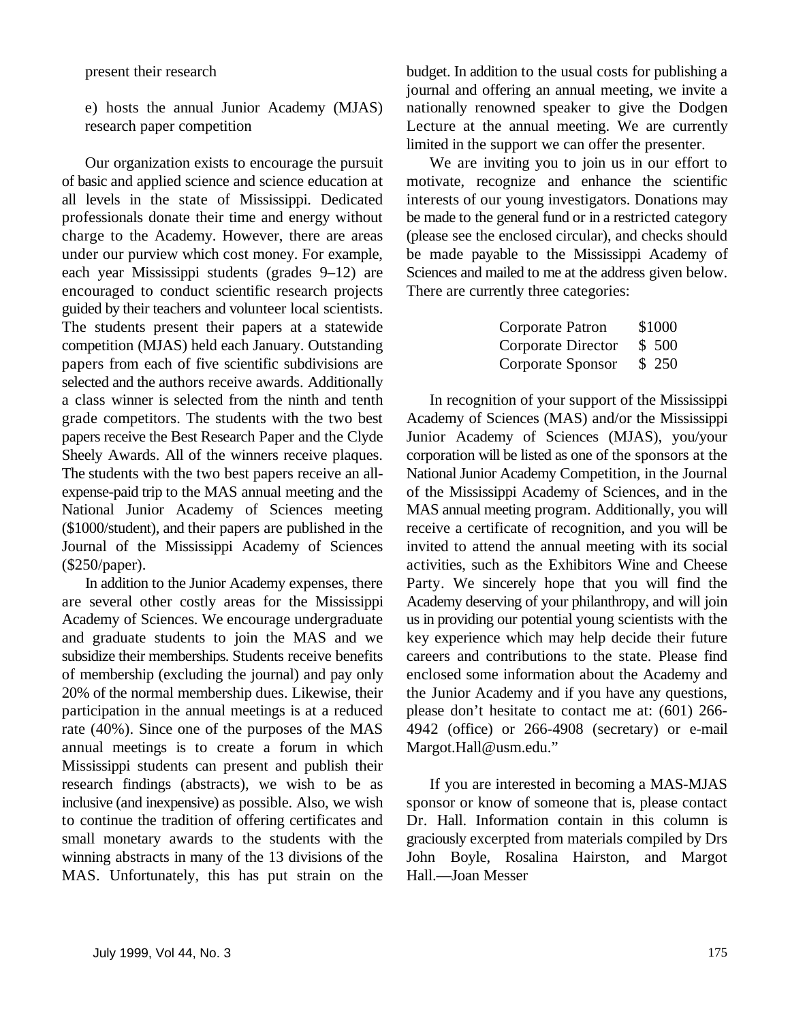of basic and applied science and science education at motivate, recognize and enhance the scientific all levels in the state of Mississippi. Dedicated interests of our young investigators. Donations may professionals donate their time and energy without be made to the general fund or in a restricted category charge to the Academy. However, there are areas (please see the enclosed circular), and checks should under our purview which cost money. For example, be made payable to the Mississippi Academy of each year Mississippi students (grades 9–12) are Sciences and mailed to me at the address given below. encouraged to conduct scientific research projects There are currently three categories: guided by their teachers and volunteer local scientists. The students present their papers at a statewide competition (MJAS) held each January. Outstanding papers from each of five scientific subdivisions are selected and the authors receive awards. Additionally a class winner is selected from the ninth and tenth In recognition of your support of the Mississippi grade competitors. The students with the two best Academy of Sciences (MAS) and/or the Mississippi papers receive the Best Research Paper and the Clyde Junior Academy of Sciences (MJAS), you/your Sheely Awards. All of the winners receive plaques. corporation will be listed as one of the sponsors at the The students with the two best papers receive an all-<br>National Junior Academy Competition, in the Journal expense-paid trip to the MAS annual meeting and the of the Mississippi Academy of Sciences, and in the National Junior Academy of Sciences meeting MAS annual meeting program. Additionally, you will (\$1000/student), and their papers are published in the receive a certificate of recognition, and you will be Journal of the Mississippi Academy of Sciences invited to attend the annual meeting with its social (\$250/paper). activities, such as the Exhibitors Wine and Cheese

are several other costly areas for the Mississippi Academy deserving of your philanthropy, and will join Academy of Sciences. We encourage undergraduate us in providing our potential young scientists with the and graduate students to join the MAS and we key experience which may help decide their future subsidize their memberships. Students receive benefits careers and contributions to the state. Please find of membership (excluding the journal) and pay only enclosed some information about the Academy and 20% of the normal membership dues. Likewise, their the Junior Academy and if you have any questions, participation in the annual meetings is at a reduced please don't hesitate to contact me at: (601) 266rate (40%). Since one of the purposes of the MAS 4942 (office) or 266-4908 (secretary) or e-mail annual meetings is to create a forum in which Margot.Hall@usm.edu." Mississippi students can present and publish their research findings (abstracts), we wish to be as If you are interested in becoming a MAS-MJAS inclusive (and inexpensive) as possible. Also, we wish sponsor or know of someone that is, please contact to continue the tradition of offering certificates and Dr. Hall. Information contain in this column is small monetary awards to the students with the graciously excerpted from materials compiled by Drs winning abstracts in many of the 13 divisions of the John Boyle, Rosalina Hairston, and Margot MAS. Unfortunately, this has put strain on the Hall.—Joan Messer

present their research budget. In addition to the usual costs for publishing a e) hosts the annual Junior Academy (MJAS) nationally renowned speaker to give the Dodgen research paper competition Lecture at the annual meeting. We are currently journal and offering an annual meeting, we invite a limited in the support we can offer the presenter.

Our organization exists to encourage the pursuit We are inviting you to join us in our effort to

| Corporate Patron   | \$1000 |
|--------------------|--------|
| Corporate Director | \$500  |
| Corporate Sponsor  | \$250  |

In addition to the Junior Academy expenses, there Party. We sincerely hope that you will find the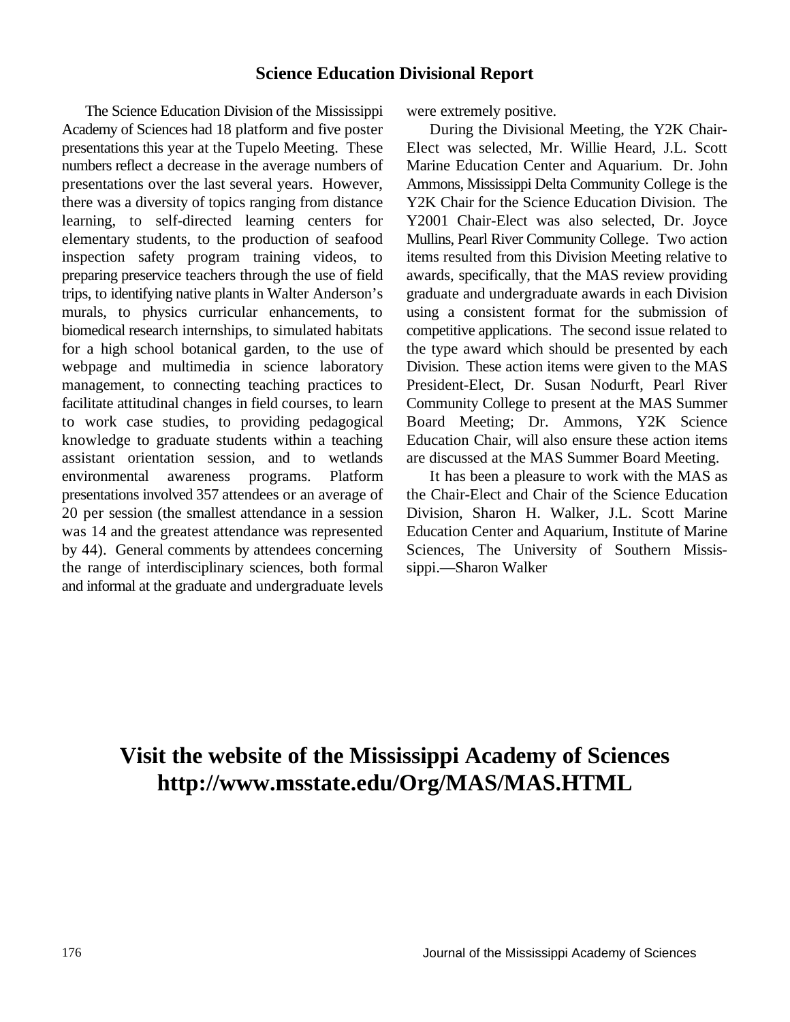### **Science Education Divisional Report**

The Science Education Division of the Mississippi were extremely positive. Academy of Sciences had 18 platform and five poster During the Divisional Meeting, the Y2K Chairpresentations this year at the Tupelo Meeting. These Elect was selected, Mr. Willie Heard, J.L. Scott numbers reflect a decrease in the average numbers of Marine Education Center and Aquarium. Dr. John presentations over the last several years. However, Ammons, Mississippi Delta Community College is the there was a diversity of topics ranging from distance Y2K Chair for the Science Education Division. The learning, to self-directed learning centers for Y2001 Chair-Elect was also selected, Dr. Joyce elementary students, to the production of seafood Mullins, Pearl River Community College. Two action inspection safety program training videos, to items resulted from this Division Meeting relative to preparing preservice teachers through the use of field awards, specifically, that the MAS review providing trips, to identifying native plants in Walter Anderson's graduate and undergraduate awards in each Division murals, to physics curricular enhancements, to using a consistent format for the submission of biomedical research internships, to simulated habitats competitive applications. The second issue related to for a high school botanical garden, to the use of the type award which should be presented by each webpage and multimedia in science laboratory Division. These action items were given to the MAS management, to connecting teaching practices to President-Elect, Dr. Susan Nodurft, Pearl River facilitate attitudinal changes in field courses, to learn Community College to present at the MAS Summer to work case studies, to providing pedagogical Board Meeting; Dr. Ammons, Y2K Science knowledge to graduate students within a teaching Education Chair, will also ensure these action items assistant orientation session, and to wetlands are discussed at the MAS Summer Board Meeting. environmental awareness programs. Platform It has been a pleasure to work with the MAS as presentations involved 357 attendees or an average of the Chair-Elect and Chair of the Science Education 20 per session (the smallest attendance in a session Division, Sharon H. Walker, J.L. Scott Marine was 14 and the greatest attendance was represented Education Center and Aquarium, Institute of Marine by 44). General comments by attendees concerning Sciences, The University of Southern Missisthe range of interdisciplinary sciences, both formal sippi.—Sharon Walker and informal at the graduate and undergraduate levels

## **Visit the website of the Mississippi Academy of Sciences http://www.msstate.edu/Org/MAS/MAS.HTML**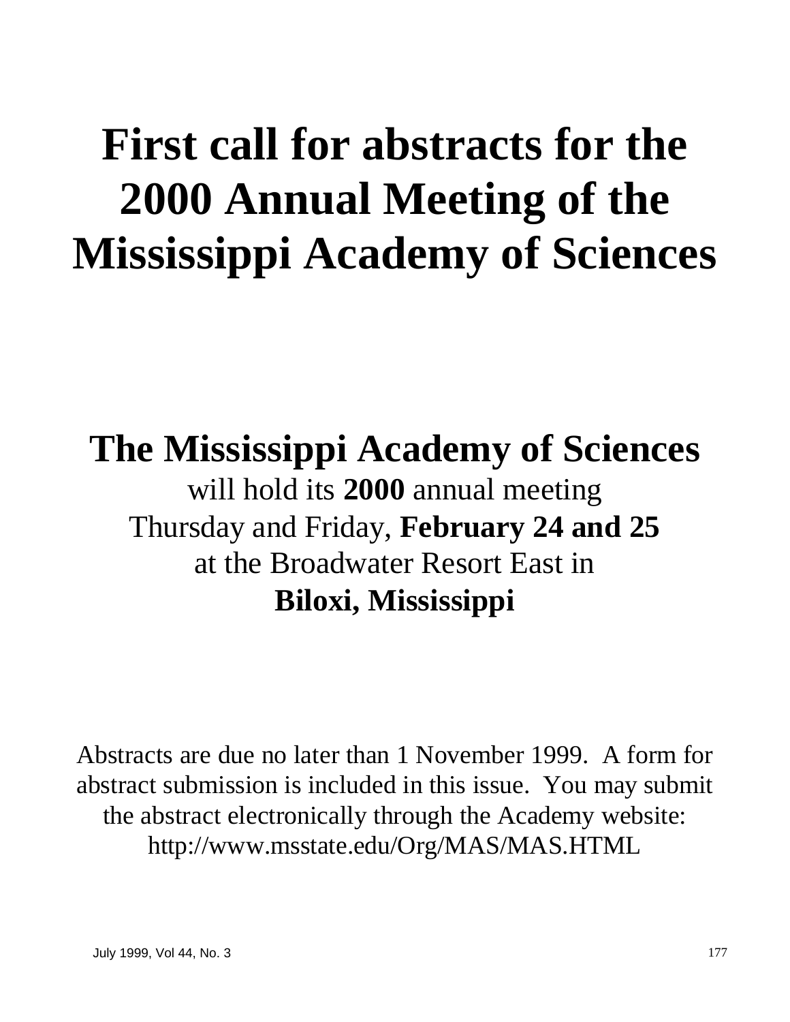# **First call for abstracts for the 2000 Annual Meeting of the Mississippi Academy of Sciences**

# **The Mississippi Academy of Sciences** will hold its **2000** annual meeting

Thursday and Friday, **February 24 and 25** at the Broadwater Resort East in **Biloxi, Mississippi**

Abstracts are due no later than 1 November 1999. A form for abstract submission is included in this issue. You may submit the abstract electronically through the Academy website: http://www.msstate.edu/Org/MAS/MAS.HTML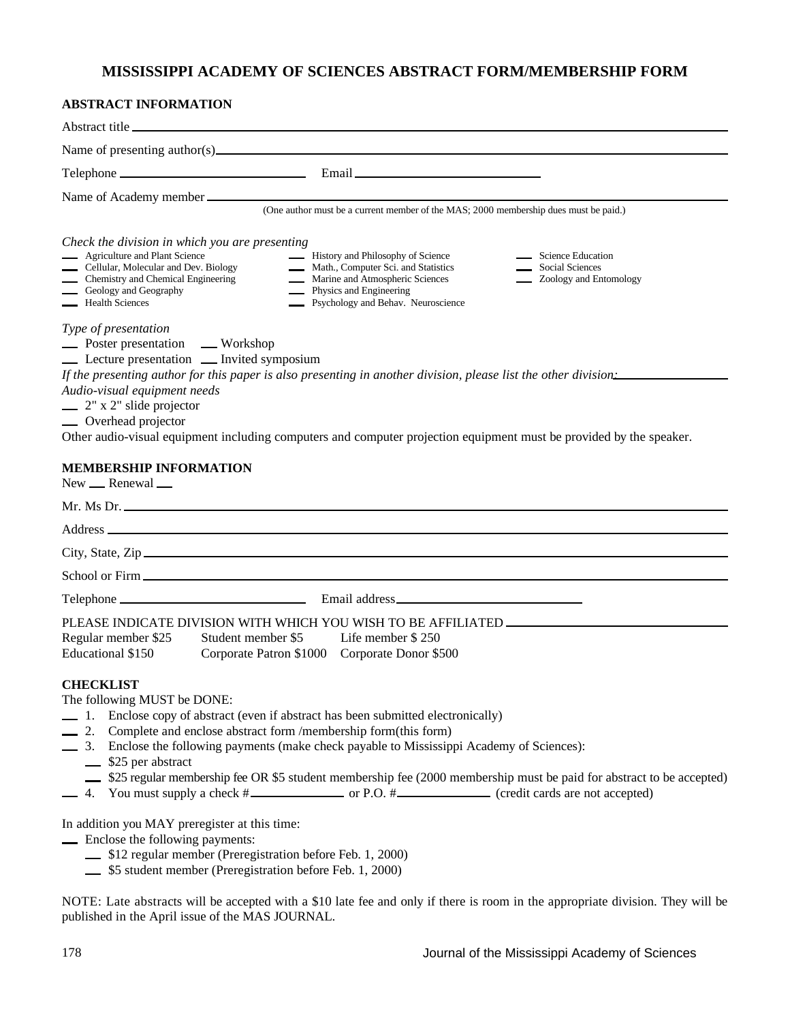### **MISSISSIPPI ACADEMY OF SCIENCES ABSTRACT FORM/MEMBERSHIP FORM**

### **ABSTRACT INFORMATION**

| Abstract title                                                                                                                                                                                                                                                                                                                                                                                                                                                                                                                                     |
|----------------------------------------------------------------------------------------------------------------------------------------------------------------------------------------------------------------------------------------------------------------------------------------------------------------------------------------------------------------------------------------------------------------------------------------------------------------------------------------------------------------------------------------------------|
| Name of presenting $\text{author}(s)$                                                                                                                                                                                                                                                                                                                                                                                                                                                                                                              |
|                                                                                                                                                                                                                                                                                                                                                                                                                                                                                                                                                    |
| Name of Academy member                                                                                                                                                                                                                                                                                                                                                                                                                                                                                                                             |
| (One author must be a current member of the MAS; 2000 membership dues must be paid.)                                                                                                                                                                                                                                                                                                                                                                                                                                                               |
| Check the division in which you are presenting<br><b>Agriculture and Plant Science</b><br><b>EXECUTE:</b> History and Philosophy of Science<br>Science Education<br>Cellular, Molecular and Dev. Biology<br>Math., Computer Sci. and Statistics<br>Social Sciences<br>Marine and Atmospheric Sciences<br>Chemistry and Chemical Engineering<br><b>Zoology and Entomology</b><br>Geology and Geography<br><b>Physics and Engineering</b><br>Health Sciences<br><b>Execution</b> Psychology and Behav. Neuroscience                                  |
| Type of presentation<br><b>Example 3</b> Poster presentation <b>EXA</b> Workshop<br>Lecture presentation _ Invited symposium<br>If the presenting author for this paper is also presenting in another division, please list the other division<br>Audio-visual equipment needs<br>$\frac{1}{2}$ 2" x 2" slide projector<br><b>November</b> Overhead projector<br>Other audio-visual equipment including computers and computer projection equipment must be provided by the speaker.<br><b>MEMBERSHIP INFORMATION</b><br>$New$ $\_\$ Renewal $\_\$ |
|                                                                                                                                                                                                                                                                                                                                                                                                                                                                                                                                                    |
| Address and the contract of the contract of the contract of the contract of the contract of the contract of the contract of the contract of the contract of the contract of the contract of the contract of the contract of th                                                                                                                                                                                                                                                                                                                     |
| City, State, Zip                                                                                                                                                                                                                                                                                                                                                                                                                                                                                                                                   |
|                                                                                                                                                                                                                                                                                                                                                                                                                                                                                                                                                    |
|                                                                                                                                                                                                                                                                                                                                                                                                                                                                                                                                                    |
| PLEASE INDICATE DIVISION WITH WHICH YOU WISH TO BE AFFILIATED __________________<br>Regular member \$25<br>Life member \$250<br>Student member \$5<br>Educational \$150<br>Corporate Patron \$1000<br>Corporate Donor \$500                                                                                                                                                                                                                                                                                                                        |
| <b>CHECKLIST</b><br>The following MUST be DONE:<br>-1. Enclose copy of abstract (even if abstract has been submitted electronically)<br>2. Complete and enclose abstract form /membership form(this form)<br>3. Enclose the following payments (make check payable to Mississippi Academy of Sciences):<br>\$25 per abstract<br>\$25 regular membership fee OR \$5 student membership fee (2000 membership must be paid for abstract to be accepted)                                                                                               |

In addition you MAY preregister at this time:

- Enclose the following payments:
	- \$12 regular member (Preregistration before Feb. 1, 2000)
	- \$5 student member (Preregistration before Feb. 1, 2000)

NOTE: Late abstracts will be accepted with a \$10 late fee and only if there is room in the appropriate division. They will be published in the April issue of the MAS JOURNAL.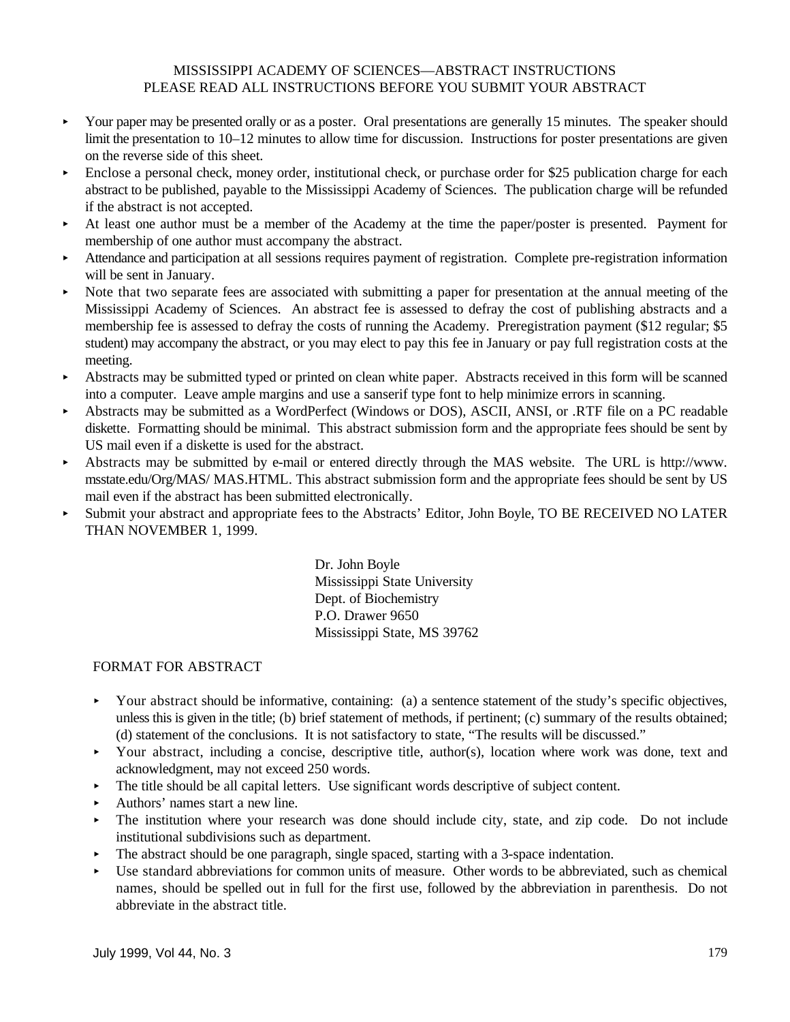### MISSISSIPPI ACADEMY OF SCIENCES—ABSTRACT INSTRUCTIONS PLEASE READ ALL INSTRUCTIONS BEFORE YOU SUBMIT YOUR ABSTRACT

- Your paper may be presented orally or as a poster. Oral presentations are generally 15 minutes. The speaker should limit the presentation to 10–12 minutes to allow time for discussion. Instructions for poster presentations are given on the reverse side of this sheet.
- $\blacktriangleright$  Enclose a personal check, money order, institutional check, or purchase order for \$25 publication charge for each abstract to be published, payable to the Mississippi Academy of Sciences. The publication charge will be refunded if the abstract is not accepted.
- < At least one author must be a member of the Academy at the time the paper/poster is presented. Payment for membership of one author must accompany the abstract.
- < Attendance and participation at all sessions requires payment of registration. Complete pre-registration information will be sent in January.
- $\triangleright$  Note that two separate fees are associated with submitting a paper for presentation at the annual meeting of the Mississippi Academy of Sciences. An abstract fee is assessed to defray the cost of publishing abstracts and a membership fee is assessed to defray the costs of running the Academy. Preregistration payment (\$12 regular; \$5 student) may accompany the abstract, or you may elect to pay this fee in January or pay full registration costs at the meeting.
- < Abstracts may be submitted typed or printed on clean white paper. Abstracts received in this form will be scanned into a computer. Leave ample margins and use a sanserif type font to help minimize errors in scanning.
- < Abstracts may be submitted as a WordPerfect (Windows or DOS), ASCII, ANSI, or .RTF file on a PC readable diskette. Formatting should be minimal. This abstract submission form and the appropriate fees should be sent by US mail even if a diskette is used for the abstract.
- < Abstracts may be submitted by e-mail or entered directly through the MAS website. The URL is http://www. msstate.edu/Org/MAS/ MAS.HTML. This abstract submission form and the appropriate fees should be sent by US mail even if the abstract has been submitted electronically.
- < Submit your abstract and appropriate fees to the Abstracts' Editor, John Boyle, TO BE RECEIVED NO LATER THAN NOVEMBER 1, 1999.

Dr. John Boyle Mississippi State University Dept. of Biochemistry P.O. Drawer 9650 Mississippi State, MS 39762

### FORMAT FOR ABSTRACT

- Your abstract should be informative, containing: (a) a sentence statement of the study's specific objectives, unless this is given in the title; (b) brief statement of methods, if pertinent; (c) summary of the results obtained; (d) statement of the conclusions. It is not satisfactory to state, "The results will be discussed."
- Your abstract, including a concise, descriptive title, author(s), location where work was done, text and acknowledgment, may not exceed 250 words.
- $\blacktriangleright$  The title should be all capital letters. Use significant words descriptive of subject content.
- < Authors' names start a new line.
- $\triangleright$  The institution where your research was done should include city, state, and zip code. Do not include institutional subdivisions such as department.
- The abstract should be one paragraph, single spaced, starting with a 3-space indentation.
- Use standard abbreviations for common units of measure. Other words to be abbreviated, such as chemical names, should be spelled out in full for the first use, followed by the abbreviation in parenthesis. Do not abbreviate in the abstract title.